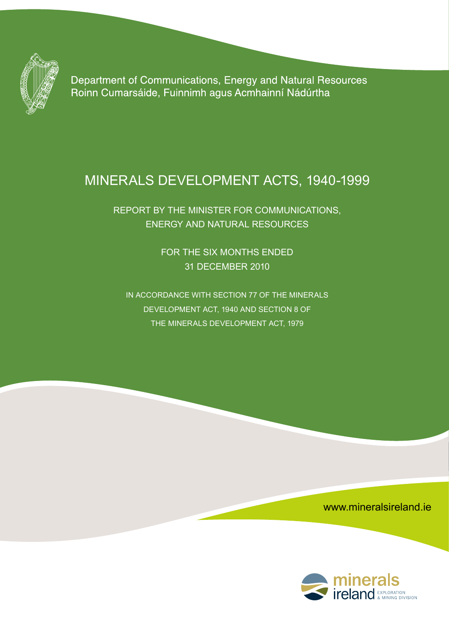

Department of Communications, Energy and Natural Resources Roinn Cumarsáide, Fuinnimh agus Acmhainní Nádúrtha

# Minerals Development Acts, 1940-1999

Report by the Minister for Communications, Energy and Natural Resources

> For the Six Months Ended 31 december 2010

In accordance with section 77 of the minerals development act, 1940 and section 8 of the minerals development act, 1979

www.mineralsireland.ie

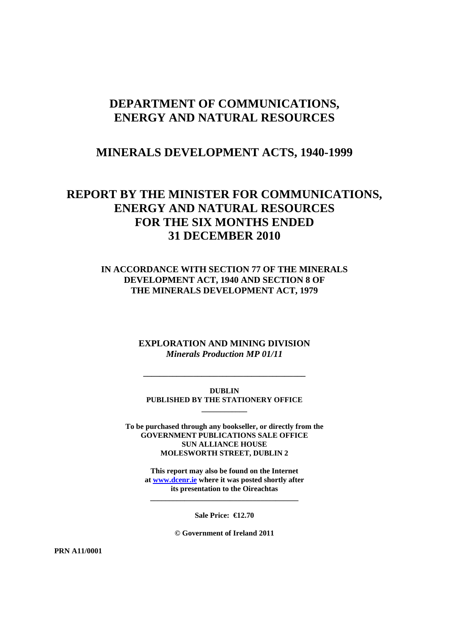## **DEPARTMENT OF COMMUNICATIONS, ENERGY AND NATURAL RESOURCES**

## **MINERALS DEVELOPMENT ACTS, 1940-1999**

## **REPORT BY THE MINISTER FOR COMMUNICATIONS, ENERGY AND NATURAL RESOURCES FOR THE SIX MONTHS ENDED 31 DECEMBER 2010**

#### **IN ACCORDANCE WITH SECTION 77 OF THE MINERALS DEVELOPMENT ACT, 1940 AND SECTION 8 OF THE MINERALS DEVELOPMENT ACT, 1979**

**EXPLORATION AND MINING DIVISION**  *Minerals Production MP 01/11*

**DUBLIN PUBLISHED BY THE STATIONERY OFFICE \_\_\_\_\_\_\_\_\_\_\_\_** 

**\_\_\_\_\_\_\_\_\_\_\_\_\_\_\_\_\_\_\_\_\_\_\_\_\_\_\_\_\_\_\_\_\_\_\_\_\_\_\_** 

**To be purchased through any bookseller, or directly from the GOVERNMENT PUBLICATIONS SALE OFFICE SUN ALLIANCE HOUSE MOLESWORTH STREET, DUBLIN 2** 

**This report may also be found on the Internet at www.dcenr.ie where it was posted shortly after its presentation to the Oireachtas** 

**\_\_\_\_\_\_\_\_\_\_\_\_\_\_\_\_\_\_\_\_\_\_\_\_\_\_\_\_\_\_\_\_\_\_\_\_\_\_\_** 

**Sale Price: €12.70** 

**© Government of Ireland 2011** 

**PRN A11/0001**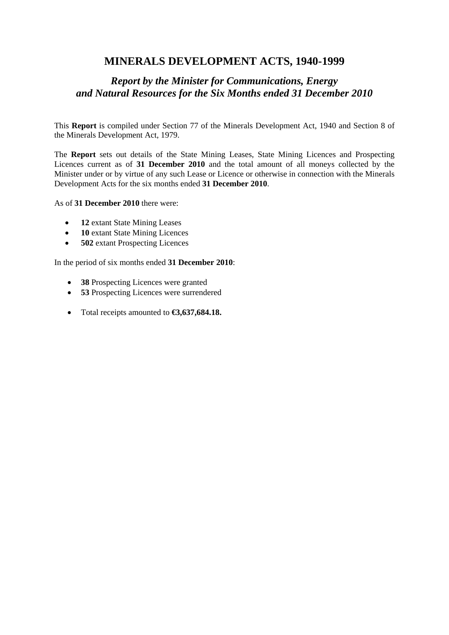## **MINERALS DEVELOPMENT ACTS, 1940-1999**

## *Report by the Minister for Communications, Energy and Natural Resources for the Six Months ended 31 December 2010*

This **Report** is compiled under Section 77 of the Minerals Development Act, 1940 and Section 8 of the Minerals Development Act, 1979.

The **Report** sets out details of the State Mining Leases, State Mining Licences and Prospecting Licences current as of **31 December 2010** and the total amount of all moneys collected by the Minister under or by virtue of any such Lease or Licence or otherwise in connection with the Minerals Development Acts for the six months ended **31 December 2010**.

As of **31 December 2010** there were:

- **12** extant State Mining Leases
- **10** extant State Mining Licences
- **502** extant Prospecting Licences

In the period of six months ended **31 December 2010**:

- **38** Prospecting Licences were granted
- **53** Prospecting Licences were surrendered
- Total receipts amounted to **€3,637,684.18.**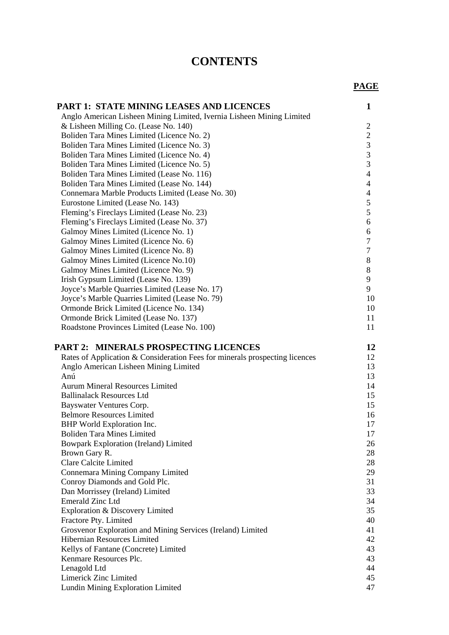# **CONTENTS**

|                                                                             | <b>PAGE</b>    |
|-----------------------------------------------------------------------------|----------------|
| <b>PART 1: STATE MINING LEASES AND LICENCES</b>                             | 1              |
| Anglo American Lisheen Mining Limited, Ivernia Lisheen Mining Limited       |                |
| & Lisheen Milling Co. (Lease No. 140)                                       | $\overline{c}$ |
| Boliden Tara Mines Limited (Licence No. 2)                                  | $\sqrt{2}$     |
| Boliden Tara Mines Limited (Licence No. 3)                                  | $\overline{3}$ |
| Boliden Tara Mines Limited (Licence No. 4)                                  | $\mathfrak{Z}$ |
| Boliden Tara Mines Limited (Licence No. 5)                                  | $\overline{3}$ |
| Boliden Tara Mines Limited (Lease No. 116)                                  | $\overline{4}$ |
| Boliden Tara Mines Limited (Lease No. 144)                                  | $\overline{4}$ |
| Connemara Marble Products Limited (Lease No. 30)                            | $\overline{4}$ |
| Eurostone Limited (Lease No. 143)                                           | $\mathfrak s$  |
| Fleming's Fireclays Limited (Lease No. 23)                                  | $\mathfrak{S}$ |
| Fleming's Fireclays Limited (Lease No. 37)                                  | 6              |
| Galmoy Mines Limited (Licence No. 1)                                        | 6              |
| Galmoy Mines Limited (Licence No. 6)                                        | $\tau$         |
| Galmoy Mines Limited (Licence No. 8)                                        | $\tau$         |
| Galmoy Mines Limited (Licence No.10)                                        | 8              |
| Galmoy Mines Limited (Licence No. 9)                                        | 8              |
| Irish Gypsum Limited (Lease No. 139)                                        | 9              |
| Joyce's Marble Quarries Limited (Lease No. 17)                              | 9              |
| Joyce's Marble Quarries Limited (Lease No. 79)                              | 10             |
| Ormonde Brick Limited (Licence No. 134)                                     | 10             |
| Ormonde Brick Limited (Lease No. 137)                                       | 11             |
| Roadstone Provinces Limited (Lease No. 100)                                 | 11             |
| <b>PART 2: MINERALS PROSPECTING LICENCES</b>                                | 12             |
| Rates of Application & Consideration Fees for minerals prospecting licences | 12             |
| Anglo American Lisheen Mining Limited                                       | 13             |
| Anú                                                                         | 13             |
| <b>Aurum Mineral Resources Limited</b>                                      | 14             |
| <b>Ballinalack Resources Ltd</b>                                            | 15             |
| Bayswater Ventures Corp.                                                    | 15             |
| <b>Belmore Resources Limited</b>                                            | 16             |
| BHP World Exploration Inc.                                                  | 17             |
| <b>Boliden Tara Mines Limited</b>                                           | 17             |
| Bowpark Exploration (Ireland) Limited                                       | 26             |
| Brown Gary R.                                                               | 28             |
| <b>Clare Calcite Limited</b>                                                | 28             |
| Connemara Mining Company Limited                                            | 29             |
| Conroy Diamonds and Gold Plc.                                               | 31             |
| Dan Morrissey (Ireland) Limited                                             | 33             |
| <b>Emerald Zinc Ltd</b>                                                     | 34             |
| Exploration & Discovery Limited                                             | 35             |
| Fractore Pty. Limited                                                       | 40             |
| Grosvenor Exploration and Mining Services (Ireland) Limited                 | 41             |
| <b>Hibernian Resources Limited</b>                                          | 42             |
| Kellys of Fantane (Concrete) Limited                                        | 43             |
| Kenmare Resources Plc.                                                      | 43             |
| Lenagold Ltd                                                                | 44             |
| Limerick Zinc Limited                                                       | 45             |
| Lundin Mining Exploration Limited                                           | 47             |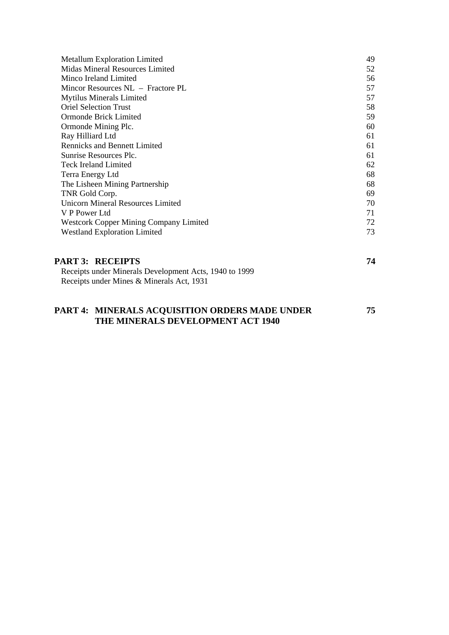| 49 |
|----|
| 52 |
| 56 |
| 57 |
| 57 |
| 58 |
| 59 |
| 60 |
| 61 |
| 61 |
| 61 |
| 62 |
| 68 |
| 68 |
| 69 |
| 70 |
| 71 |
| 72 |
| 73 |
|    |
|    |

| <b>PART 3: RECEIPTS</b>                                | 74 |
|--------------------------------------------------------|----|
| Receipts under Minerals Development Acts, 1940 to 1999 |    |
| Receipts under Mines & Minerals Act, 1931              |    |
|                                                        |    |

### **PART 4: MINERALS ACQUISITION ORDERS MADE UNDER 75 THE MINERALS DEVELOPMENT ACT 1940**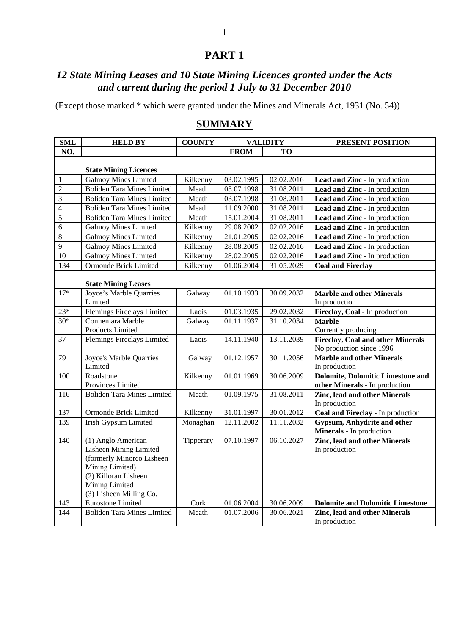## **PART 1**

## *12 State Mining Leases and 10 State Mining Licences granted under the Acts and current during the period 1 July to 31 December 2010*

(Except those marked \* which were granted under the Mines and Minerals Act, 1931 (No. 54))

| <b>SML</b>              | <b>HELD BY</b>                    | <b>COUNTY</b> |             | <b>VALIDITY</b> | PRESENT POSITION                                                 |
|-------------------------|-----------------------------------|---------------|-------------|-----------------|------------------------------------------------------------------|
| NO.                     |                                   |               | <b>FROM</b> | <b>TO</b>       |                                                                  |
|                         |                                   |               |             |                 |                                                                  |
|                         | <b>State Mining Licences</b>      |               |             |                 |                                                                  |
| 1                       | <b>Galmoy Mines Limited</b>       | Kilkenny      | 03.02.1995  | 02.02.2016      | Lead and Zinc - In production                                    |
| $\overline{2}$          | <b>Boliden Tara Mines Limited</b> | Meath         | 03.07.1998  | 31.08.2011      | Lead and Zinc - In production                                    |
| 3                       | <b>Boliden Tara Mines Limited</b> | Meath         | 03.07.1998  | 31.08.2011      | Lead and Zinc - In production                                    |
| $\overline{\mathbf{4}}$ | <b>Boliden Tara Mines Limited</b> | Meath         | 11.09.2000  | 31.08.2011      | Lead and Zinc - In production                                    |
| $\overline{5}$          | <b>Boliden Tara Mines Limited</b> | Meath         | 15.01.2004  | 31.08.2011      | Lead and Zinc - In production                                    |
| 6                       | <b>Galmoy Mines Limited</b>       | Kilkenny      | 29.08.2002  | 02.02.2016      | Lead and Zinc - In production                                    |
| 8                       | <b>Galmoy Mines Limited</b>       | Kilkenny      | 21.01.2005  | 02.02.2016      | Lead and Zinc - In production                                    |
| 9                       | <b>Galmoy Mines Limited</b>       | Kilkenny      | 28.08.2005  | 02.02.2016      | Lead and Zinc - In production                                    |
| 10                      | <b>Galmoy Mines Limited</b>       | Kilkenny      | 28.02.2005  | 02.02.2016      | Lead and Zinc - In production                                    |
| 134                     | Ormonde Brick Limited             | Kilkenny      | 01.06.2004  | 31.05.2029      | <b>Coal and Fireclay</b>                                         |
|                         |                                   |               |             |                 |                                                                  |
|                         | <b>State Mining Leases</b>        |               |             |                 |                                                                  |
| $17*$                   | Joyce's Marble Quarries           | Galway        | 01.10.1933  | 30.09.2032      | <b>Marble and other Minerals</b>                                 |
|                         | Limited                           |               |             |                 | In production                                                    |
| $23*$                   | Flemings Fireclays Limited        | Laois         | 01.03.1935  | 29.02.2032      | Fireclay, Coal - In production                                   |
| $30*$                   | Connemara Marble                  | Galway        | 01.11.1937  | 31.10.2034      | <b>Marble</b>                                                    |
|                         | Products Limited                  |               |             |                 | Currently producing                                              |
| 37                      | Flemings Fireclays Limited        | Laois         | 14.11.1940  | 13.11.2039      | <b>Fireclay, Coal and other Minerals</b>                         |
|                         |                                   |               |             |                 | No production since 1996                                         |
| 79                      | Joyce's Marble Quarries           | Galway        | 01.12.1957  | 30.11.2056      | <b>Marble and other Minerals</b>                                 |
|                         | Limited                           |               |             |                 | In production                                                    |
| 100                     | Roadstone                         | Kilkenny      | 01.01.1969  | 30.06.2009      | <b>Dolomite, Dolomitic Limestone and</b>                         |
|                         | Provinces Limited                 |               |             |                 | other Minerals - In production                                   |
| 116                     | <b>Boliden Tara Mines Limited</b> | Meath         | 01.09.1975  | 31.08.2011      | <b>Zinc, lead and other Minerals</b>                             |
|                         |                                   |               |             |                 | In production                                                    |
| 137                     | Ormonde Brick Limited             | Kilkenny      | 31.01.1997  | 30.01.2012      | Coal and Fireclay - In production                                |
| 139                     | <b>Irish Gypsum Limited</b>       | Monaghan      | 12.11.2002  | 11.11.2032      | <b>Gypsum, Anhydrite and other</b>                               |
| 140                     | (1) Anglo American                | Tipperary     | 07.10.1997  | 06.10.2027      | Minerals - In production<br><b>Zinc, lead and other Minerals</b> |
|                         | <b>Lisheen Mining Limited</b>     |               |             |                 | In production                                                    |
|                         | (formerly Minorco Lisheen         |               |             |                 |                                                                  |
|                         | Mining Limited)                   |               |             |                 |                                                                  |
|                         | (2) Killoran Lisheen              |               |             |                 |                                                                  |
|                         | Mining Limited                    |               |             |                 |                                                                  |
|                         | (3) Lisheen Milling Co.           |               |             |                 |                                                                  |
| 143                     | <b>Eurostone Limited</b>          | Cork          | 01.06.2004  | 30.06.2009      | <b>Dolomite and Dolomitic Limestone</b>                          |
| 144                     | <b>Boliden Tara Mines Limited</b> | Meath         | 01.07.2006  | 30.06.2021      | <b>Zinc, lead and other Minerals</b>                             |
|                         |                                   |               |             |                 | In production                                                    |

## **SUMMARY**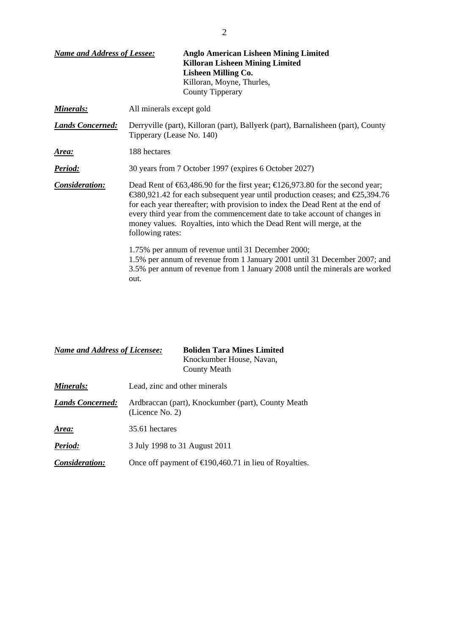| <b>Name and Address of Lessee:</b> | <b>Anglo American Lisheen Mining Limited</b><br><b>Killoran Lisheen Mining Limited</b><br><b>Lisheen Milling Co.</b><br>Killoran, Moyne, Thurles,<br><b>County Tipperary</b>                                                                                                                                                                                                                                             |  |  |
|------------------------------------|--------------------------------------------------------------------------------------------------------------------------------------------------------------------------------------------------------------------------------------------------------------------------------------------------------------------------------------------------------------------------------------------------------------------------|--|--|
| <u>Minerals:</u>                   | All minerals except gold                                                                                                                                                                                                                                                                                                                                                                                                 |  |  |
| <b>Lands Concerned:</b>            | Derryville (part), Killoran (part), Ballyerk (part), Barnalisheen (part), County<br>Tipperary (Lease No. 140)                                                                                                                                                                                                                                                                                                            |  |  |
| <u>Area:</u>                       | 188 hectares                                                                                                                                                                                                                                                                                                                                                                                                             |  |  |
| Period:                            | 30 years from 7 October 1997 (expires 6 October 2027)                                                                                                                                                                                                                                                                                                                                                                    |  |  |
| Consideration:                     | Dead Rent of $63,486.90$ for the first year; $626,973.80$ for the second year;<br>€380,921.42 for each subsequent year until production ceases; and €25,394.76<br>for each year thereafter; with provision to index the Dead Rent at the end of<br>every third year from the commencement date to take account of changes in<br>money values. Royalties, into which the Dead Rent will merge, at the<br>following rates: |  |  |
|                                    | 1.75% per annum of revenue until 31 December 2000;<br>1.5% per annum of revenue from 1 January 2001 until 31 December 2007; and<br>3.5% per annum of revenue from 1 January 2008 until the minerals are worked<br>out.                                                                                                                                                                                                   |  |  |

| <b>Name and Address of Licensee:</b> | <b>Boliden Tara Mines Limited</b><br>Knockumber House, Navan,<br><b>County Meath</b> |  |  |
|--------------------------------------|--------------------------------------------------------------------------------------|--|--|
| Minerals:                            | Lead, zinc and other minerals                                                        |  |  |
| <b>Lands Concerned:</b>              | Ardbraccan (part), Knockumber (part), County Meath<br>(Licence No. 2)                |  |  |
| Area:                                | 35.61 hectares                                                                       |  |  |
| Period:                              | 3 July 1998 to 31 August 2011                                                        |  |  |
| Consideration:                       | Once off payment of $\bigoplus$ 90,460.71 in lieu of Royalties.                      |  |  |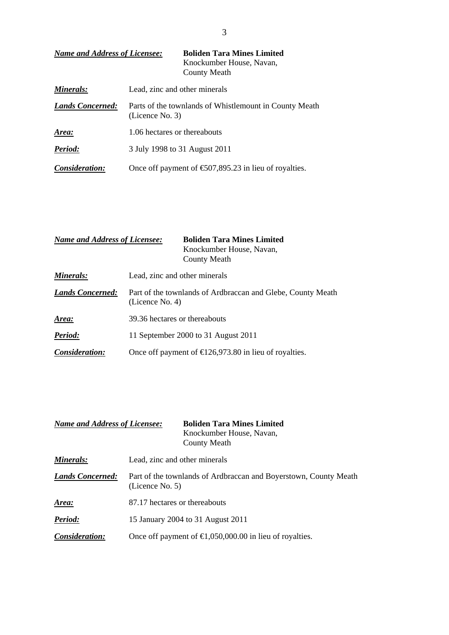| <b>Name and Address of Licensee:</b> | <b>Boliden Tara Mines Limited</b><br>Knockumber House, Navan,<br>County Meath |
|--------------------------------------|-------------------------------------------------------------------------------|
| Minerals:                            | Lead, zinc and other minerals                                                 |
| <b>Lands Concerned:</b>              | Parts of the townlands of Whistlemount in County Meath<br>(Licence No. 3)     |
| Area:                                | 1.06 hectares or thereabouts                                                  |
| <b>Period:</b>                       | 3 July 1998 to 31 August 2011                                                 |
| <i>Consideration:</i>                | Once off payment of $\text{\textsterling}07,895.23$ in lieu of royalties.     |

| <b>Name and Address of Licensee:</b> | <b>Boliden Tara Mines Limited</b><br>Knockumber House, Navan,<br>County Meath  |  |
|--------------------------------------|--------------------------------------------------------------------------------|--|
| <b>Minerals:</b>                     | Lead, zinc and other minerals                                                  |  |
| <b>Lands Concerned:</b>              | Part of the townlands of Ardbraccan and Glebe, County Meath<br>(Licence No. 4) |  |
| <u>Area:</u>                         | 39.36 hectares or thereabouts                                                  |  |
| Period:                              | 11 September 2000 to 31 August 2011                                            |  |
| Consideration:                       | Once off payment of $\text{E}26,973.80$ in lieu of royalties.                  |  |

| <b>Name and Address of Licensee:</b> | <b>Boliden Tara Mines Limited</b><br>Knockumber House, Navan,<br>County Meath          |
|--------------------------------------|----------------------------------------------------------------------------------------|
| Minerals:                            | Lead, zinc and other minerals                                                          |
| <b>Lands Concerned:</b>              | Part of the townlands of Ardbraccan and Boyerstown, County Meath<br>(Licence No. $5$ ) |
| Area:                                | 87.17 hectares or thereabouts                                                          |
| Period:                              | 15 January 2004 to 31 August 2011                                                      |
| Consideration:                       | Once off payment of $\bigoplus$ , 050,000.00 in lieu of royalties.                     |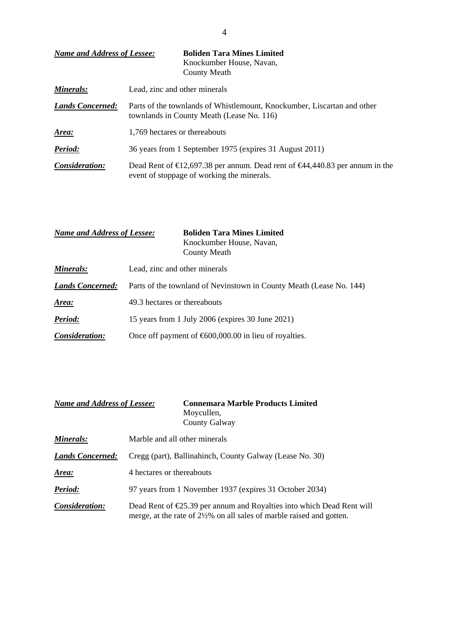| <b>Name and Address of Lessee:</b> | <b>Boliden Tara Mines Limited</b><br>Knockumber House, Navan,<br><b>County Meath</b>                                                       |
|------------------------------------|--------------------------------------------------------------------------------------------------------------------------------------------|
| Minerals:                          | Lead, zinc and other minerals                                                                                                              |
| <b>Lands Concerned:</b>            | Parts of the townlands of Whistlemount, Knockumber, Liscartan and other<br>townlands in County Meath (Lease No. 116)                       |
| Area:                              | 1,769 hectares or thereabouts                                                                                                              |
| Period:                            | 36 years from 1 September 1975 (expires 31 August 2011)                                                                                    |
| Consideration:                     | Dead Rent of $\text{E}2,697.38$ per annum. Dead rent of $\text{E}44,440.83$ per annum in the<br>event of stoppage of working the minerals. |

| <b>Name and Address of Lessee:</b> | <b>Boliden Tara Mines Limited</b><br>Knockumber House, Navan,<br><b>County Meath</b> |
|------------------------------------|--------------------------------------------------------------------------------------|
| Minerals:                          | Lead, zinc and other minerals                                                        |
| <b>Lands Concerned:</b>            | Parts of the townland of Nevinstown in County Meath (Lease No. 144)                  |
| Area:                              | 49.3 hectares or thereabouts                                                         |
| Period:                            | 15 years from 1 July 2006 (expires 30 June 2021)                                     |
| Consideration:                     | Once off payment of $600,000.00$ in lieu of royalties.                               |

| <b>Name and Address of Lessee:</b> | <b>Connemara Marble Products Limited</b><br>Moycullen,<br>County Galway                                                                        |
|------------------------------------|------------------------------------------------------------------------------------------------------------------------------------------------|
| Minerals:                          | Marble and all other minerals                                                                                                                  |
| <b>Lands Concerned:</b>            | Cregg (part), Ballinahinch, County Galway (Lease No. 30)                                                                                       |
| <u>Area:</u>                       | 4 hectares or thereabouts                                                                                                                      |
| Period:                            | 97 years from 1 November 1937 (expires 31 October 2034)                                                                                        |
| Consideration:                     | Dead Rent of $E$ 5.39 per annum and Royalties into which Dead Rent will<br>merge, at the rate of 2½% on all sales of marble raised and gotten. |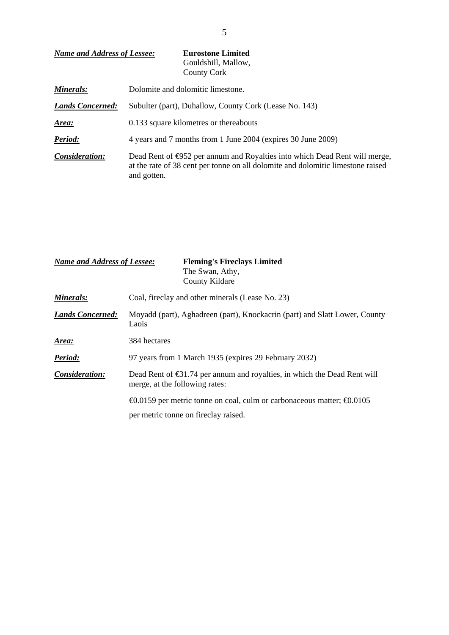| <b>Name and Address of Lessee:</b> | <b>Eurostone Limited</b><br>Gouldshill, Mallow,<br>County Cork                                                                                                                         |  |
|------------------------------------|----------------------------------------------------------------------------------------------------------------------------------------------------------------------------------------|--|
| Minerals:                          | Dolomite and dolomitic limestone.                                                                                                                                                      |  |
| <b>Lands Concerned:</b>            | Subulter (part), Duhallow, County Cork (Lease No. 143)                                                                                                                                 |  |
| Area:                              | 0.133 square kilometres or thereabouts                                                                                                                                                 |  |
| Period:                            | 4 years and 7 months from 1 June 2004 (expires 30 June 2009)                                                                                                                           |  |
| Consideration:                     | Dead Rent of $\bigoplus$ 52 per annum and Royalties into which Dead Rent will merge,<br>at the rate of 38 cent per tonne on all dolomite and dolomitic limestone raised<br>and gotten. |  |

| <b>Name and Address of Lessee:</b> | <b>Fleming's Fireclays Limited</b><br>The Swan, Athy,<br>County Kildare                                                      |  |
|------------------------------------|------------------------------------------------------------------------------------------------------------------------------|--|
| Minerals:                          | Coal, fireclay and other minerals (Lease No. 23)                                                                             |  |
| <b>Lands Concerned:</b>            | Moyadd (part), Aghadreen (part), Knockacrin (part) and Slatt Lower, County<br>Laois                                          |  |
| Area:                              | 384 hectares                                                                                                                 |  |
| Period:                            | 97 years from 1 March 1935 (expires 29 February 2032)                                                                        |  |
| Consideration:                     | Dead Rent of $\bigoplus$ 1.74 per annum and royalties, in which the Dead Rent will<br>merge, at the following rates:         |  |
|                                    | $\Theta$ .0159 per metric tonne on coal, culm or carbonaceous matter; $\Theta$ .0105<br>per metric tonne on fireclay raised. |  |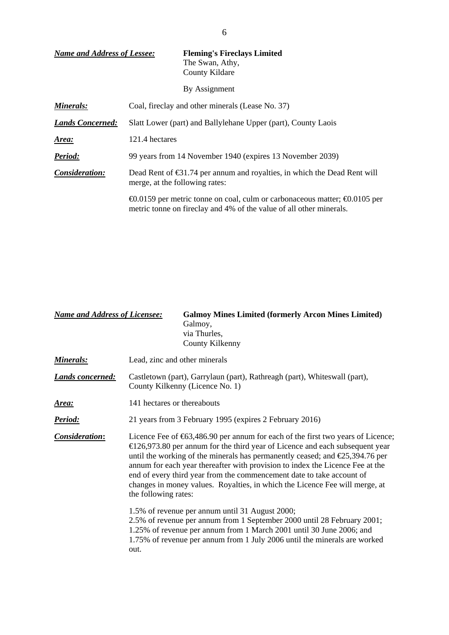| <b>Name and Address of Lessee:</b> | <b>Fleming's Fireclays Limited</b><br>The Swan, Athy,<br>County Kildare                                                                                         |  |
|------------------------------------|-----------------------------------------------------------------------------------------------------------------------------------------------------------------|--|
|                                    | By Assignment                                                                                                                                                   |  |
| Minerals:                          | Coal, fireclay and other minerals (Lease No. 37)                                                                                                                |  |
| <b>Lands Concerned:</b>            | Slatt Lower (part) and Ballylehane Upper (part), County Laois                                                                                                   |  |
| Area:                              | 121.4 hectares                                                                                                                                                  |  |
| Period:                            | 99 years from 14 November 1940 (expires 13 November 2039)                                                                                                       |  |
| Consideration:                     | Dead Rent of $\bigoplus$ 1.74 per annum and royalties, in which the Dead Rent will<br>merge, at the following rates:                                            |  |
|                                    | $\Theta$ .0159 per metric tonne on coal, culm or carbonaceous matter; $\Theta$ .0105 per<br>metric tonne on fireclay and 4% of the value of all other minerals. |  |

| <b>Name and Address of Licensee:</b> | <b>Galmoy Mines Limited (formerly Arcon Mines Limited)</b><br>Galmoy,<br>via Thurles,<br>County Kilkenny                                                                                                                                                                                                                                                                                                                                                                                                                                          |  |
|--------------------------------------|---------------------------------------------------------------------------------------------------------------------------------------------------------------------------------------------------------------------------------------------------------------------------------------------------------------------------------------------------------------------------------------------------------------------------------------------------------------------------------------------------------------------------------------------------|--|
| Minerals:                            | Lead, zinc and other minerals                                                                                                                                                                                                                                                                                                                                                                                                                                                                                                                     |  |
| <b>Lands concerned:</b>              | Castletown (part), Garrylaun (part), Rathreagh (part), Whiteswall (part),<br>County Kilkenny (Licence No. 1)                                                                                                                                                                                                                                                                                                                                                                                                                                      |  |
| Area:                                | 141 hectares or thereabouts                                                                                                                                                                                                                                                                                                                                                                                                                                                                                                                       |  |
| <u>Period:</u>                       | 21 years from 3 February 1995 (expires 2 February 2016)                                                                                                                                                                                                                                                                                                                                                                                                                                                                                           |  |
| <b>Consideration:</b>                | Licence Fee of $\text{\textsterling}63,486.90$ per annum for each of the first two years of Licence;<br>$E$ 26,973.80 per annum for the third year of Licence and each subsequent year<br>until the working of the minerals has permanently ceased; and $\epsilon$ 25,394.76 per<br>annum for each year thereafter with provision to index the Licence Fee at the<br>end of every third year from the commencement date to take account of<br>changes in money values. Royalties, in which the Licence Fee will merge, at<br>the following rates: |  |
|                                      | 1.5% of revenue per annum until 31 August 2000;<br>2.5% of revenue per annum from 1 September 2000 until 28 February 2001;<br>1.25% of revenue per annum from 1 March 2001 until 30 June 2006; and<br>1.75% of revenue per annum from 1 July 2006 until the minerals are worked<br>out.                                                                                                                                                                                                                                                           |  |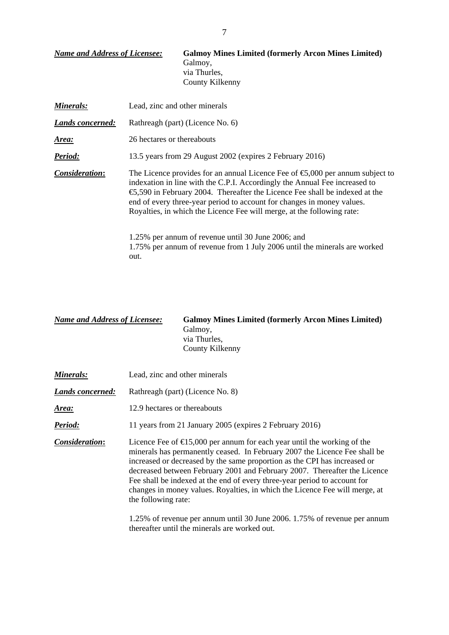| <b>Name and Address of Licensee:</b> | <b>Galmoy Mines Limited (formerly Arcon Mines Limited)</b><br>Galmoy,<br>via Thurles,<br>County Kilkenny                                                                                                                                                                                                                                                                                                         |  |
|--------------------------------------|------------------------------------------------------------------------------------------------------------------------------------------------------------------------------------------------------------------------------------------------------------------------------------------------------------------------------------------------------------------------------------------------------------------|--|
| Minerals:                            | Lead, zinc and other minerals                                                                                                                                                                                                                                                                                                                                                                                    |  |
| <b>Lands concerned:</b>              | Rathreagh (part) (Licence No. 6)                                                                                                                                                                                                                                                                                                                                                                                 |  |
| <u>Area:</u>                         | 26 hectares or thereabouts                                                                                                                                                                                                                                                                                                                                                                                       |  |
| Period:                              | 13.5 years from 29 August 2002 (expires 2 February 2016)                                                                                                                                                                                                                                                                                                                                                         |  |
| Consideration:                       | The Licence provides for an annual Licence Fee of $\epsilon$ ,000 per annum subject to<br>indexation in line with the C.P.I. Accordingly the Annual Fee increased to<br>$\epsilon$ ,590 in February 2004. Thereafter the Licence Fee shall be indexed at the<br>end of every three-year period to account for changes in money values.<br>Royalties, in which the Licence Fee will merge, at the following rate: |  |
|                                      | 1.25% per annum of revenue until 30 June 2006; and<br>1.75% per annum of revenue from 1 July 2006 until the minerals are worked<br>out.                                                                                                                                                                                                                                                                          |  |

*Name and Address of Licensee:* **Galmoy Mines Limited (formerly Arcon Mines Limited)**  Galmoy, via Thurles, County Kilkenny

| Minerals:        | Lead, zinc and other minerals                                                                                                                                                                                                                                                                                                                                                                                                                                                                               |  |
|------------------|-------------------------------------------------------------------------------------------------------------------------------------------------------------------------------------------------------------------------------------------------------------------------------------------------------------------------------------------------------------------------------------------------------------------------------------------------------------------------------------------------------------|--|
| Lands concerned: | Rathreagh (part) (Licence No. 8)                                                                                                                                                                                                                                                                                                                                                                                                                                                                            |  |
| Area:            | 12.9 hectares or thereabouts                                                                                                                                                                                                                                                                                                                                                                                                                                                                                |  |
| Period:          | 11 years from 21 January 2005 (expires 2 February 2016)                                                                                                                                                                                                                                                                                                                                                                                                                                                     |  |
| Consideration:   | Licence Fee of $\epsilon$ 5,000 per annum for each year until the working of the<br>minerals has permanently ceased. In February 2007 the Licence Fee shall be<br>increased or decreased by the same proportion as the CPI has increased or<br>decreased between February 2001 and February 2007. Thereafter the Licence<br>Fee shall be indexed at the end of every three-year period to account for<br>changes in money values. Royalties, in which the Licence Fee will merge, at<br>the following rate: |  |

 1.25% of revenue per annum until 30 June 2006. 1.75% of revenue per annum thereafter until the minerals are worked out.

7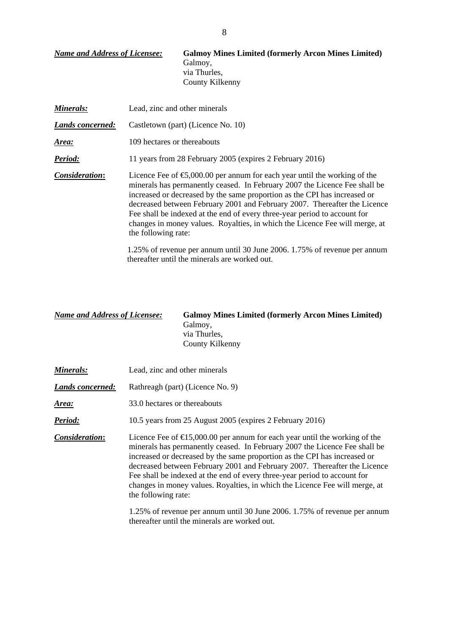| <b>Name and Address of Licensee:</b> | <b>Galmoy Mines Limited (formerly Arcon Mines Limited)</b><br>Galmoy,<br>via Thurles,<br>County Kilkenny                                                                                                                                                                                                                                                                                                                                                                                                                                                                                     |  |
|--------------------------------------|----------------------------------------------------------------------------------------------------------------------------------------------------------------------------------------------------------------------------------------------------------------------------------------------------------------------------------------------------------------------------------------------------------------------------------------------------------------------------------------------------------------------------------------------------------------------------------------------|--|
| Minerals:                            | Lead, zinc and other minerals                                                                                                                                                                                                                                                                                                                                                                                                                                                                                                                                                                |  |
| Lands concerned:                     | Castletown (part) (Licence No. 10)                                                                                                                                                                                                                                                                                                                                                                                                                                                                                                                                                           |  |
| <u>Area:</u>                         | 109 hectares or thereabouts                                                                                                                                                                                                                                                                                                                                                                                                                                                                                                                                                                  |  |
| Period:                              | 11 years from 28 February 2005 (expires 2 February 2016)                                                                                                                                                                                                                                                                                                                                                                                                                                                                                                                                     |  |
| Consideration:                       | Licence Fee of $\epsilon$ ,000.00 per annum for each year until the working of the<br>minerals has permanently ceased. In February 2007 the Licence Fee shall be<br>increased or decreased by the same proportion as the CPI has increased or<br>decreased between February 2001 and February 2007. Thereafter the Licence<br>Fee shall be indexed at the end of every three-year period to account for<br>changes in money values. Royalties, in which the Licence Fee will merge, at<br>the following rate:<br>$1.25\%$ of revenue per annum until 30 June 2006 1.75% of revenue per annum |  |

 1.25% of revenue per annum until 30 June 2006. 1.75% of revenue per annum thereafter until the minerals are worked out.

| <b>Name and Address of Licensee:</b> | <b>Galmoy Mines Limited (formerly Arcon Mines Limited)</b> |  |
|--------------------------------------|------------------------------------------------------------|--|
|                                      | Galmoy,                                                    |  |
|                                      | via Thurles.                                               |  |
|                                      | County Kilkenny                                            |  |

| Minerals:        | Lead, zinc and other minerals                                                                                                                                                                                                                                                                                                                                                                                                                                                                                  |  |
|------------------|----------------------------------------------------------------------------------------------------------------------------------------------------------------------------------------------------------------------------------------------------------------------------------------------------------------------------------------------------------------------------------------------------------------------------------------------------------------------------------------------------------------|--|
| Lands concerned: | Rathreagh (part) (Licence No. 9)                                                                                                                                                                                                                                                                                                                                                                                                                                                                               |  |
| Area:            | 33.0 hectares or thereabouts                                                                                                                                                                                                                                                                                                                                                                                                                                                                                   |  |
| Period:          | 10.5 years from 25 August 2005 (expires 2 February 2016)                                                                                                                                                                                                                                                                                                                                                                                                                                                       |  |
| Consideration:   | Licence Fee of $\epsilon$ 5,000.00 per annum for each year until the working of the<br>minerals has permanently ceased. In February 2007 the Licence Fee shall be<br>increased or decreased by the same proportion as the CPI has increased or<br>decreased between February 2001 and February 2007. Thereafter the Licence<br>Fee shall be indexed at the end of every three-year period to account for<br>changes in money values. Royalties, in which the Licence Fee will merge, at<br>the following rate: |  |
|                  | $1.25\%$ of rover parameters until $30 \text{ Jmo}$ $2006$ $1.75\%$ of revenue per ennum                                                                                                                                                                                                                                                                                                                                                                                                                       |  |

 1.25% of revenue per annum until 30 June 2006. 1.75% of revenue per annum thereafter until the minerals are worked out.

8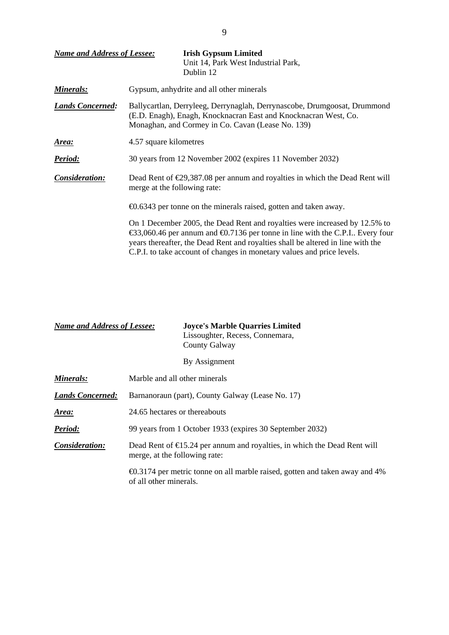| <b>Name and Address of Lessee:</b> | <b>Irish Gypsum Limited</b><br>Unit 14, Park West Industrial Park,<br>Dublin 12                                                                                                                                                                                                                                                                                  |  |
|------------------------------------|------------------------------------------------------------------------------------------------------------------------------------------------------------------------------------------------------------------------------------------------------------------------------------------------------------------------------------------------------------------|--|
| <b>Minerals:</b>                   | Gypsum, anhydrite and all other minerals                                                                                                                                                                                                                                                                                                                         |  |
| <b>Lands Concerned:</b>            | Ballycartlan, Derryleeg, Derrynaglah, Derrynascobe, Drumgoosat, Drummond<br>(E.D. Enagh), Enagh, Knocknacran East and Knocknacran West, Co.<br>Monaghan, and Cormey in Co. Cavan (Lease No. 139)                                                                                                                                                                 |  |
| <u>Area:</u>                       | 4.57 square kilometres                                                                                                                                                                                                                                                                                                                                           |  |
| Period:                            | 30 years from 12 November 2002 (expires 11 November 2032)                                                                                                                                                                                                                                                                                                        |  |
| Consideration:                     | Dead Rent of $\epsilon$ 29,387.08 per annum and royalties in which the Dead Rent will<br>merge at the following rate:                                                                                                                                                                                                                                            |  |
|                                    | €0.6343 per tonne on the minerals raised, gotten and taken away.                                                                                                                                                                                                                                                                                                 |  |
|                                    | On 1 December 2005, the Dead Rent and royalties were increased by 12.5% to<br>$\text{\textsterling}3,060.46$ per annum and $\text{\textsterling}0.7136$ per tonne in line with the C.P.I Every four<br>years thereafter, the Dead Rent and royalties shall be altered in line with the<br>C.P.I. to take account of changes in monetary values and price levels. |  |

| <b>Name and Address of Lessee:</b> | <b>Joyce's Marble Quarries Limited</b> |
|------------------------------------|----------------------------------------|
|                                    | Lissoughter, Recess, Connemara,        |
|                                    | County Galway                          |

| By Assignment |
|---------------|
|               |

| Minerals:               | Marble and all other minerals                                                                                      |
|-------------------------|--------------------------------------------------------------------------------------------------------------------|
| <b>Lands Concerned:</b> | Barnanoraun (part), County Galway (Lease No. 17)                                                                   |
| Area:                   | 24.65 hectares or thereabouts                                                                                      |
| Period:                 | 99 years from 1 October 1933 (expires 30 September 2032)                                                           |
| Consideration:          | Dead Rent of $\epsilon$ 5.24 per annum and royalties, in which the Dead Rent will<br>merge, at the following rate: |
|                         | $\bigoplus$ 3174 per metric tonne on all marble raised, gotten and taken away and 4%<br>of all other minerals.     |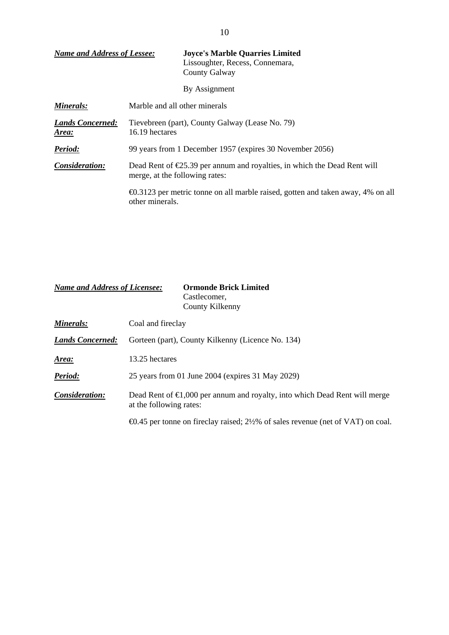| <b>Name and Address of Lessee:</b>      | <b>Joyce's Marble Quarries Limited</b><br>Lissoughter, Recess, Connemara,<br><b>County Galway</b>                    |
|-----------------------------------------|----------------------------------------------------------------------------------------------------------------------|
|                                         | By Assignment                                                                                                        |
| Minerals:                               | Marble and all other minerals                                                                                        |
| <b>Lands Concerned:</b><br><u>Area:</u> | Tievebreen (part), County Galway (Lease No. 79)<br>16.19 hectares                                                    |
| Period:                                 | 99 years from 1 December 1957 (expires 30 November 2056)                                                             |
| Consideration:                          | Dead Rent of $\epsilon$ 25.39 per annum and royalties, in which the Dead Rent will<br>merge, at the following rates: |
|                                         | $\bigoplus$ 3123 per metric tonne on all marble raised, gotten and taken away, 4% on all<br>other minerals.          |

| <b>Name and Address of Licensee:</b> |                                                   | <b>Ormonde Brick Limited</b><br>Castlecomer,<br>County Kilkenny                               |  |  |
|--------------------------------------|---------------------------------------------------|-----------------------------------------------------------------------------------------------|--|--|
| Minerals:                            | Coal and fireclay                                 |                                                                                               |  |  |
| <b>Lands Concerned:</b>              | Gorteen (part), County Kilkenny (Licence No. 134) |                                                                                               |  |  |
| Area:                                | 13.25 hectares                                    |                                                                                               |  |  |
| Period:                              |                                                   | 25 years from 01 June 2004 (expires 31 May 2029)                                              |  |  |
| Consideration:                       | at the following rates:                           | Dead Rent of $\epsilon 1,000$ per annum and royalty, into which Dead Rent will merge          |  |  |
|                                      |                                                   | $\triangleleft$ 0.45 per tonne on fireclay raised; 2½% of sales revenue (net of VAT) on coal. |  |  |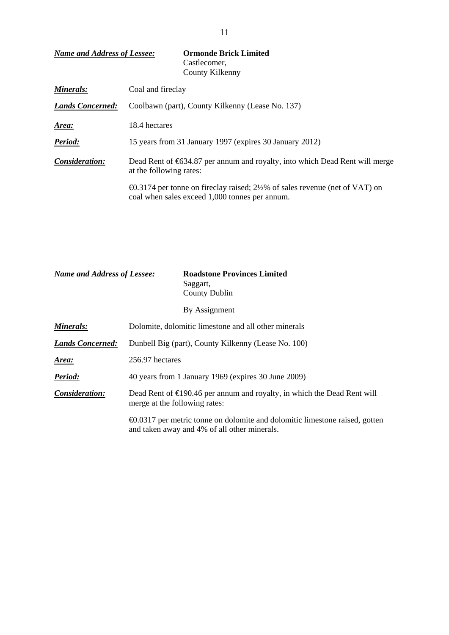| <b>Name and Address of Lessee:</b><br>Castlecomer,<br>County Kilkenny       |                                                                                   |
|-----------------------------------------------------------------------------|-----------------------------------------------------------------------------------|
| Coal and fireclay                                                           |                                                                                   |
| <b>Lands Concerned:</b><br>Coolbawn (part), County Kilkenny (Lease No. 137) |                                                                                   |
| 18.4 hectares                                                               |                                                                                   |
| 15 years from 31 January 1997 (expires 30 January 2012)                     |                                                                                   |
| Consideration:<br>at the following rates:                                   | Dead Rent of €634.87 per annum and royalty, into which Dead Rent will merge       |
| coal when sales exceed 1,000 tonnes per annum.                              | <b>€0.3174</b> per tonne on fireclay raised; 2½% of sales revenue (net of VAT) on |
|                                                                             |                                                                                   |

| <b>Name and Address of Lessee:</b> |                               | <b>Roadstone Provinces Limited</b><br>Saggart,<br><b>County Dublin</b>                                                             |
|------------------------------------|-------------------------------|------------------------------------------------------------------------------------------------------------------------------------|
|                                    |                               | By Assignment                                                                                                                      |
| Minerals:                          |                               | Dolomite, dolomitic limestone and all other minerals                                                                               |
| <b>Lands Concerned:</b>            |                               | Dunbell Big (part), County Kilkenny (Lease No. 100)                                                                                |
| Area:                              | 256.97 hectares               |                                                                                                                                    |
| Period:                            |                               | 40 years from 1 January 1969 (expires 30 June 2009)                                                                                |
| Consideration:                     | merge at the following rates: | Dead Rent of $\in$ 190.46 per annum and royalty, in which the Dead Rent will                                                       |
|                                    |                               | $\Theta$ .0317 per metric tonne on dolomite and dolomitic limestone raised, gotten<br>and taken away and 4% of all other minerals. |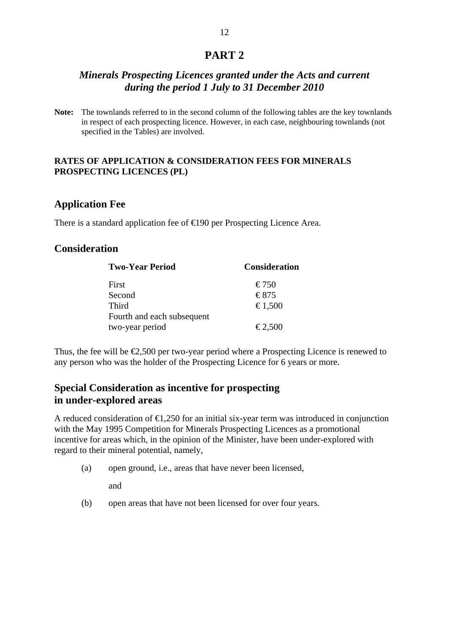## **PART 2**

## *Minerals Prospecting Licences granted under the Acts and current during the period 1 July to 31 December 2010*

**Note:** The townlands referred to in the second column of the following tables are the key townlands in respect of each prospecting licence. However, in each case, neighbouring townlands (not specified in the Tables) are involved.

### **RATES OF APPLICATION & CONSIDERATION FEES FOR MINERALS PROSPECTING LICENCES (PL)**

## **Application Fee**

There is a standard application fee of  $\in$ 190 per Prospecting Licence Area.

## **Consideration**

| <b>Two-Year Period</b>     | <b>Consideration</b>      |
|----------------------------|---------------------------|
| First                      | $\text{\textsterling}750$ |
| Second                     | €875                      |
| Third                      | €1,500                    |
| Fourth and each subsequent |                           |
| two-year period            | $\epsilon$ 2,500          |

Thus, the fee will be  $\epsilon$ ,500 per two-year period where a Prospecting Licence is renewed to any person who was the holder of the Prospecting Licence for 6 years or more.

## **Special Consideration as incentive for prospecting in under-explored areas**

A reduced consideration of  $\epsilon$ 1,250 for an initial six-year term was introduced in conjunction with the May 1995 Competition for Minerals Prospecting Licences as a promotional incentive for areas which, in the opinion of the Minister, have been under-explored with regard to their mineral potential, namely,

(a) open ground, i.e., areas that have never been licensed,

and

(b) open areas that have not been licensed for over four years.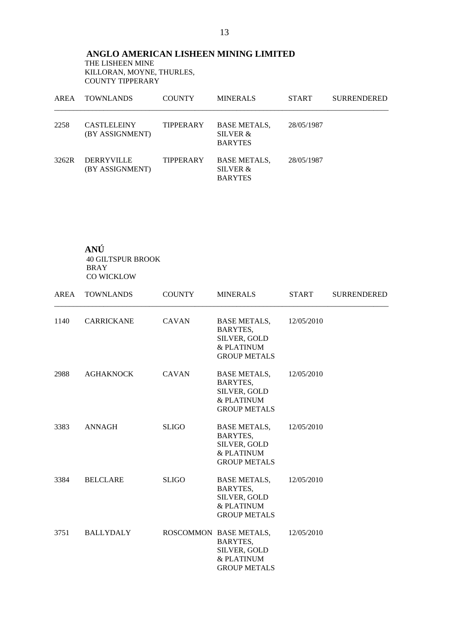**ANGLO AMERICAN LISHEEN MINING LIMITED**  THE LISHEEN MINE KILLORAN, MOYNE, THURLES, COUNTY TIPPERARY

| AREA  | <b>TOWNLANDS</b>                      | <b>COUNTY</b>    | <b>MINERALS</b>                                   | <b>START</b> | <b>SURRENDERED</b> |
|-------|---------------------------------------|------------------|---------------------------------------------------|--------------|--------------------|
| 2258  | <b>CASTLELEINY</b><br>(BY ASSIGNMENT) | <b>TIPPERARY</b> | <b>BASE METALS,</b><br>SILVER &<br><b>BARYTES</b> | 28/05/1987   |                    |
| 3262R | <b>DERRYVILLE</b><br>(BY ASSIGNMENT)  | TIPPERARY        | <b>BASE METALS,</b><br>SILVER &<br><b>BARYTES</b> | 28/05/1987   |                    |

**ANÚ**  40 GILTSPUR BROOK BRAY CO WICKLOW

|      | AREA TOWNLANDS    | <b>COUNTY</b> | <b>MINERALS</b>                                                                         | <b>START</b> | <b>SURRENDERED</b> |
|------|-------------------|---------------|-----------------------------------------------------------------------------------------|--------------|--------------------|
| 1140 | <b>CARRICKANE</b> | <b>CAVAN</b>  | <b>BASE METALS,</b><br>BARYTES,<br>SILVER, GOLD<br>& PLATINUM<br><b>GROUP METALS</b>    | 12/05/2010   |                    |
| 2988 | <b>AGHAKNOCK</b>  | <b>CAVAN</b>  | <b>BASE METALS,</b><br>BARYTES,<br>SILVER, GOLD<br>& PLATINUM<br><b>GROUP METALS</b>    | 12/05/2010   |                    |
| 3383 | <b>ANNAGH</b>     | <b>SLIGO</b>  | <b>BASE METALS,</b><br>BARYTES,<br>SILVER, GOLD<br>& PLATINUM<br><b>GROUP METALS</b>    | 12/05/2010   |                    |
| 3384 | <b>BELCLARE</b>   | <b>SLIGO</b>  | <b>BASE METALS,</b><br>BARYTES,<br>SILVER, GOLD<br>& PLATINUM<br><b>GROUP METALS</b>    | 12/05/2010   |                    |
| 3751 | BALLYDALY         |               | ROSCOMMON BASE METALS,<br>BARYTES,<br>SILVER, GOLD<br>& PLATINUM<br><b>GROUP METALS</b> | 12/05/2010   |                    |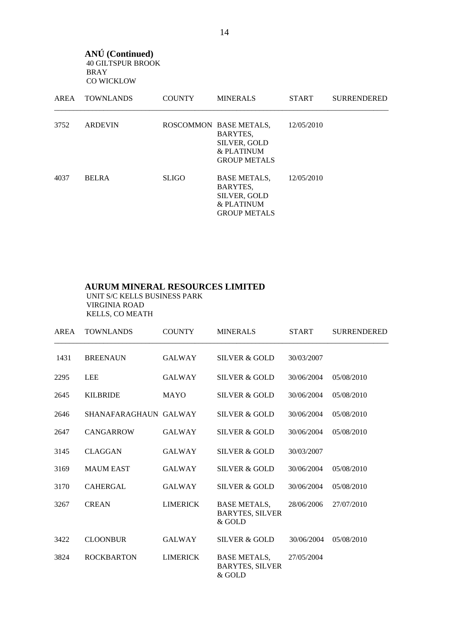**ANÚ (Continued)**  40 GILTSPUR BROOK BRAY CO WICKLOW

| AREA | <b>TOWNLANDS</b> | <b>COUNTY</b> | <b>MINERALS</b>                                                                                | <b>START</b> | <b>SURRENDERED</b> |
|------|------------------|---------------|------------------------------------------------------------------------------------------------|--------------|--------------------|
| 3752 | <b>ARDEVIN</b>   |               | ROSCOMMON BASE METALS,<br>BARYTES,<br><b>SILVER, GOLD</b><br>& PLATINUM<br><b>GROUP METALS</b> | 12/05/2010   |                    |
| 4037 | <b>BELRA</b>     | <b>SLIGO</b>  | <b>BASE METALS,</b><br>BARYTES,<br>SILVER, GOLD<br>& PLATINUM<br><b>GROUP METALS</b>           | 12/05/2010   |                    |

#### **AURUM MINERAL RESOURCES LIMITED**

 UNIT S/C KELLS BUSINESS PARK VIRGINIA ROAD KELLS, CO MEATH

| <b>AREA</b> | <b>TOWNLANDS</b>      | <b>COUNTY</b>   | <b>MINERALS</b>                                         | <b>START</b> | <b>SURRENDERED</b> |
|-------------|-----------------------|-----------------|---------------------------------------------------------|--------------|--------------------|
| 1431        | <b>BREENAUN</b>       | <b>GALWAY</b>   | <b>SILVER &amp; GOLD</b>                                | 30/03/2007   |                    |
| 2295        | <b>LEE</b>            | <b>GALWAY</b>   | SILVER & GOLD                                           | 30/06/2004   | 05/08/2010         |
| 2645        | <b>KILBRIDE</b>       | <b>MAYO</b>     | SILVER & GOLD                                           | 30/06/2004   | 05/08/2010         |
| 2646        | SHANAFARAGHAUN GALWAY |                 | SILVER & GOLD                                           | 30/06/2004   | 05/08/2010         |
| 2647        | <b>CANGARROW</b>      | <b>GALWAY</b>   | <b>SILVER &amp; GOLD</b>                                | 30/06/2004   | 05/08/2010         |
| 3145        | <b>CLAGGAN</b>        | <b>GALWAY</b>   | <b>SILVER &amp; GOLD</b>                                | 30/03/2007   |                    |
| 3169        | <b>MAUM EAST</b>      | <b>GALWAY</b>   | SILVER & GOLD                                           | 30/06/2004   | 05/08/2010         |
| 3170        | <b>CAHERGAL</b>       | <b>GALWAY</b>   | <b>SILVER &amp; GOLD</b>                                | 30/06/2004   | 05/08/2010         |
| 3267        | <b>CREAN</b>          | <b>LIMERICK</b> | <b>BASE METALS,</b><br><b>BARYTES, SILVER</b><br>& GOLD | 28/06/2006   | 27/07/2010         |
| 3422        | <b>CLOONBUR</b>       | <b>GALWAY</b>   | <b>SILVER &amp; GOLD</b>                                | 30/06/2004   | 05/08/2010         |
| 3824        | <b>ROCKBARTON</b>     | <b>LIMERICK</b> | <b>BASE METALS,</b><br><b>BARYTES, SILVER</b><br>& GOLD | 27/05/2004   |                    |

14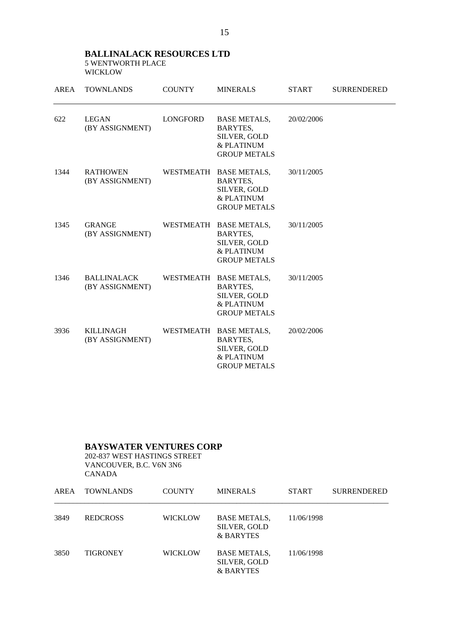#### **BALLINALACK RESOURCES LTD**  5 WENTWORTH PLACE WICKLOW

| AREA | <b>TOWNLANDS</b>                      | <b>COUNTY</b> | <b>MINERALS</b>                                                                         | <b>START</b> | <b>SURRENDERED</b> |
|------|---------------------------------------|---------------|-----------------------------------------------------------------------------------------|--------------|--------------------|
| 622  | <b>LEGAN</b><br>(BY ASSIGNMENT)       | LONGFORD      | <b>BASE METALS,</b><br>BARYTES,<br>SILVER, GOLD<br>& PLATINUM<br><b>GROUP METALS</b>    | 20/02/2006   |                    |
| 1344 | <b>RATHOWEN</b><br>(BY ASSIGNMENT)    | WESTMEATH     | <b>BASE METALS,</b><br>BARYTES,<br>SILVER, GOLD<br>& PLATINUM<br><b>GROUP METALS</b>    | 30/11/2005   |                    |
| 1345 | <b>GRANGE</b><br>(BY ASSIGNMENT)      |               | WESTMEATH BASE METALS,<br>BARYTES,<br>SILVER, GOLD<br>& PLATINUM<br><b>GROUP METALS</b> | 30/11/2005   |                    |
| 1346 | <b>BALLINALACK</b><br>(BY ASSIGNMENT) |               | WESTMEATH BASE METALS,<br>BARYTES,<br>SILVER, GOLD<br>& PLATINUM<br><b>GROUP METALS</b> | 30/11/2005   |                    |
| 3936 | <b>KILLINAGH</b><br>(BY ASSIGNMENT)   | WESTMEATH     | <b>BASE METALS,</b><br>BARYTES,<br>SILVER, GOLD<br>& PLATINUM<br><b>GROUP METALS</b>    | 20/02/2006   |                    |

## **BAYSWATER VENTURES CORP**

 202-837 WEST HASTINGS STREET VANCOUVER, B.C. V6N 3N6 CANADA

| AREA | <b>TOWNLANDS</b> | <b>COUNTY</b>  | <b>MINERALS</b>                                                    | <b>START</b> | <b>SURRENDERED</b> |
|------|------------------|----------------|--------------------------------------------------------------------|--------------|--------------------|
| 3849 | <b>REDCROSS</b>  | <b>WICKLOW</b> | <b>BASE METALS,</b><br><b>SILVER, GOLD</b><br><b>&amp; BARYTES</b> | 11/06/1998   |                    |
| 3850 | <b>TIGRONEY</b>  | WICKLOW        | <b>BASE METALS,</b><br><b>SILVER, GOLD</b><br><b>&amp; BARYTES</b> | 11/06/1998   |                    |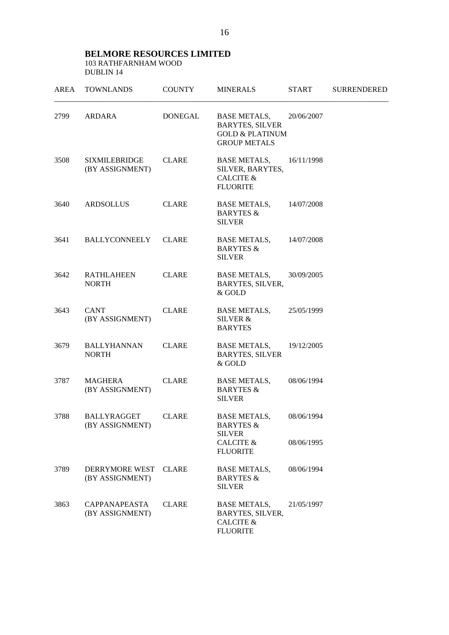#### **BELMORE RESOURCES LIMITED**  103 RATHFARNHAM WOOD DUBLIN 14

| <b>AREA</b> | <b>TOWNLANDS</b>                        | <b>COUNTY</b> | <b>MINERALS</b>                                                                                    | <b>START</b>             | <b>SURRENDERED</b> |
|-------------|-----------------------------------------|---------------|----------------------------------------------------------------------------------------------------|--------------------------|--------------------|
| 2799        | ARDARA                                  | DONEGAL       | <b>BASE METALS,</b><br><b>BARYTES, SILVER</b><br><b>GOLD &amp; PLATINUM</b><br><b>GROUP METALS</b> | 20/06/2007               |                    |
| 3508        | <b>SIXMILEBRIDGE</b><br>(BY ASSIGNMENT) | <b>CLARE</b>  | <b>BASE METALS,</b><br>SILVER, BARYTES,<br><b>CALCITE &amp;</b><br><b>FLUORITE</b>                 | 16/11/1998               |                    |
| 3640        | <b>ARDSOLLUS</b>                        | <b>CLARE</b>  | <b>BASE METALS,</b><br><b>BARYTES &amp;</b><br><b>SILVER</b>                                       | 14/07/2008               |                    |
| 3641        | <b>BALLYCONNEELY</b>                    | <b>CLARE</b>  | <b>BASE METALS,</b><br><b>BARYTES &amp;</b><br><b>SILVER</b>                                       | 14/07/2008               |                    |
| 3642        | <b>RATHLAHEEN</b><br><b>NORTH</b>       | <b>CLARE</b>  | <b>BASE METALS,</b><br>BARYTES, SILVER,<br>& GOLD                                                  | 30/09/2005               |                    |
| 3643        | <b>CANT</b><br>(BY ASSIGNMENT)          | <b>CLARE</b>  | <b>BASE METALS,</b><br>SILVER &<br><b>BARYTES</b>                                                  | 25/05/1999               |                    |
| 3679        | <b>BALLYHANNAN</b><br><b>NORTH</b>      | <b>CLARE</b>  | <b>BASE METALS,</b><br><b>BARYTES, SILVER</b><br>& GOLD                                            | 19/12/2005               |                    |
| 3787        | MAGHERA<br>(BY ASSIGNMENT)              | <b>CLARE</b>  | <b>BASE METALS,</b><br><b>BARYTES &amp;</b><br><b>SILVER</b>                                       | 08/06/1994               |                    |
| 3788        | <b>BALLYRAGGET</b><br>(BY ASSIGNMENT)   | <b>CLARE</b>  | <b>BASE METALS,</b><br>BARYTES &<br><b>SILVER</b><br><b>CALCITE &amp;</b>                          | 08/06/1994<br>08/06/1995 |                    |
|             |                                         |               | <b>FLUORITE</b>                                                                                    |                          |                    |
| 3789        | DERRYMORE WEST<br>(BY ASSIGNMENT)       | <b>CLARE</b>  | <b>BASE METALS,</b><br><b>BARYTES &amp;</b><br><b>SILVER</b>                                       | 08/06/1994               |                    |
| 3863        | <b>CAPPANAPEASTA</b><br>(BY ASSIGNMENT) | <b>CLARE</b>  | <b>BASE METALS,</b><br>BARYTES, SILVER,<br><b>CALCITE &amp;</b><br><b>FLUORITE</b>                 | 21/05/1997               |                    |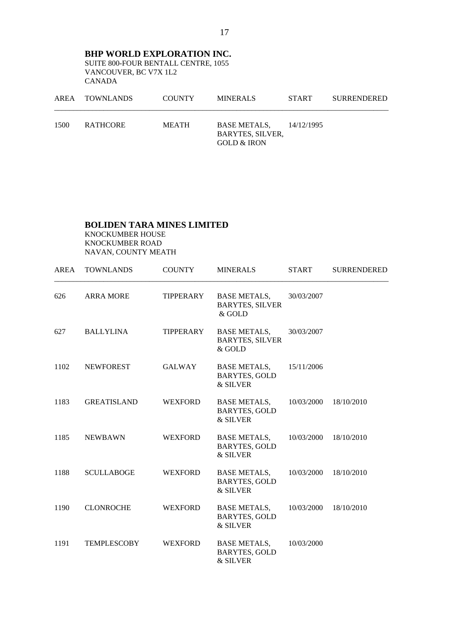**BHP WORLD EXPLORATION INC.** SUITE 800-FOUR BENTALL CENTRE, 1055 VANCOUVER, BC V7X 1L2 CANADA

| AREA | TOWNLANDS | <b>COUNTY</b> | <b>MINERALS</b>                                                          | <b>START</b> | <b>SURRENDERED</b> |
|------|-----------|---------------|--------------------------------------------------------------------------|--------------|--------------------|
| 1500 | RATHCORE  | MEATH         | <b>BASE METALS.</b><br><b>BARYTES, SILVER,</b><br><b>GOLD &amp; IRON</b> | 14/12/1995   |                    |

#### **BOLIDEN TARA MINES LIMITED**

 KNOCKUMBER HOUSE KNOCKUMBER ROAD NAVAN, COUNTY MEATH

| AREA | <b>TOWNLANDS</b>   | <b>COUNTY</b>  | <b>MINERALS</b>                                           | <b>START</b> | <b>SURRENDERED</b> |
|------|--------------------|----------------|-----------------------------------------------------------|--------------|--------------------|
| 626  | <b>ARRA MORE</b>   | TIPPERARY      | <b>BASE METALS,</b><br><b>BARYTES, SILVER</b><br>$&$ GOLD | 30/03/2007   |                    |
| 627  | <b>BALLYLINA</b>   | TIPPERARY      | <b>BASE METALS,</b><br><b>BARYTES, SILVER</b><br>& GOLD   | 30/03/2007   |                    |
| 1102 | <b>NEWFOREST</b>   | GALWAY         | <b>BASE METALS,</b><br><b>BARYTES, GOLD</b><br>& SILVER   | 15/11/2006   |                    |
| 1183 | <b>GREATISLAND</b> | <b>WEXFORD</b> | <b>BASE METALS,</b><br><b>BARYTES, GOLD</b><br>& SILVER   | 10/03/2000   | 18/10/2010         |
| 1185 | <b>NEWBAWN</b>     | <b>WEXFORD</b> | <b>BASE METALS,</b><br><b>BARYTES, GOLD</b><br>& SILVER   | 10/03/2000   | 18/10/2010         |
| 1188 | <b>SCULLABOGE</b>  | <b>WEXFORD</b> | <b>BASE METALS,</b><br><b>BARYTES, GOLD</b><br>& SILVER   | 10/03/2000   | 18/10/2010         |
| 1190 | <b>CLONROCHE</b>   | <b>WEXFORD</b> | <b>BASE METALS,</b><br><b>BARYTES, GOLD</b><br>& SILVER   | 10/03/2000   | 18/10/2010         |
| 1191 | <b>TEMPLESCOBY</b> | <b>WEXFORD</b> | <b>BASE METALS,</b><br><b>BARYTES, GOLD</b><br>& SILVER   | 10/03/2000   |                    |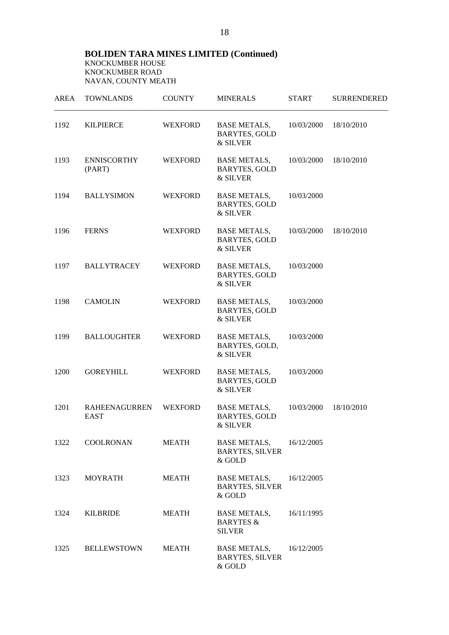| AREA | <b>TOWNLANDS</b>                    | <b>COUNTY</b>  | <b>MINERALS</b>                                              | <b>START</b> | <b>SURRENDERED</b> |
|------|-------------------------------------|----------------|--------------------------------------------------------------|--------------|--------------------|
| 1192 | <b>KILPIERCE</b>                    | <b>WEXFORD</b> | BASE METALS,<br><b>BARYTES, GOLD</b><br>& SILVER             | 10/03/2000   | 18/10/2010         |
| 1193 | <b>ENNISCORTHY</b><br>(PART)        | <b>WEXFORD</b> | <b>BASE METALS,</b><br><b>BARYTES, GOLD</b><br>& SILVER      | 10/03/2000   | 18/10/2010         |
| 1194 | <b>BALLYSIMON</b>                   | <b>WEXFORD</b> | <b>BASE METALS,</b><br><b>BARYTES, GOLD</b><br>& SILVER      | 10/03/2000   |                    |
| 1196 | <b>FERNS</b>                        | <b>WEXFORD</b> | <b>BASE METALS,</b><br><b>BARYTES, GOLD</b><br>& SILVER      | 10/03/2000   | 18/10/2010         |
| 1197 | <b>BALLYTRACEY</b>                  | <b>WEXFORD</b> | <b>BASE METALS,</b><br><b>BARYTES, GOLD</b><br>& SILVER      | 10/03/2000   |                    |
| 1198 | <b>CAMOLIN</b>                      | <b>WEXFORD</b> | <b>BASE METALS,</b><br><b>BARYTES, GOLD</b><br>& SILVER      | 10/03/2000   |                    |
| 1199 | <b>BALLOUGHTER</b>                  | <b>WEXFORD</b> | <b>BASE METALS,</b><br>BARYTES, GOLD,<br>& SILVER            | 10/03/2000   |                    |
| 1200 | <b>GOREYHILL</b>                    | <b>WEXFORD</b> | <b>BASE METALS,</b><br><b>BARYTES, GOLD</b><br>& SILVER      | 10/03/2000   |                    |
| 1201 | <b>RAHEENAGURREN</b><br><b>EAST</b> | <b>WEXFORD</b> | <b>BASE METALS,</b><br><b>BARYTES, GOLD</b><br>& SILVER      | 10/03/2000   | 18/10/2010         |
| 1322 | COOLRONAN                           | MEATH          | <b>BASE METALS,</b><br><b>BARYTES, SILVER</b><br>& GOLD      | 16/12/2005   |                    |
| 1323 | <b>MOYRATH</b>                      | <b>MEATH</b>   | <b>BASE METALS,</b><br><b>BARYTES, SILVER</b><br>& GOLD      | 16/12/2005   |                    |
| 1324 | <b>KILBRIDE</b>                     | <b>MEATH</b>   | <b>BASE METALS,</b><br><b>BARYTES &amp;</b><br><b>SILVER</b> | 16/11/1995   |                    |
| 1325 | <b>BELLEWSTOWN</b>                  | <b>MEATH</b>   | <b>BASE METALS,</b><br><b>BARYTES, SILVER</b><br>& GOLD      | 16/12/2005   |                    |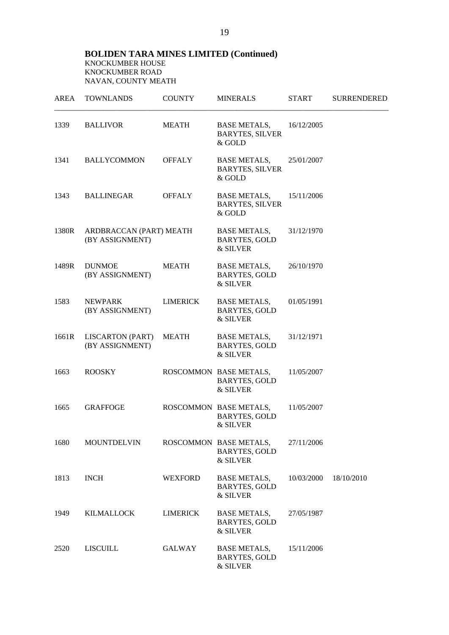| AREA  | <b>TOWNLANDS</b>                           | <b>COUNTY</b>   | <b>MINERALS</b>                                            | <b>START</b> | <b>SURRENDERED</b> |
|-------|--------------------------------------------|-----------------|------------------------------------------------------------|--------------|--------------------|
| 1339  | <b>BALLIVOR</b>                            | <b>MEATH</b>    | <b>BASE METALS,</b><br><b>BARYTES, SILVER</b><br>& GOLD    | 16/12/2005   |                    |
| 1341  | <b>BALLYCOMMON</b>                         | <b>OFFALY</b>   | <b>BASE METALS,</b><br><b>BARYTES, SILVER</b><br>& GOLD    | 25/01/2007   |                    |
| 1343  | <b>BALLINEGAR</b>                          | <b>OFFALY</b>   | <b>BASE METALS,</b><br><b>BARYTES, SILVER</b><br>& GOLD    | 15/11/2006   |                    |
| 1380R | ARDBRACCAN (PART) MEATH<br>(BY ASSIGNMENT) |                 | <b>BASE METALS,</b><br><b>BARYTES, GOLD</b><br>& SILVER    | 31/12/1970   |                    |
| 1489R | <b>DUNMOE</b><br>(BY ASSIGNMENT)           | <b>MEATH</b>    | BASE METALS,<br><b>BARYTES, GOLD</b><br>& SILVER           | 26/10/1970   |                    |
| 1583  | <b>NEWPARK</b><br>(BY ASSIGNMENT)          | <b>LIMERICK</b> | <b>BASE METALS,</b><br><b>BARYTES, GOLD</b><br>& SILVER    | 01/05/1991   |                    |
| 1661R | <b>LISCARTON (PART)</b><br>(BY ASSIGNMENT) | <b>MEATH</b>    | <b>BASE METALS,</b><br><b>BARYTES, GOLD</b><br>& SILVER    | 31/12/1971   |                    |
| 1663  | <b>ROOSKY</b>                              |                 | ROSCOMMON BASE METALS,<br><b>BARYTES, GOLD</b><br>& SILVER | 11/05/2007   |                    |
| 1665  | <b>GRAFFOGE</b>                            |                 | ROSCOMMON BASE METALS,<br><b>BARYTES, GOLD</b><br>& SILVER | 11/05/2007   |                    |
| 1680  | <b>MOUNTDELVIN</b>                         |                 | ROSCOMMON BASE METALS,<br><b>BARYTES, GOLD</b><br>& SILVER | 27/11/2006   |                    |
| 1813  | <b>INCH</b>                                | <b>WEXFORD</b>  | <b>BASE METALS,</b><br><b>BARYTES, GOLD</b><br>& SILVER    | 10/03/2000   | 18/10/2010         |
| 1949  | <b>KILMALLOCK</b>                          | <b>LIMERICK</b> | <b>BASE METALS,</b><br><b>BARYTES, GOLD</b><br>& SILVER    | 27/05/1987   |                    |
| 2520  | <b>LISCUILL</b>                            | <b>GALWAY</b>   | <b>BASE METALS,</b><br><b>BARYTES, GOLD</b><br>& SILVER    | 15/11/2006   |                    |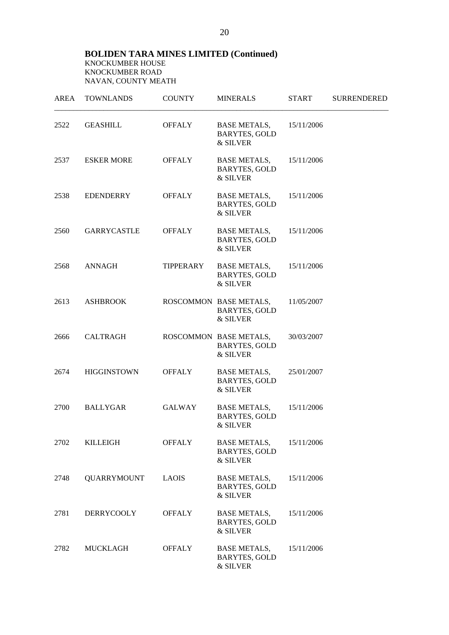| AREA | <b>TOWNLANDS</b>   | <b>COUNTY</b> | <b>MINERALS</b>                                            | <b>START</b> | <b>SURRENDERED</b> |
|------|--------------------|---------------|------------------------------------------------------------|--------------|--------------------|
| 2522 | <b>GEASHILL</b>    | OFFALY        | BASE METALS,<br><b>BARYTES, GOLD</b><br>& SILVER           | 15/11/2006   |                    |
| 2537 | <b>ESKER MORE</b>  | <b>OFFALY</b> | BASE METALS,<br><b>BARYTES, GOLD</b><br>& SILVER           | 15/11/2006   |                    |
| 2538 | EDENDERRY          | <b>OFFALY</b> | BASE METALS,<br><b>BARYTES, GOLD</b><br>& SILVER           | 15/11/2006   |                    |
| 2560 | <b>GARRYCASTLE</b> | OFFALY        | BASE METALS,<br><b>BARYTES, GOLD</b><br>& SILVER           | 15/11/2006   |                    |
| 2568 | ANNAGH             | TIPPERARY     | <b>BASE METALS,</b><br><b>BARYTES, GOLD</b><br>& SILVER    | 15/11/2006   |                    |
| 2613 | <b>ASHBROOK</b>    |               | ROSCOMMON BASE METALS,<br><b>BARYTES, GOLD</b><br>& SILVER | 11/05/2007   |                    |
| 2666 | CALTRAGH           |               | ROSCOMMON BASE METALS,<br><b>BARYTES, GOLD</b><br>& SILVER | 30/03/2007   |                    |
| 2674 | <b>HIGGINSTOWN</b> | <b>OFFALY</b> | BASE METALS,<br><b>BARYTES, GOLD</b><br>& SILVER           | 25/01/2007   |                    |
| 2700 | BALLYGAR           | GALWAY        | <b>BASE METALS,</b><br><b>BARYTES, GOLD</b><br>& SILVER    | 15/11/2006   |                    |
| 2702 | <b>KILLEIGH</b>    | <b>OFFALY</b> | <b>BASE METALS,</b><br><b>BARYTES, GOLD</b><br>& SILVER    | 15/11/2006   |                    |
| 2748 | <b>QUARRYMOUNT</b> | <b>LAOIS</b>  | <b>BASE METALS,</b><br><b>BARYTES, GOLD</b><br>& SILVER    | 15/11/2006   |                    |
| 2781 | <b>DERRYCOOLY</b>  | <b>OFFALY</b> | <b>BASE METALS,</b><br><b>BARYTES, GOLD</b><br>& SILVER    | 15/11/2006   |                    |
| 2782 | <b>MUCKLAGH</b>    | <b>OFFALY</b> | <b>BASE METALS,</b><br><b>BARYTES, GOLD</b><br>& SILVER    | 15/11/2006   |                    |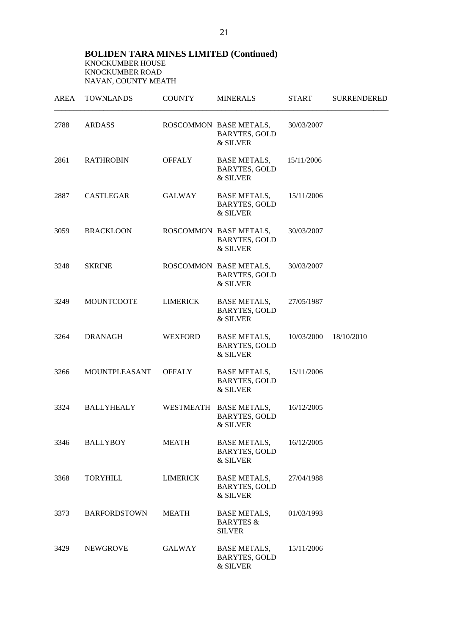| AREA | <b>TOWNLANDS</b>    | <b>COUNTY</b>   | <b>MINERALS</b>                                              | <b>START</b> | <b>SURRENDERED</b> |
|------|---------------------|-----------------|--------------------------------------------------------------|--------------|--------------------|
| 2788 | ARDASS              |                 | ROSCOMMON BASE METALS,<br><b>BARYTES, GOLD</b><br>& SILVER   | 30/03/2007   |                    |
| 2861 | <b>RATHROBIN</b>    | <b>OFFALY</b>   | BASE METALS,<br><b>BARYTES, GOLD</b><br>& SILVER             | 15/11/2006   |                    |
| 2887 | CASTLEGAR           | GALWAY          | BASE METALS,<br><b>BARYTES, GOLD</b><br>& SILVER             | 15/11/2006   |                    |
| 3059 | <b>BRACKLOON</b>    |                 | ROSCOMMON BASE METALS,<br><b>BARYTES, GOLD</b><br>& SILVER   | 30/03/2007   |                    |
| 3248 | <b>SKRINE</b>       |                 | ROSCOMMON BASE METALS,<br><b>BARYTES, GOLD</b><br>& SILVER   | 30/03/2007   |                    |
| 3249 | <b>MOUNTCOOTE</b>   | LIMERICK        | <b>BASE METALS,</b><br><b>BARYTES, GOLD</b><br>& SILVER      | 27/05/1987   |                    |
| 3264 | <b>DRANAGH</b>      | <b>WEXFORD</b>  | <b>BASE METALS,</b><br><b>BARYTES, GOLD</b><br>& SILVER      | 10/03/2000   | 18/10/2010         |
| 3266 | MOUNTPLEASANT       | <b>OFFALY</b>   | <b>BASE METALS,</b><br><b>BARYTES, GOLD</b><br>& SILVER      | 15/11/2006   |                    |
| 3324 | <b>BALLYHEALY</b>   |                 | WESTMEATH BASE METALS,<br><b>BARYTES, GOLD</b><br>& SILVER   | 16/12/2005   |                    |
| 3346 | <b>BALLYBOY</b>     | <b>MEATH</b>    | <b>BASE METALS,</b><br><b>BARYTES, GOLD</b><br>& SILVER      | 16/12/2005   |                    |
| 3368 | <b>TORYHILL</b>     | <b>LIMERICK</b> | <b>BASE METALS,</b><br><b>BARYTES, GOLD</b><br>& SILVER      | 27/04/1988   |                    |
| 3373 | <b>BARFORDSTOWN</b> | <b>MEATH</b>    | <b>BASE METALS,</b><br><b>BARYTES &amp;</b><br><b>SILVER</b> | 01/03/1993   |                    |
| 3429 | <b>NEWGROVE</b>     | GALWAY          | <b>BASE METALS,</b><br><b>BARYTES, GOLD</b><br>& SILVER      | 15/11/2006   |                    |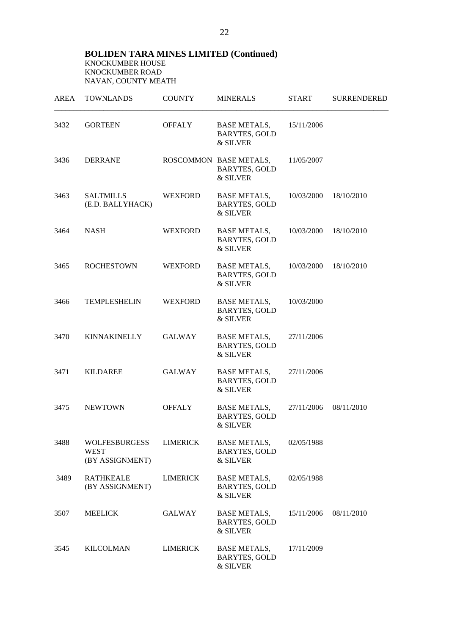| AREA | <b>TOWNLANDS</b>                                       | <b>COUNTY</b>   | <b>MINERALS</b>                                            | <b>START</b> | <b>SURRENDERED</b> |
|------|--------------------------------------------------------|-----------------|------------------------------------------------------------|--------------|--------------------|
| 3432 | <b>GORTEEN</b>                                         | <b>OFFALY</b>   | BASE METALS,<br><b>BARYTES, GOLD</b><br>& SILVER           | 15/11/2006   |                    |
| 3436 | <b>DERRANE</b>                                         |                 | ROSCOMMON BASE METALS,<br><b>BARYTES, GOLD</b><br>& SILVER | 11/05/2007   |                    |
| 3463 | <b>SALTMILLS</b><br>(E.D. BALLYHACK)                   | <b>WEXFORD</b>  | BASE METALS,<br><b>BARYTES, GOLD</b><br>& SILVER           | 10/03/2000   | 18/10/2010         |
| 3464 | <b>NASH</b>                                            | <b>WEXFORD</b>  | BASE METALS,<br><b>BARYTES, GOLD</b><br>& SILVER           | 10/03/2000   | 18/10/2010         |
| 3465 | <b>ROCHESTOWN</b>                                      | <b>WEXFORD</b>  | BASE METALS,<br><b>BARYTES, GOLD</b><br>& SILVER           | 10/03/2000   | 18/10/2010         |
| 3466 | <b>TEMPLESHELIN</b>                                    | <b>WEXFORD</b>  | <b>BASE METALS,</b><br><b>BARYTES, GOLD</b><br>& SILVER    | 10/03/2000   |                    |
| 3470 | <b>KINNAKINELLY</b>                                    | GALWAY          | <b>BASE METALS,</b><br><b>BARYTES, GOLD</b><br>& SILVER    | 27/11/2006   |                    |
| 3471 | <b>KILDAREE</b>                                        | <b>GALWAY</b>   | <b>BASE METALS,</b><br><b>BARYTES, GOLD</b><br>& SILVER    | 27/11/2006   |                    |
| 3475 | <b>NEWTOWN</b>                                         | <b>OFFALY</b>   | <b>BASE METALS,</b><br><b>BARYTES, GOLD</b><br>& SILVER    | 27/11/2006   | 08/11/2010         |
| 3488 | <b>WOLFESBURGESS</b><br><b>WEST</b><br>(BY ASSIGNMENT) | LIMERICK        | <b>BASE METALS,</b><br><b>BARYTES, GOLD</b><br>& SILVER    | 02/05/1988   |                    |
| 3489 | <b>RATHKEALE</b><br>(BY ASSIGNMENT)                    | <b>LIMERICK</b> | <b>BASE METALS,</b><br><b>BARYTES, GOLD</b><br>& SILVER    | 02/05/1988   |                    |
| 3507 | <b>MEELICK</b>                                         | <b>GALWAY</b>   | <b>BASE METALS,</b><br><b>BARYTES, GOLD</b><br>& SILVER    | 15/11/2006   | 08/11/2010         |
| 3545 | <b>KILCOLMAN</b>                                       | <b>LIMERICK</b> | <b>BASE METALS,</b><br><b>BARYTES, GOLD</b><br>& SILVER    | 17/11/2009   |                    |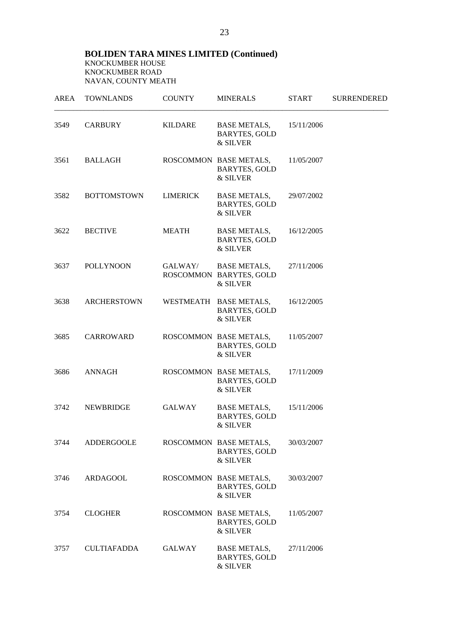|      | AREA TOWNLANDS     | <b>COUNTY</b>   | <b>MINERALS</b>                                            | START      | <b>SURRENDERED</b> |
|------|--------------------|-----------------|------------------------------------------------------------|------------|--------------------|
| 3549 | <b>CARBURY</b>     | KILDARE         | BASE METALS,<br><b>BARYTES, GOLD</b><br>& SILVER           | 15/11/2006 |                    |
| 3561 | BALLAGH            |                 | ROSCOMMON BASE METALS,<br><b>BARYTES, GOLD</b><br>& SILVER | 11/05/2007 |                    |
| 3582 | <b>BOTTOMSTOWN</b> | <b>LIMERICK</b> | BASE METALS,<br><b>BARYTES, GOLD</b><br>& SILVER           | 29/07/2002 |                    |
| 3622 | <b>BECTIVE</b>     | MEATH           | BASE METALS,<br><b>BARYTES, GOLD</b><br>& SILVER           | 16/12/2005 |                    |
| 3637 | <b>POLLYNOON</b>   | GALWAY/         | <b>BASE METALS,</b><br>ROSCOMMON BARYTES, GOLD<br>& SILVER | 27/11/2006 |                    |
| 3638 | <b>ARCHERSTOWN</b> |                 | WESTMEATH BASE METALS,<br><b>BARYTES, GOLD</b><br>& SILVER | 16/12/2005 |                    |
| 3685 | <b>CARROWARD</b>   |                 | ROSCOMMON BASE METALS,<br><b>BARYTES, GOLD</b><br>& SILVER | 11/05/2007 |                    |
| 3686 | ANNAGH             |                 | ROSCOMMON BASE METALS,<br><b>BARYTES, GOLD</b><br>& SILVER | 17/11/2009 |                    |
| 3742 | NEWBRIDGE          | GALWAY          | <b>BASE METALS,</b><br><b>BARYTES, GOLD</b><br>& SILVER    | 15/11/2006 |                    |
| 3744 | ADDERGOOLE         |                 | ROSCOMMON BASE METALS,<br><b>BARYTES, GOLD</b><br>& SILVER | 30/03/2007 |                    |
| 3746 | ARDAGOOL           |                 | ROSCOMMON BASE METALS,<br><b>BARYTES, GOLD</b><br>& SILVER | 30/03/2007 |                    |
| 3754 | <b>CLOGHER</b>     |                 | ROSCOMMON BASE METALS,<br><b>BARYTES, GOLD</b><br>& SILVER | 11/05/2007 |                    |
| 3757 | <b>CULTIAFADDA</b> | <b>GALWAY</b>   | <b>BASE METALS,</b><br><b>BARYTES, GOLD</b><br>& SILVER    | 27/11/2006 |                    |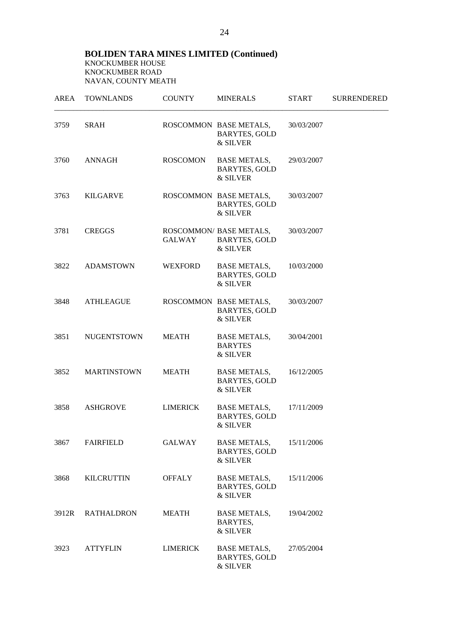| AREA  | <b>TOWNLANDS</b>   | <b>COUNTY</b>   | <b>MINERALS</b>                                             | <b>START</b> | <b>SURRENDERED</b> |
|-------|--------------------|-----------------|-------------------------------------------------------------|--------------|--------------------|
| 3759  | <b>SRAH</b>        |                 | ROSCOMMON BASE METALS,<br><b>BARYTES, GOLD</b><br>& SILVER  | 30/03/2007   |                    |
| 3760  | ANNAGH             | ROSCOMON        | BASE METALS,<br><b>BARYTES, GOLD</b><br>& SILVER            | 29/03/2007   |                    |
| 3763  | KILGARVE           |                 | ROSCOMMON BASE METALS,<br><b>BARYTES, GOLD</b><br>& SILVER  | 30/03/2007   |                    |
| 3781  | <b>CREGGS</b>      | GALWAY          | ROSCOMMON/ BASE METALS,<br><b>BARYTES, GOLD</b><br>& SILVER | 30/03/2007   |                    |
| 3822  | <b>ADAMSTOWN</b>   | WEXFORD         | <b>BASE METALS,</b><br><b>BARYTES, GOLD</b><br>& SILVER     | 10/03/2000   |                    |
| 3848  | <b>ATHLEAGUE</b>   |                 | ROSCOMMON BASE METALS,<br><b>BARYTES, GOLD</b><br>& SILVER  | 30/03/2007   |                    |
| 3851  | <b>NUGENTSTOWN</b> | MEATH           | <b>BASE METALS,</b><br><b>BARYTES</b><br>& SILVER           | 30/04/2001   |                    |
| 3852  | <b>MARTINSTOWN</b> | <b>MEATH</b>    | <b>BASE METALS,</b><br><b>BARYTES, GOLD</b><br>& SILVER     | 16/12/2005   |                    |
| 3858  | ASHGROVE           | <b>LIMERICK</b> | <b>BASE METALS,</b><br><b>BARYTES, GOLD</b><br>& SILVER     | 17/11/2009   |                    |
| 3867  | <b>FAIRFIELD</b>   | <b>GALWAY</b>   | <b>BASE METALS,</b><br><b>BARYTES, GOLD</b><br>& SILVER     | 15/11/2006   |                    |
| 3868  | <b>KILCRUTTIN</b>  | <b>OFFALY</b>   | <b>BASE METALS,</b><br><b>BARYTES, GOLD</b><br>& SILVER     | 15/11/2006   |                    |
| 3912R | <b>RATHALDRON</b>  | <b>MEATH</b>    | <b>BASE METALS,</b><br>BARYTES,<br>& SILVER                 | 19/04/2002   |                    |
| 3923  | <b>ATTYFLIN</b>    | <b>LIMERICK</b> | <b>BASE METALS,</b><br><b>BARYTES, GOLD</b><br>& SILVER     | 27/05/2004   |                    |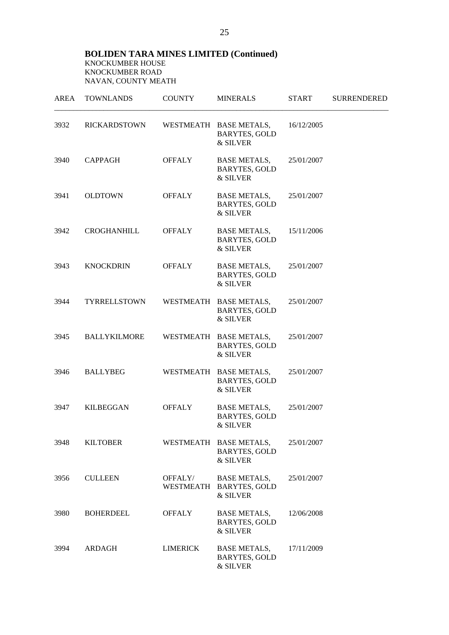| AREA | <b>TOWNLANDS</b>    | <b>COUNTY</b>   | <b>MINERALS</b>                                            | <b>START</b> | <b>SURRENDERED</b> |
|------|---------------------|-----------------|------------------------------------------------------------|--------------|--------------------|
| 3932 | <b>RICKARDSTOWN</b> |                 | WESTMEATH BASE METALS,<br><b>BARYTES, GOLD</b><br>& SILVER | 16/12/2005   |                    |
| 3940 | <b>CAPPAGH</b>      | <b>OFFALY</b>   | <b>BASE METALS,</b><br><b>BARYTES, GOLD</b><br>& SILVER    | 25/01/2007   |                    |
| 3941 | <b>OLDTOWN</b>      | <b>OFFALY</b>   | BASE METALS,<br><b>BARYTES, GOLD</b><br>& SILVER           | 25/01/2007   |                    |
| 3942 | CROGHANHILL         | <b>OFFALY</b>   | BASE METALS,<br><b>BARYTES, GOLD</b><br>& SILVER           | 15/11/2006   |                    |
| 3943 | <b>KNOCKDRIN</b>    | <b>OFFALY</b>   | <b>BASE METALS,</b><br><b>BARYTES, GOLD</b><br>& SILVER    | 25/01/2007   |                    |
| 3944 | <b>TYRRELLSTOWN</b> |                 | WESTMEATH BASE METALS,<br><b>BARYTES, GOLD</b><br>& SILVER | 25/01/2007   |                    |
| 3945 | <b>BALLYKILMORE</b> |                 | WESTMEATH BASE METALS,<br><b>BARYTES, GOLD</b><br>& SILVER | 25/01/2007   |                    |
| 3946 | <b>BALLYBEG</b>     |                 | WESTMEATH BASE METALS,<br><b>BARYTES, GOLD</b><br>& SILVER | 25/01/2007   |                    |
| 3947 | <b>KILBEGGAN</b>    | <b>OFFALY</b>   | <b>BASE METALS,</b><br><b>BARYTES, GOLD</b><br>& SILVER    | 25/01/2007   |                    |
| 3948 | <b>KILTOBER</b>     |                 | WESTMEATH BASE METALS,<br><b>BARYTES, GOLD</b><br>& SILVER | 25/01/2007   |                    |
| 3956 | <b>CULLEEN</b>      | OFFALY/         | <b>BASE METALS,</b><br>WESTMEATH BARYTES, GOLD<br>& SILVER | 25/01/2007   |                    |
| 3980 | <b>BOHERDEEL</b>    | <b>OFFALY</b>   | <b>BASE METALS,</b><br><b>BARYTES, GOLD</b><br>& SILVER    | 12/06/2008   |                    |
| 3994 | ARDAGH              | <b>LIMERICK</b> | <b>BASE METALS,</b><br><b>BARYTES, GOLD</b><br>& SILVER    | 17/11/2009   |                    |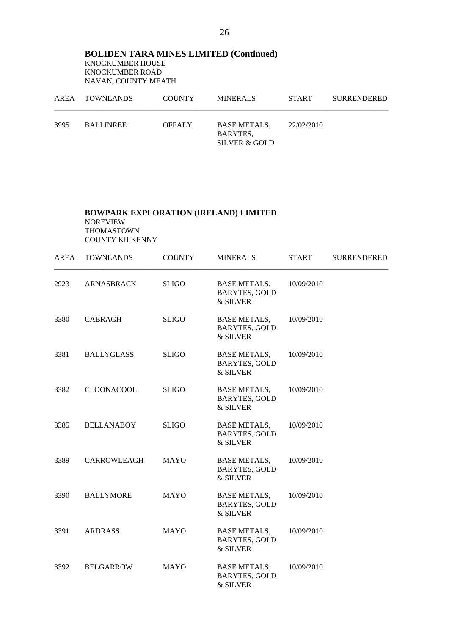|      | AREA TOWNLANDS   | <b>COUNTY</b> | <b>MINERALS</b>                                  | <b>START</b> | <b>SURRENDERED</b> |
|------|------------------|---------------|--------------------------------------------------|--------------|--------------------|
| 3995 | <b>BALLINREE</b> | <b>OFFALY</b> | <b>BASE METALS.</b><br>BARYTES,<br>SILVER & GOLD | 22/02/2010   |                    |

#### **BOWPARK EXPLORATION (IRELAND) LIMITED** NOREVIEW THOMASTOWN COUNTY KILKENNY

| <b>AREA</b> | <b>TOWNLANDS</b>   | <b>COUNTY</b> | <b>MINERALS</b>                                            | <b>START</b> | <b>SURRENDERED</b> |
|-------------|--------------------|---------------|------------------------------------------------------------|--------------|--------------------|
| 2923        | <b>ARNASBRACK</b>  | <b>SLIGO</b>  | <b>BASE METALS,</b><br><b>BARYTES, GOLD</b><br>& SILVER    | 10/09/2010   |                    |
| 3380        | <b>CABRAGH</b>     | <b>SLIGO</b>  | <b>BASE METALS,</b><br><b>BARYTES, GOLD</b><br>& SILVER    | 10/09/2010   |                    |
| 3381        | <b>BALLYGLASS</b>  | <b>SLIGO</b>  | <b>BASE METALS,</b><br><b>BARYTES, GOLD</b><br>& SILVER    | 10/09/2010   |                    |
| 3382        | <b>CLOONACOOL</b>  | <b>SLIGO</b>  | <b>BASE METALS,</b><br><b>BARYTES, GOLD</b><br>& SILVER    | 10/09/2010   |                    |
| 3385        | <b>BELLANABOY</b>  | <b>SLIGO</b>  | <b>BASE METALS,</b><br><b>BARYTES, GOLD</b><br>& SILVER    | 10/09/2010   |                    |
| 3389        | <b>CARROWLEAGH</b> | <b>MAYO</b>   | <b>BASE METALS,</b><br><b>BARYTES, GOLD</b><br>& SILVER    | 10/09/2010   |                    |
| 3390        | <b>BALLYMORE</b>   | <b>MAYO</b>   | <b>BASE METALS,</b><br><b>BARYTES, GOLD</b><br>& SILVER    | 10/09/2010   |                    |
| 3391        | <b>ARDRASS</b>     | <b>MAYO</b>   | <b>BASE METALS,</b><br><b>BARYTES, GOLD</b><br>$\&$ SILVER | 10/09/2010   |                    |
| 3392        | <b>BELGARROW</b>   | <b>MAYO</b>   | <b>BASE METALS,</b><br><b>BARYTES, GOLD</b><br>& SILVER    | 10/09/2010   |                    |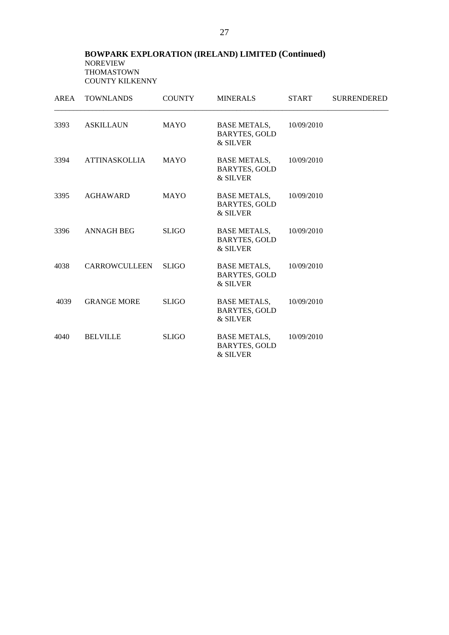#### **BOWPARK EXPLORATION (IRELAND) LIMITED (Continued)** NOREVIEW THOMASTOWN COUNTY KILKENNY

| AREA | <b>TOWNLANDS</b>     | <b>COUNTY</b> | <b>MINERALS</b>                                         | <b>START</b> | <b>SURRENDERED</b> |
|------|----------------------|---------------|---------------------------------------------------------|--------------|--------------------|
| 3393 | <b>ASKILLAUN</b>     | <b>MAYO</b>   | <b>BASE METALS,</b><br><b>BARYTES, GOLD</b><br>& SILVER | 10/09/2010   |                    |
| 3394 | ATTINASKOLLIA        | <b>MAYO</b>   | <b>BASE METALS,</b><br><b>BARYTES, GOLD</b><br>& SILVER | 10/09/2010   |                    |
| 3395 | <b>AGHAWARD</b>      | <b>MAYO</b>   | BASE METALS,<br><b>BARYTES, GOLD</b><br>& SILVER        | 10/09/2010   |                    |
| 3396 | <b>ANNAGH BEG</b>    | <b>SLIGO</b>  | <b>BASE METALS,</b><br><b>BARYTES, GOLD</b><br>& SILVER | 10/09/2010   |                    |
| 4038 | <b>CARROWCULLEEN</b> | <b>SLIGO</b>  | <b>BASE METALS,</b><br><b>BARYTES, GOLD</b><br>& SILVER | 10/09/2010   |                    |
| 4039 | <b>GRANGE MORE</b>   | <b>SLIGO</b>  | <b>BASE METALS,</b><br><b>BARYTES, GOLD</b><br>& SILVER | 10/09/2010   |                    |
| 4040 | <b>BELVILLE</b>      | <b>SLIGO</b>  | <b>BASE METALS,</b><br><b>BARYTES, GOLD</b><br>& SILVER | 10/09/2010   |                    |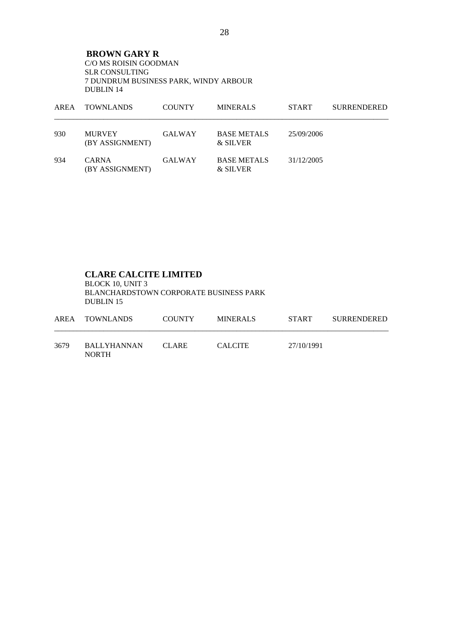**BROWN GARY R**  C/O MS ROISIN GOODMAN SLR CONSULTING 7 DUNDRUM BUSINESS PARK, WINDY ARBOUR DUBLIN 14

| AREA | <b>TOWNLANDS</b>                 | <b>COUNTY</b> | <b>MINERALS</b>                | <b>START</b> | <b>SURRENDERED</b> |
|------|----------------------------------|---------------|--------------------------------|--------------|--------------------|
| 930  | <b>MURVEY</b><br>(BY ASSIGNMENT) | <b>GALWAY</b> | <b>BASE METALS</b><br>& SILVER | 25/09/2006   |                    |
| 934  | <b>CARNA</b><br>(BY ASSIGNMENT)  | <b>GALWAY</b> | <b>BASE METALS</b><br>& SILVER | 31/12/2005   |                    |

#### **CLARE CALCITE LIMITED**

 BLOCK 10, UNIT 3 BLANCHARDSTOWN CORPORATE BUSINESS PARK DUBLIN 15

|      | AREA TOWNLANDS                     | <b>COUNTY</b> | MINERALS       | <b>START</b> | <b>SURRENDERED</b> |
|------|------------------------------------|---------------|----------------|--------------|--------------------|
| 3679 | <b>BALLYHANNAN</b><br><b>NORTH</b> | CLARE.        | <b>CALCITE</b> | 27/10/1991   |                    |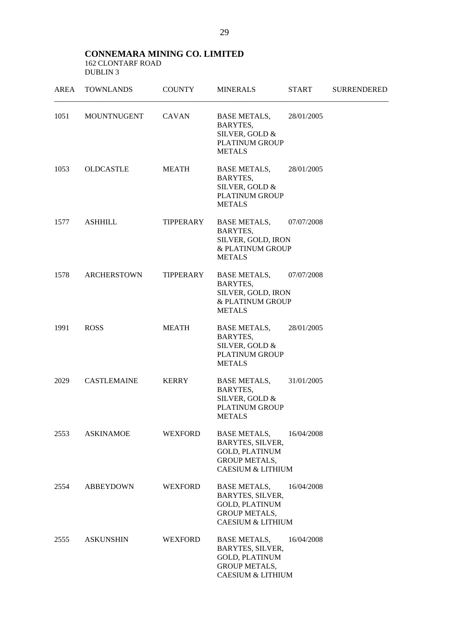#### **CONNEMARA MINING CO. LIMITED**  162 CLONTARF ROAD DUBLIN 3

|      | AREA TOWNLANDS   | COUNTY         | <b>MINERALS</b>                                                                                                          | START      | <b>SURRENDERED</b> |
|------|------------------|----------------|--------------------------------------------------------------------------------------------------------------------------|------------|--------------------|
| 1051 | MOUNTNUGENT      | CAVAN          | BASE METALS, 28/01/2005<br>BARYTES,<br>SILVER, GOLD &<br>PLATINUM GROUP<br><b>METALS</b>                                 |            |                    |
| 1053 | OLDCASTLE        | MEATH          | BASE METALS, 28/01/2005<br>BARYTES,<br>SILVER, GOLD &<br><b>PLATINUM GROUP</b><br><b>METALS</b>                          |            |                    |
| 1577 | ASHHILL          | TIPPERARY      | BASE METALS, 07/07/2008<br>BARYTES,<br>SILVER, GOLD, IRON<br>& PLATINUM GROUP<br><b>METALS</b>                           |            |                    |
| 1578 | ARCHERSTOWN      | TIPPERARY      | BASE METALS, 07/07/2008<br>BARYTES,<br>SILVER, GOLD, IRON<br>& PLATINUM GROUP<br><b>METALS</b>                           |            |                    |
| 1991 | <b>ROSS</b>      | <b>MEATH</b>   | BASE METALS, 28/01/2005<br>BARYTES,<br>SILVER, GOLD &<br>PLATINUM GROUP<br><b>METALS</b>                                 |            |                    |
| 2029 | CASTLEMAINE      | KERRY          | <b>BASE METALS,</b><br>BARYTES,<br>SILVER, GOLD &<br><b>PLATINUM GROUP</b><br><b>METALS</b>                              | 31/01/2005 |                    |
| 2553 | <b>ASKINAMOE</b> | WEXFORD        | BASE METALS,<br>BARYTES, SILVER,<br><b>GOLD, PLATINUM</b><br><b>GROUP METALS,</b><br><b>CAESIUM &amp; LITHIUM</b>        | 16/04/2008 |                    |
| 2554 | <b>ABBEYDOWN</b> | <b>WEXFORD</b> | <b>BASE METALS,</b><br>BARYTES, SILVER,<br><b>GOLD, PLATINUM</b><br><b>GROUP METALS,</b><br><b>CAESIUM &amp; LITHIUM</b> | 16/04/2008 |                    |
| 2555 | <b>ASKUNSHIN</b> | WEXFORD        | <b>BASE METALS,</b><br>BARYTES, SILVER,<br><b>GOLD, PLATINUM</b><br><b>GROUP METALS,</b><br><b>CAESIUM &amp; LITHIUM</b> | 16/04/2008 |                    |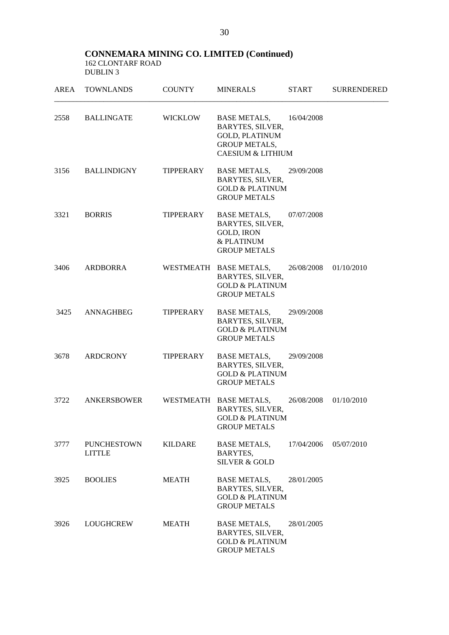#### **CONNEMARA MINING CO. LIMITED (Continued)**  162 CLONTARF ROAD DUBLIN<sub>3</sub>

|      | AREA TOWNLANDS                      | <b>COUNTY</b>  | <b>MINERALS</b>                                                                                                              | START      | <b>SURRENDERED</b> |
|------|-------------------------------------|----------------|------------------------------------------------------------------------------------------------------------------------------|------------|--------------------|
|      | 2558 BALLINGATE                     | WICKLOW        | BASE METALS, 16/04/2008<br>BARYTES, SILVER,<br><b>GOLD, PLATINUM</b><br><b>GROUP METALS,</b><br><b>CAESIUM &amp; LITHIUM</b> |            |                    |
|      | 3156 BALLINDIGNY                    | TIPPERARY      | <b>BASE METALS,</b><br>BARYTES, SILVER,<br><b>GOLD &amp; PLATINUM</b><br><b>GROUP METALS</b>                                 | 29/09/2008 |                    |
| 3321 | <b>BORRIS</b>                       | TIPPERARY      | <b>BASE METALS,</b><br>BARYTES, SILVER,<br><b>GOLD, IRON</b><br>& PLATINUM<br><b>GROUP METALS</b>                            | 07/07/2008 |                    |
| 3406 | ARDBORRA                            |                | WESTMEATH BASE METALS,<br>BARYTES, SILVER,<br><b>GOLD &amp; PLATINUM</b><br><b>GROUP METALS</b>                              | 26/08/2008 | 01/10/2010         |
| 3425 | ANNAGHBEG                           | TIPPERARY      | BASE METALS,<br>BARYTES, SILVER,<br><b>GOLD &amp; PLATINUM</b><br><b>GROUP METALS</b>                                        | 29/09/2008 |                    |
| 3678 | ARDCRONY                            | TIPPERARY      | <b>BASE METALS,</b><br>BARYTES, SILVER,<br><b>GOLD &amp; PLATINUM</b><br><b>GROUP METALS</b>                                 | 29/09/2008 |                    |
| 3722 | ANKERSBOWER                         |                | WESTMEATH BASE METALS,<br>BARYTES, SILVER,<br><b>GOLD &amp; PLATINUM</b><br><b>GROUP METALS</b>                              | 26/08/2008 | 01/10/2010         |
| 3777 | <b>PUNCHESTOWN</b><br><b>LITTLE</b> | <b>KILDARE</b> | <b>BASE METALS,</b><br>BARYTES,<br><b>SILVER &amp; GOLD</b>                                                                  | 17/04/2006 | 05/07/2010         |
| 3925 | <b>BOOLIES</b>                      | <b>MEATH</b>   | <b>BASE METALS,</b><br>BARYTES, SILVER,<br><b>GOLD &amp; PLATINUM</b><br><b>GROUP METALS</b>                                 | 28/01/2005 |                    |
| 3926 | LOUGHCREW                           | MEATH          | <b>BASE METALS,</b><br>BARYTES, SILVER,<br><b>GOLD &amp; PLATINUM</b><br><b>GROUP METALS</b>                                 | 28/01/2005 |                    |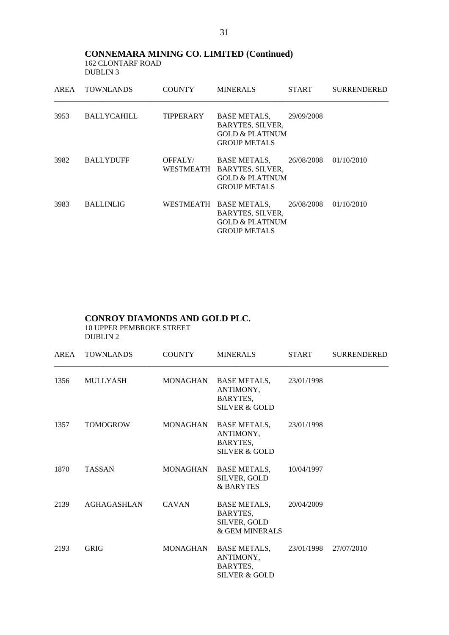**CONNEMARA MINING CO. LIMITED (Continued)**  162 CLONTARF ROAD DUBLIN 3

| AREA | <b>TOWNLANDS</b>   | <b>COUNTY</b> | <b>MINERALS</b>                                                                                        | <b>START</b> | <b>SURRENDERED</b> |
|------|--------------------|---------------|--------------------------------------------------------------------------------------------------------|--------------|--------------------|
| 3953 | <b>BALLYCAHILL</b> | TIPPERARY     | <b>BASE METALS,</b><br><b>BARYTES, SILVER,</b><br><b>GOLD &amp; PLATINUM</b><br><b>GROUP METALS</b>    | 29/09/2008   |                    |
| 3982 | <b>BALLYDUFF</b>   | OFFALY/       | BASE METALS,<br>WESTMEATH BARYTES, SILVER,<br><b>GOLD &amp; PLATINUM</b><br><b>GROUP METALS</b>        | 26/08/2008   | 01/10/2010         |
| 3983 | <b>BALLINLIG</b>   |               | WESTMEATH BASE METALS,<br><b>BARYTES, SILVER,</b><br><b>GOLD &amp; PLATINUM</b><br><b>GROUP METALS</b> | 26/08/2008   | 01/10/2010         |

# **CONROY DIAMONDS AND GOLD PLC.**

 10 UPPER PEMBROKE STREET DUBLIN 2

| AREA | <b>TOWNLANDS</b> | <b>COUNTY</b> | <b>MINERALS</b>                                                            | <b>START</b> | <b>SURRENDERED</b> |
|------|------------------|---------------|----------------------------------------------------------------------------|--------------|--------------------|
| 1356 | MULLYASH         |               | MONAGHAN BASE METALS,<br>ANTIMONY,<br>BARYTES,<br><b>SILVER &amp; GOLD</b> | 23/01/1998   |                    |
| 1357 | <b>TOMOGROW</b>  | MONAGHAN      | BASE METALS,<br>ANTIMONY,<br>BARYTES,<br><b>SILVER &amp; GOLD</b>          | 23/01/1998   |                    |
| 1870 | <b>TASSAN</b>    | MONAGHAN      | BASE METALS,<br>SILVER, GOLD<br>& BARYTES                                  | 10/04/1997   |                    |
| 2139 | AGHAGASHLAN      | <b>CAVAN</b>  | <b>BASE METALS,</b><br>BARYTES,<br>SILVER, GOLD<br>& GEM MINERALS          | 20/04/2009   |                    |
| 2193 | <b>GRIG</b>      | MONAGHAN      | BASE METALS,<br>ANTIMONY,<br>BARYTES,<br><b>SILVER &amp; GOLD</b>          | 23/01/1998   | 27/07/2010         |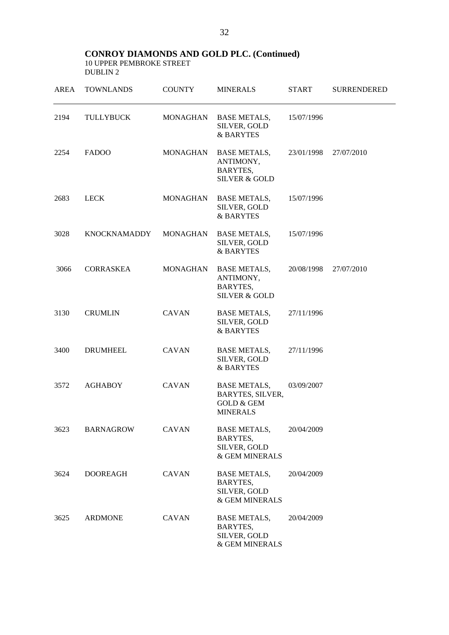## **CONROY DIAMONDS AND GOLD PLC. (Continued)**

 10 UPPER PEMBROKE STREET DUBLIN 2

| <b>AREA</b> | <b>TOWNLANDS</b>    | <b>COUNTY</b>   | <b>MINERALS</b>                                                                     | <b>START</b> | <b>SURRENDERED</b> |
|-------------|---------------------|-----------------|-------------------------------------------------------------------------------------|--------------|--------------------|
| 2194        | <b>TULLYBUCK</b>    | <b>MONAGHAN</b> | <b>BASE METALS,</b><br>SILVER, GOLD<br>& BARYTES                                    | 15/07/1996   |                    |
| 2254        | <b>FADOO</b>        | <b>MONAGHAN</b> | <b>BASE METALS,</b><br>ANTIMONY,<br>BARYTES,<br><b>SILVER &amp; GOLD</b>            | 23/01/1998   | 27/07/2010         |
| 2683        | <b>LECK</b>         | MONAGHAN        | <b>BASE METALS,</b><br>SILVER, GOLD<br>& BARYTES                                    | 15/07/1996   |                    |
| 3028        | <b>KNOCKNAMADDY</b> | <b>MONAGHAN</b> | <b>BASE METALS,</b><br>SILVER, GOLD<br><b>&amp; BARYTES</b>                         | 15/07/1996   |                    |
| 3066        | <b>CORRASKEA</b>    | <b>MONAGHAN</b> | <b>BASE METALS,</b><br>ANTIMONY,<br>BARYTES,<br><b>SILVER &amp; GOLD</b>            | 20/08/1998   | 27/07/2010         |
| 3130        | <b>CRUMLIN</b>      | <b>CAVAN</b>    | <b>BASE METALS,</b><br>SILVER, GOLD<br>& BARYTES                                    | 27/11/1996   |                    |
| 3400        | <b>DRUMHEEL</b>     | <b>CAVAN</b>    | <b>BASE METALS,</b><br>SILVER, GOLD<br>& BARYTES                                    | 27/11/1996   |                    |
| 3572        | <b>AGHABOY</b>      | <b>CAVAN</b>    | <b>BASE METALS,</b><br>BARYTES, SILVER,<br><b>GOLD &amp; GEM</b><br><b>MINERALS</b> | 03/09/2007   |                    |
| 3623        | <b>BARNAGROW</b>    | <b>CAVAN</b>    | <b>BASE METALS,</b><br>BARYTES,<br>SILVER, GOLD<br>& GEM MINERALS                   | 20/04/2009   |                    |
| 3624        | <b>DOOREAGH</b>     | <b>CAVAN</b>    | <b>BASE METALS,</b><br>BARYTES,<br>SILVER, GOLD<br>& GEM MINERALS                   | 20/04/2009   |                    |
| 3625        | <b>ARDMONE</b>      | <b>CAVAN</b>    | <b>BASE METALS,</b><br>BARYTES,<br>SILVER, GOLD<br>& GEM MINERALS                   | 20/04/2009   |                    |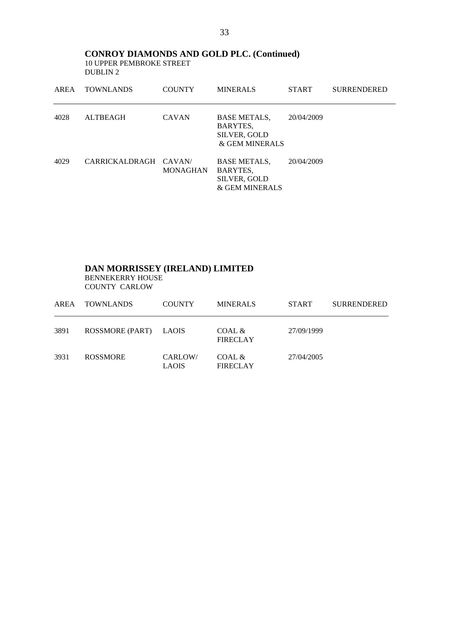**CONROY DIAMONDS AND GOLD PLC. (Continued)**  10 UPPER PEMBROKE STREET DUBLIN 2

| AREA | <b>TOWNLANDS</b>      | <b>COUNTY</b>   | <b>MINERALS</b>                                                          | <b>START</b> | <b>SURRENDERED</b> |
|------|-----------------------|-----------------|--------------------------------------------------------------------------|--------------|--------------------|
| 4028 | <b>ALTBEAGH</b>       | <b>CAVAN</b>    | <b>BASE METALS,</b><br>BARYTES,<br><b>SILVER, GOLD</b><br>& GEM MINERALS | 20/04/2009   |                    |
| 4029 | CARRICKALDRAGH CAVAN/ | <b>MONAGHAN</b> | <b>BASE METALS,</b><br>BARYTES,<br><b>SILVER, GOLD</b><br>& GEM MINERALS | 20/04/2009   |                    |

### **DAN MORRISSEY (IRELAND) LIMITED**  BENNEKERRY HOUSE COUNTY CARLOW

| AREA | <b>TOWNLANDS</b> | <b>COUNTY</b>           | <b>MINERALS</b>           | <b>START</b> | <b>SURRENDERED</b> |
|------|------------------|-------------------------|---------------------------|--------------|--------------------|
| 3891 | ROSSMORE (PART)  | <b>LAOIS</b>            | COAL &<br><b>FIRECLAY</b> | 27/09/1999   |                    |
| 3931 | <b>ROSSMORE</b>  | CARLOW/<br><b>LAOIS</b> | COAL &<br><b>FIRECLAY</b> | 27/04/2005   |                    |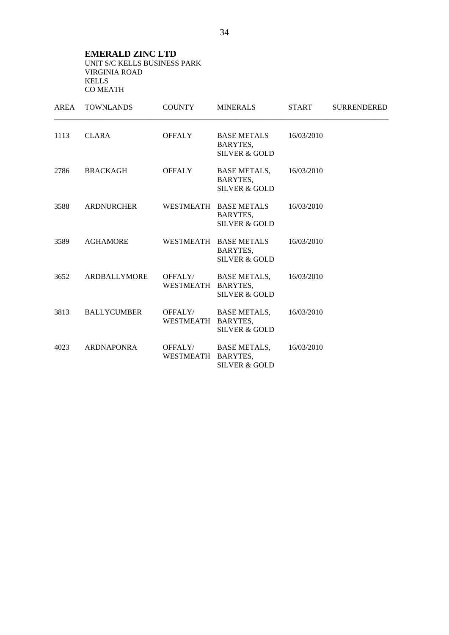**EMERALD ZINC LTD**  UNIT S/C KELLS BUSINESS PARK VIRGINIA ROAD KELLS CO MEATH

| AREA | <b>TOWNLANDS</b>   | <b>COUNTY</b>                 | <b>MINERALS</b>                                               | <b>START</b> | <b>SURRENDERED</b> |
|------|--------------------|-------------------------------|---------------------------------------------------------------|--------------|--------------------|
| 1113 | <b>CLARA</b>       | <b>OFFALY</b>                 | <b>BASE METALS</b><br>BARYTES,<br><b>SILVER &amp; GOLD</b>    | 16/03/2010   |                    |
| 2786 | <b>BRACKAGH</b>    | <b>OFFALY</b>                 | <b>BASE METALS,</b><br>BARYTES,<br><b>SILVER &amp; GOLD</b>   | 16/03/2010   |                    |
| 3588 | <b>ARDNURCHER</b>  |                               | WESTMEATH BASE METALS<br>BARYTES,<br><b>SILVER &amp; GOLD</b> | 16/03/2010   |                    |
| 3589 | <b>AGHAMORE</b>    |                               | WESTMEATH BASE METALS<br>BARYTES,<br><b>SILVER &amp; GOLD</b> | 16/03/2010   |                    |
| 3652 | ARDBALLYMORE       | OFFALY/<br>WESTMEATH BARYTES, | <b>BASE METALS,</b><br><b>SILVER &amp; GOLD</b>               | 16/03/2010   |                    |
| 3813 | <b>BALLYCUMBER</b> | OFFALY/<br>WESTMEATH          | <b>BASE METALS,</b><br>BARYTES,<br><b>SILVER &amp; GOLD</b>   | 16/03/2010   |                    |
| 4023 | <b>ARDNAPONRA</b>  | OFFALY/<br>WESTMEATH          | <b>BASE METALS,</b><br>BARYTES,<br><b>SILVER &amp; GOLD</b>   | 16/03/2010   |                    |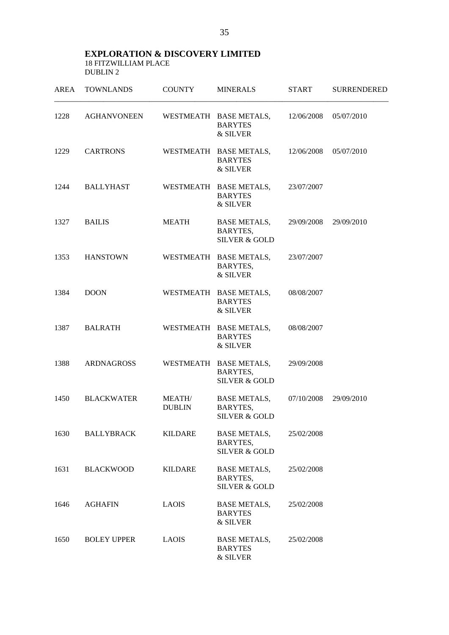| <b>AREA</b> | <b>TOWNLANDS</b>   | <b>COUNTY</b>                  | <b>MINERALS</b>                                                | <b>START</b> | <b>SURRENDERED</b> |
|-------------|--------------------|--------------------------------|----------------------------------------------------------------|--------------|--------------------|
| 1228        | <b>AGHANVONEEN</b> |                                | WESTMEATH BASE METALS,<br><b>BARYTES</b><br>& SILVER           | 12/06/2008   | 05/07/2010         |
| 1229        | <b>CARTRONS</b>    |                                | WESTMEATH BASE METALS,<br><b>BARYTES</b><br>& SILVER           | 12/06/2008   | 05/07/2010         |
| 1244        | <b>BALLYHAST</b>   |                                | WESTMEATH BASE METALS,<br><b>BARYTES</b><br>& SILVER           | 23/07/2007   |                    |
| 1327        | <b>BAILIS</b>      | <b>MEATH</b>                   | <b>BASE METALS,</b><br>BARYTES,<br><b>SILVER &amp; GOLD</b>    | 29/09/2008   | 29/09/2010         |
| 1353        | <b>HANSTOWN</b>    |                                | WESTMEATH BASE METALS,<br>BARYTES,<br>& SILVER                 | 23/07/2007   |                    |
| 1384        | <b>DOON</b>        |                                | WESTMEATH BASE METALS,<br><b>BARYTES</b><br>& SILVER           | 08/08/2007   |                    |
| 1387        | <b>BALRATH</b>     |                                | WESTMEATH BASE METALS,<br><b>BARYTES</b><br>& SILVER           | 08/08/2007   |                    |
| 1388        | ARDNAGROSS         |                                | WESTMEATH BASE METALS,<br>BARYTES,<br><b>SILVER &amp; GOLD</b> | 29/09/2008   |                    |
| 1450        | <b>BLACKWATER</b>  | <b>MEATH/</b><br><b>DUBLIN</b> | <b>BASE METALS,</b><br>BARYTES,<br><b>SILVER &amp; GOLD</b>    | 07/10/2008   | 29/09/2010         |
| 1630        | <b>BALLYBRACK</b>  | KILDARE                        | <b>BASE METALS,</b><br>BARYTES,<br><b>SILVER &amp; GOLD</b>    | 25/02/2008   |                    |
| 1631        | <b>BLACKWOOD</b>   | <b>KILDARE</b>                 | <b>BASE METALS,</b><br>BARYTES,<br><b>SILVER &amp; GOLD</b>    | 25/02/2008   |                    |
| 1646        | <b>AGHAFIN</b>     | <b>LAOIS</b>                   | <b>BASE METALS,</b><br><b>BARYTES</b><br>& SILVER              | 25/02/2008   |                    |
| 1650        | <b>BOLEY UPPER</b> | <b>LAOIS</b>                   | <b>BASE METALS,</b><br><b>BARYTES</b><br>& SILVER              | 25/02/2008   |                    |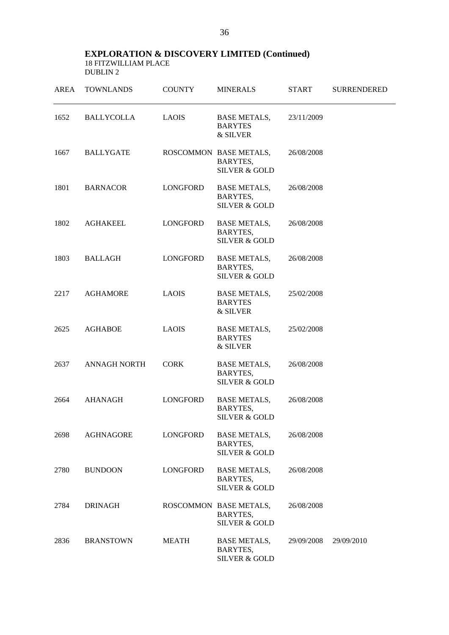| AREA | <b>TOWNLANDS</b>    | <b>COUNTY</b>   | <b>MINERALS</b>                                                    | <b>START</b> | <b>SURRENDERED</b> |
|------|---------------------|-----------------|--------------------------------------------------------------------|--------------|--------------------|
| 1652 | <b>BALLYCOLLA</b>   | <b>LAOIS</b>    | <b>BASE METALS,</b><br><b>BARYTES</b><br>& SILVER                  | 23/11/2009   |                    |
| 1667 | <b>BALLYGATE</b>    |                 | ROSCOMMON BASE METALS,<br>BARYTES,<br><b>SILVER &amp; GOLD</b>     | 26/08/2008   |                    |
| 1801 | <b>BARNACOR</b>     | LONGFORD        | <b>BASE METALS,</b><br><b>BARYTES,</b><br><b>SILVER &amp; GOLD</b> | 26/08/2008   |                    |
| 1802 | <b>AGHAKEEL</b>     | <b>LONGFORD</b> | <b>BASE METALS,</b><br>BARYTES,<br><b>SILVER &amp; GOLD</b>        | 26/08/2008   |                    |
| 1803 | <b>BALLAGH</b>      | <b>LONGFORD</b> | <b>BASE METALS,</b><br>BARYTES,<br><b>SILVER &amp; GOLD</b>        | 26/08/2008   |                    |
| 2217 | <b>AGHAMORE</b>     | <b>LAOIS</b>    | <b>BASE METALS,</b><br><b>BARYTES</b><br>& SILVER                  | 25/02/2008   |                    |
| 2625 | <b>AGHABOE</b>      | <b>LAOIS</b>    | <b>BASE METALS,</b><br><b>BARYTES</b><br>& SILVER                  | 25/02/2008   |                    |
| 2637 | <b>ANNAGH NORTH</b> | <b>CORK</b>     | <b>BASE METALS,</b><br>BARYTES,<br><b>SILVER &amp; GOLD</b>        | 26/08/2008   |                    |
| 2664 | <b>AHANAGH</b>      | <b>LONGFORD</b> | <b>BASE METALS,</b><br>BARYTES,<br><b>SILVER &amp; GOLD</b>        | 26/08/2008   |                    |
| 2698 | <b>AGHNAGORE</b>    | LONGFORD        | <b>BASE METALS,</b><br>BARYTES,<br><b>SILVER &amp; GOLD</b>        | 26/08/2008   |                    |
| 2780 | <b>BUNDOON</b>      | LONGFORD        | <b>BASE METALS,</b><br>BARYTES,<br><b>SILVER &amp; GOLD</b>        | 26/08/2008   |                    |
| 2784 | <b>DRINAGH</b>      |                 | ROSCOMMON BASE METALS,<br>BARYTES,<br><b>SILVER &amp; GOLD</b>     | 26/08/2008   |                    |
| 2836 | <b>BRANSTOWN</b>    | <b>MEATH</b>    | <b>BASE METALS,</b><br>BARYTES,<br><b>SILVER &amp; GOLD</b>        | 29/09/2008   | 29/09/2010         |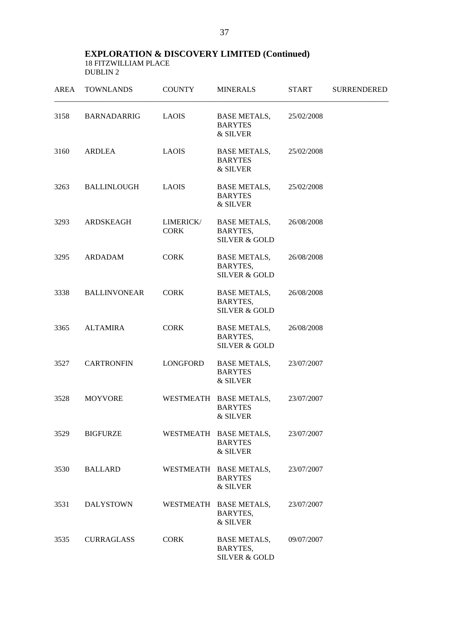| <b>AREA</b> | <b>TOWNLANDS</b>    | <b>COUNTY</b>            | <b>MINERALS</b>                                             | <b>START</b> | <b>SURRENDERED</b> |
|-------------|---------------------|--------------------------|-------------------------------------------------------------|--------------|--------------------|
| 3158        | <b>BARNADARRIG</b>  | <b>LAOIS</b>             | <b>BASE METALS,</b><br><b>BARYTES</b><br>& SILVER           | 25/02/2008   |                    |
| 3160        | <b>ARDLEA</b>       | <b>LAOIS</b>             | <b>BASE METALS,</b><br><b>BARYTES</b><br>& SILVER           | 25/02/2008   |                    |
| 3263        | <b>BALLINLOUGH</b>  | <b>LAOIS</b>             | <b>BASE METALS,</b><br><b>BARYTES</b><br>& SILVER           | 25/02/2008   |                    |
| 3293        | ARDSKEAGH           | LIMERICK/<br><b>CORK</b> | <b>BASE METALS,</b><br>BARYTES,<br><b>SILVER &amp; GOLD</b> | 26/08/2008   |                    |
| 3295        | ARDADAM             | <b>CORK</b>              | <b>BASE METALS,</b><br>BARYTES,<br><b>SILVER &amp; GOLD</b> | 26/08/2008   |                    |
| 3338        | <b>BALLINVONEAR</b> | <b>CORK</b>              | <b>BASE METALS,</b><br>BARYTES,<br><b>SILVER &amp; GOLD</b> | 26/08/2008   |                    |
| 3365        | ALTAMIRA            | <b>CORK</b>              | <b>BASE METALS,</b><br>BARYTES,<br><b>SILVER &amp; GOLD</b> | 26/08/2008   |                    |
| 3527        | <b>CARTRONFIN</b>   | LONGFORD                 | <b>BASE METALS,</b><br><b>BARYTES</b><br>& SILVER           | 23/07/2007   |                    |
| 3528        | <b>MOYVORE</b>      |                          | WESTMEATH BASE METALS,<br><b>BARYTES</b><br>& SILVER        | 23/07/2007   |                    |
| 3529        | <b>BIGFURZE</b>     |                          | WESTMEATH BASE METALS,<br><b>BARYTES</b><br>& SILVER        | 23/07/2007   |                    |
| 3530        | <b>BALLARD</b>      |                          | WESTMEATH BASE METALS,<br><b>BARYTES</b><br>& SILVER        | 23/07/2007   |                    |
| 3531        | <b>DALYSTOWN</b>    |                          | WESTMEATH BASE METALS,<br>BARYTES,<br>& SILVER              | 23/07/2007   |                    |
| 3535        | <b>CURRAGLASS</b>   | <b>CORK</b>              | <b>BASE METALS,</b><br>BARYTES,<br><b>SILVER &amp; GOLD</b> | 09/07/2007   |                    |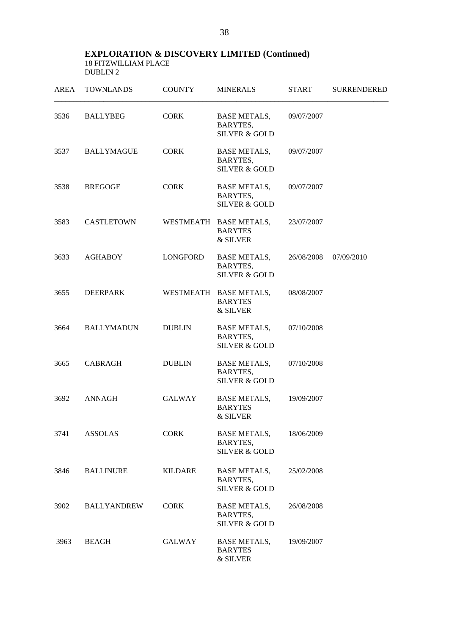| AREA | <b>TOWNLANDS</b>   | <b>COUNTY</b>  | <b>MINERALS</b>                                             | <b>START</b> | <b>SURRENDERED</b> |
|------|--------------------|----------------|-------------------------------------------------------------|--------------|--------------------|
| 3536 | <b>BALLYBEG</b>    | <b>CORK</b>    | <b>BASE METALS,</b><br>BARYTES,<br><b>SILVER &amp; GOLD</b> | 09/07/2007   |                    |
| 3537 | <b>BALLYMAGUE</b>  | <b>CORK</b>    | <b>BASE METALS,</b><br>BARYTES,<br><b>SILVER &amp; GOLD</b> | 09/07/2007   |                    |
| 3538 | <b>BREGOGE</b>     | <b>CORK</b>    | <b>BASE METALS,</b><br>BARYTES,<br><b>SILVER &amp; GOLD</b> | 09/07/2007   |                    |
| 3583 | <b>CASTLETOWN</b>  |                | WESTMEATH BASE METALS,<br><b>BARYTES</b><br>& SILVER        | 23/07/2007   |                    |
| 3633 | <b>AGHABOY</b>     | LONGFORD       | <b>BASE METALS,</b><br>BARYTES,<br><b>SILVER &amp; GOLD</b> | 26/08/2008   | 07/09/2010         |
| 3655 | DEERPARK           |                | WESTMEATH BASE METALS,<br><b>BARYTES</b><br>& SILVER        | 08/08/2007   |                    |
| 3664 | <b>BALLYMADUN</b>  | <b>DUBLIN</b>  | <b>BASE METALS,</b><br>BARYTES,<br><b>SILVER &amp; GOLD</b> | 07/10/2008   |                    |
| 3665 | <b>CABRAGH</b>     | <b>DUBLIN</b>  | <b>BASE METALS,</b><br>BARYTES,<br><b>SILVER &amp; GOLD</b> | 07/10/2008   |                    |
| 3692 | <b>ANNAGH</b>      | <b>GALWAY</b>  | <b>BASE METALS,</b><br><b>BARYTES</b><br>& SILVER           | 19/09/2007   |                    |
| 3741 | <b>ASSOLAS</b>     | <b>CORK</b>    | <b>BASE METALS,</b><br>BARYTES,<br><b>SILVER &amp; GOLD</b> | 18/06/2009   |                    |
| 3846 | <b>BALLINURE</b>   | <b>KILDARE</b> | <b>BASE METALS,</b><br>BARYTES,<br><b>SILVER &amp; GOLD</b> | 25/02/2008   |                    |
| 3902 | <b>BALLYANDREW</b> | <b>CORK</b>    | <b>BASE METALS,</b><br>BARYTES,<br><b>SILVER &amp; GOLD</b> | 26/08/2008   |                    |
| 3963 | BEAGH              | GALWAY         | <b>BASE METALS,</b><br><b>BARYTES</b><br>& SILVER           | 19/09/2007   |                    |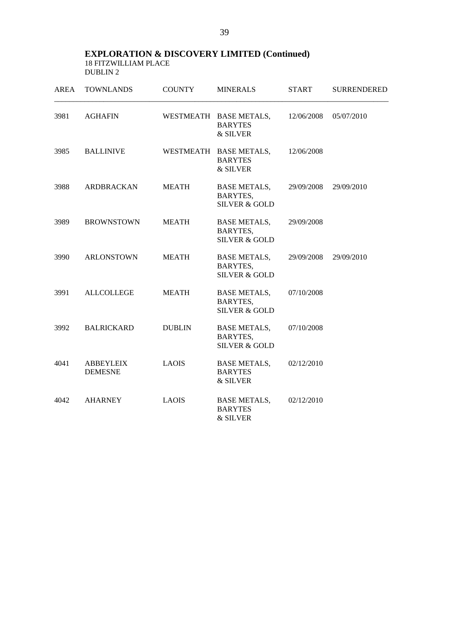| <b>AREA</b> | <b>TOWNLANDS</b>                   | <b>COUNTY</b> | <b>MINERALS</b>                                                    | <b>START</b> | <b>SURRENDERED</b> |
|-------------|------------------------------------|---------------|--------------------------------------------------------------------|--------------|--------------------|
| 3981        | <b>AGHAFIN</b>                     |               | WESTMEATH BASE METALS,<br><b>BARYTES</b><br>& SILVER               | 12/06/2008   | 05/07/2010         |
| 3985        | <b>BALLINIVE</b>                   |               | WESTMEATH BASE METALS,<br><b>BARYTES</b><br>& SILVER               | 12/06/2008   |                    |
| 3988        | ARDBRACKAN                         | <b>MEATH</b>  | <b>BASE METALS,</b><br>BARYTES,<br><b>SILVER &amp; GOLD</b>        | 29/09/2008   | 29/09/2010         |
| 3989        | <b>BROWNSTOWN</b>                  | <b>MEATH</b>  | <b>BASE METALS,</b><br>BARYTES,<br><b>SILVER &amp; GOLD</b>        | 29/09/2008   |                    |
| 3990        | <b>ARLONSTOWN</b>                  | <b>MEATH</b>  | <b>BASE METALS,</b><br><b>BARYTES,</b><br><b>SILVER &amp; GOLD</b> | 29/09/2008   | 29/09/2010         |
| 3991        | <b>ALLCOLLEGE</b>                  | <b>MEATH</b>  | <b>BASE METALS,</b><br>BARYTES,<br><b>SILVER &amp; GOLD</b>        | 07/10/2008   |                    |
| 3992        | <b>BALRICKARD</b>                  | <b>DUBLIN</b> | <b>BASE METALS,</b><br>BARYTES,<br><b>SILVER &amp; GOLD</b>        | 07/10/2008   |                    |
| 4041        | <b>ABBEYLEIX</b><br><b>DEMESNE</b> | <b>LAOIS</b>  | <b>BASE METALS,</b><br><b>BARYTES</b><br>& SILVER                  | 02/12/2010   |                    |
| 4042        | <b>AHARNEY</b>                     | <b>LAOIS</b>  | <b>BASE METALS,</b><br><b>BARYTES</b><br>& SILVER                  | 02/12/2010   |                    |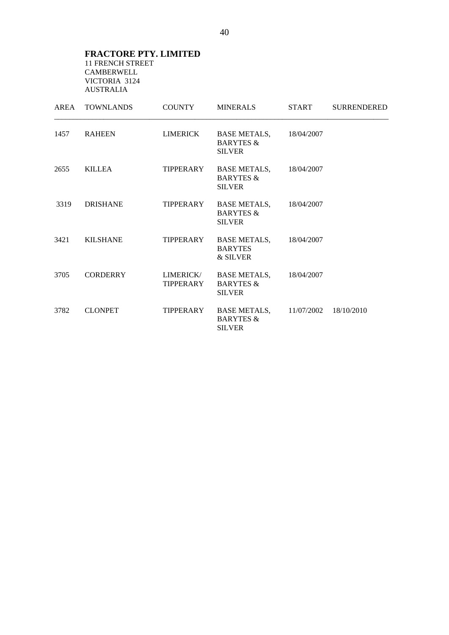#### **FRACTORE PTY. LIMITED**  11 FRENCH STREET CAMBERWELL VICTORIA 3124 AUSTRALIA

|      | AREA TOWNLANDS  | <b>COUNTY</b>          | <b>MINERALS</b>                                                         | <b>START</b> | <b>SURRENDERED</b> |
|------|-----------------|------------------------|-------------------------------------------------------------------------|--------------|--------------------|
| 1457 | RAHEEN          | LIMERICK               | BASE METALS,<br><b>BARYTES &amp;</b><br><b>SILVER</b>                   | 18/04/2007   |                    |
| 2655 | <b>KILLEA</b>   |                        | TIPPERARY BASE METALS,<br><b>BARYTES &amp;</b><br><b>SILVER</b>         | 18/04/2007   |                    |
| 3319 | DRISHANE        | TIPPERARY              | BASE METALS,<br><b>BARYTES &amp;</b><br><b>SILVER</b>                   | 18/04/2007   |                    |
| 3421 | KILSHANE        |                        | TIPPERARY BASE METALS,<br><b>BARYTES</b><br>& SILVER                    | 18/04/2007   |                    |
| 3705 | <b>CORDERRY</b> | LIMERICK/<br>TIPPERARY | <b>BASE METALS,</b><br><b>BARYTES &amp;</b><br><b>SILVER</b>            | 18/04/2007   |                    |
| 3782 | <b>CLONPET</b>  | TIPPERARY              | <b>BASE METALS, 11/07/2002</b><br><b>BARYTES &amp;</b><br><b>SILVER</b> |              | 18/10/2010         |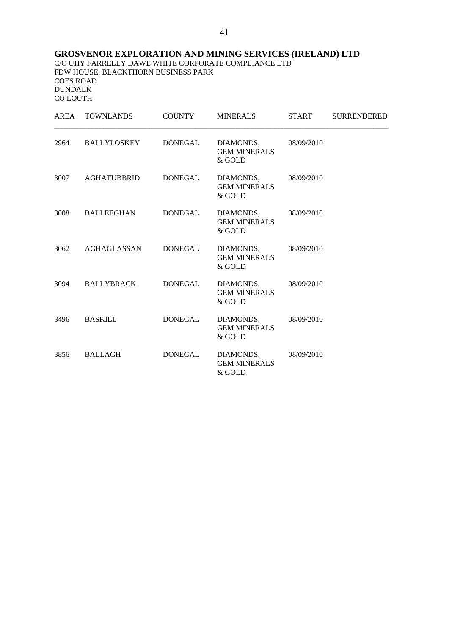## **GROSVENOR EXPLORATION AND MINING SERVICES (IRELAND) LTD**

C/O UHY FARRELLY DAWE WHITE CORPORATE COMPLIANCE LTD FDW HOUSE, BLACKTHORN BUSINESS PARK COES ROAD DUNDALK CO LOUTH

| AREA | <b>TOWNLANDS</b>   | <b>COUNTY</b>  | <b>MINERALS</b>                            | <b>START</b> | <b>SURRENDERED</b> |
|------|--------------------|----------------|--------------------------------------------|--------------|--------------------|
| 2964 | BALLYLOSKEY        | DONEGAL        | DIAMONDS,<br><b>GEM MINERALS</b><br>& GOLD | 08/09/2010   |                    |
| 3007 | <b>AGHATUBBRID</b> | DONEGAL        | DIAMONDS,<br><b>GEM MINERALS</b><br>& GOLD | 08/09/2010   |                    |
| 3008 | BALLEEGHAN         | <b>DONEGAL</b> | DIAMONDS,<br><b>GEM MINERALS</b><br>& GOLD | 08/09/2010   |                    |
| 3062 | <b>AGHAGLASSAN</b> | DONEGAL        | DIAMONDS,<br><b>GEM MINERALS</b><br>& GOLD | 08/09/2010   |                    |
| 3094 | <b>BALLYBRACK</b>  | <b>DONEGAL</b> | DIAMONDS,<br><b>GEM MINERALS</b><br>& GOLD | 08/09/2010   |                    |
| 3496 | <b>BASKILL</b>     | <b>DONEGAL</b> | DIAMONDS,<br><b>GEM MINERALS</b><br>& GOLD | 08/09/2010   |                    |
| 3856 | <b>BALLAGH</b>     | <b>DONEGAL</b> | DIAMONDS,<br><b>GEM MINERALS</b><br>& GOLD | 08/09/2010   |                    |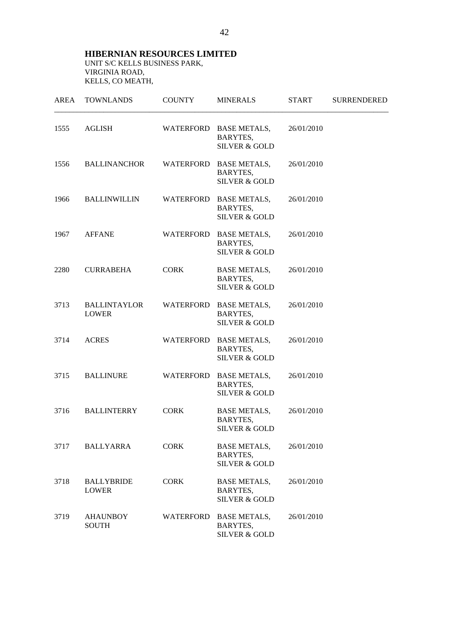**HIBERNIAN RESOURCES LIMITED**  UNIT S/C KELLS BUSINESS PARK, VIRGINIA ROAD, KELLS, CO MEATH,

| AREA | <b>TOWNLANDS</b>                    | <b>COUNTY</b> | <b>MINERALS</b>                                                | <b>START</b> | SURRENDERED |
|------|-------------------------------------|---------------|----------------------------------------------------------------|--------------|-------------|
| 1555 | AGLISH                              |               | WATERFORD BASE METALS,<br>BARYTES,<br><b>SILVER &amp; GOLD</b> | 26/01/2010   |             |
| 1556 | <b>BALLINANCHOR</b>                 | WATERFORD     | <b>BASE METALS,</b><br>BARYTES,<br><b>SILVER &amp; GOLD</b>    | 26/01/2010   |             |
| 1966 | <b>BALLINWILLIN</b>                 | WATERFORD     | <b>BASE METALS,</b><br>BARYTES,<br><b>SILVER &amp; GOLD</b>    | 26/01/2010   |             |
| 1967 | <b>AFFANE</b>                       |               | WATERFORD BASE METALS,<br>BARYTES,<br><b>SILVER &amp; GOLD</b> | 26/01/2010   |             |
| 2280 | <b>CURRABEHA</b>                    | <b>CORK</b>   | <b>BASE METALS,</b><br>BARYTES,<br><b>SILVER &amp; GOLD</b>    | 26/01/2010   |             |
| 3713 | <b>BALLINTAYLOR</b><br><b>LOWER</b> |               | WATERFORD BASE METALS,<br>BARYTES,<br><b>SILVER &amp; GOLD</b> | 26/01/2010   |             |
| 3714 | <b>ACRES</b>                        |               | WATERFORD BASE METALS,<br>BARYTES,<br><b>SILVER &amp; GOLD</b> | 26/01/2010   |             |
| 3715 | <b>BALLINURE</b>                    | WATERFORD     | <b>BASE METALS,</b><br>BARYTES,<br><b>SILVER &amp; GOLD</b>    | 26/01/2010   |             |
| 3716 | <b>BALLINTERRY</b>                  | <b>CORK</b>   | <b>BASE METALS,</b><br>BARYTES,<br><b>SILVER &amp; GOLD</b>    | 26/01/2010   |             |
| 3717 | <b>BALLYARRA</b>                    | <b>CORK</b>   | <b>BASE METALS,</b><br>BARYTES,<br><b>SILVER &amp; GOLD</b>    | 26/01/2010   |             |
| 3718 | <b>BALLYBRIDE</b><br><b>LOWER</b>   | <b>CORK</b>   | <b>BASE METALS,</b><br>BARYTES,<br><b>SILVER &amp; GOLD</b>    | 26/01/2010   |             |
| 3719 | <b>AHAUNBOY</b><br><b>SOUTH</b>     |               | WATERFORD BASE METALS,<br>BARYTES,<br>SILVER & GOLD            | 26/01/2010   |             |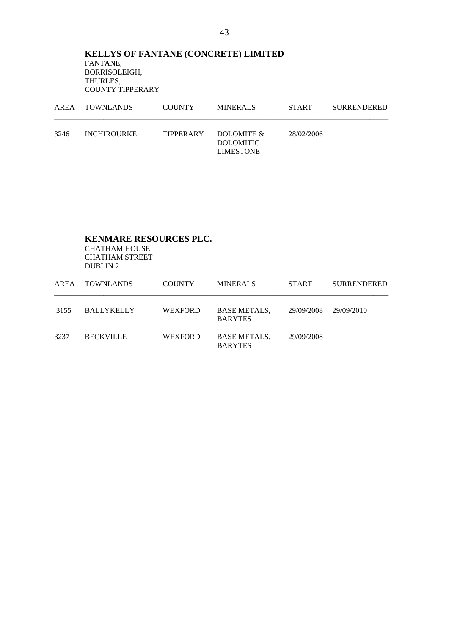## **KELLYS OF FANTANE (CONCRETE) LIMITED** FANTANE, BORRISOLEIGH, THURLES, COUNTY TIPPERARY

|      | AREA TOWNLANDS     | COUNTY | MINERALS                                                        | <b>START</b> | SURRENDERED |
|------|--------------------|--------|-----------------------------------------------------------------|--------------|-------------|
| 3246 | <b>INCHIROURKE</b> |        | TIPPERARY DOLOMITE $\&$<br><b>DOLOMITIC</b><br><b>LIMESTONE</b> | 28/02/2006   |             |

## **KENMARE RESOURCES PLC.**

 CHATHAM HOUSE CHATHAM STREET DUBLIN 2

| AREA | <b>TOWNLANDS</b>  | <b>COUNTY</b>  | <b>MINERALS</b>                       | <b>START</b> | <b>SURRENDERED</b> |
|------|-------------------|----------------|---------------------------------------|--------------|--------------------|
| 3155 | <b>BALLYKELLY</b> | <b>WEXFORD</b> | <b>BASE METALS,</b><br><b>BARYTES</b> | 29/09/2008   | 29/09/2010         |
| 3237 | <b>BECKVILLE</b>  | <b>WEXFORD</b> | <b>BASE METALS,</b><br><b>BARYTES</b> | 29/09/2008   |                    |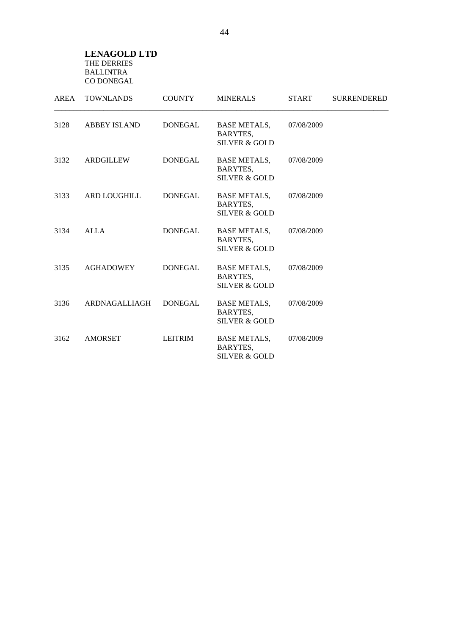#### **LENAGOLD LTD**  THE DERRIES BALLINTRA CO DONEGAL

| AREA | <b>TOWNLANDS</b>    | <b>COUNTY</b>  | <b>MINERALS</b>                                             | <b>START</b> | <b>SURRENDERED</b> |
|------|---------------------|----------------|-------------------------------------------------------------|--------------|--------------------|
| 3128 | <b>ABBEY ISLAND</b> | <b>DONEGAL</b> | <b>BASE METALS,</b><br>BARYTES,<br><b>SILVER &amp; GOLD</b> | 07/08/2009   |                    |
| 3132 | <b>ARDGILLEW</b>    | <b>DONEGAL</b> | <b>BASE METALS,</b><br>BARYTES,<br><b>SILVER &amp; GOLD</b> | 07/08/2009   |                    |
| 3133 | ARD LOUGHILL        | <b>DONEGAL</b> | <b>BASE METALS,</b><br>BARYTES,<br><b>SILVER &amp; GOLD</b> | 07/08/2009   |                    |
| 3134 | ALLA                | <b>DONEGAL</b> | <b>BASE METALS,</b><br>BARYTES,<br><b>SILVER &amp; GOLD</b> | 07/08/2009   |                    |
| 3135 | <b>AGHADOWEY</b>    | <b>DONEGAL</b> | <b>BASE METALS,</b><br>BARYTES,<br><b>SILVER &amp; GOLD</b> | 07/08/2009   |                    |
| 3136 | ARDNAGALLIAGH       | <b>DONEGAL</b> | <b>BASE METALS,</b><br>BARYTES,<br><b>SILVER &amp; GOLD</b> | 07/08/2009   |                    |
| 3162 | <b>AMORSET</b>      | <b>LEITRIM</b> | <b>BASE METALS,</b><br>BARYTES,<br><b>SILVER &amp; GOLD</b> | 07/08/2009   |                    |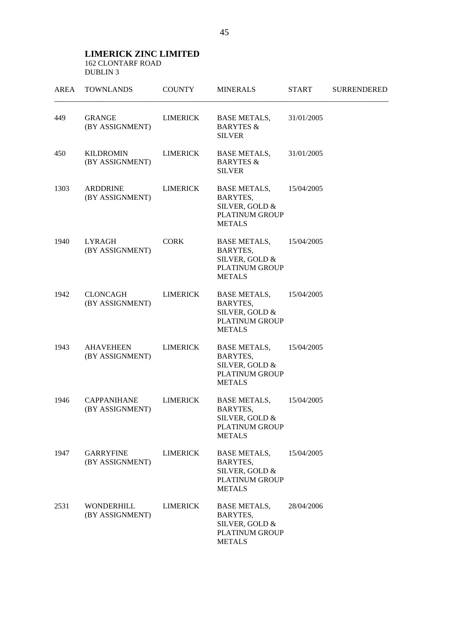#### **LIMERICK ZINC LIMITED**  162 CLONTARF ROAD DUBLIN 3

| <b>AREA</b> | <b>TOWNLANDS</b>                      | <b>COUNTY</b>   | <b>MINERALS</b>                                                                                    | <b>START</b> | <b>SURRENDERED</b> |
|-------------|---------------------------------------|-----------------|----------------------------------------------------------------------------------------------------|--------------|--------------------|
| 449         | <b>GRANGE</b><br>(BY ASSIGNMENT)      | <b>LIMERICK</b> | <b>BASE METALS,</b><br><b>BARYTES &amp;</b><br><b>SILVER</b>                                       | 31/01/2005   |                    |
| 450         | <b>KILDROMIN</b><br>(BY ASSIGNMENT)   | <b>LIMERICK</b> | <b>BASE METALS,</b><br><b>BARYTES &amp;</b><br><b>SILVER</b>                                       | 31/01/2005   |                    |
| 1303        | <b>ARDDRINE</b><br>(BY ASSIGNMENT)    | <b>LIMERICK</b> | <b>BASE METALS,</b><br>BARYTES,<br>SILVER, GOLD &<br>PLATINUM GROUP<br><b>METALS</b>               | 15/04/2005   |                    |
| 1940        | <b>LYRAGH</b><br>(BY ASSIGNMENT)      | <b>CORK</b>     | <b>BASE METALS,</b><br>BARYTES,<br>SILVER, GOLD &<br>PLATINUM GROUP<br><b>METALS</b>               | 15/04/2005   |                    |
| 1942        | <b>CLONCAGH</b><br>(BY ASSIGNMENT)    | <b>LIMERICK</b> | <b>BASE METALS,</b><br>BARYTES,<br>SILVER, GOLD &<br>PLATINUM GROUP<br><b>METALS</b>               | 15/04/2005   |                    |
| 1943        | <b>AHAVEHEEN</b><br>(BY ASSIGNMENT)   | <b>LIMERICK</b> | <b>BASE METALS,</b><br>BARYTES,<br>SILVER, GOLD &<br>PLATINUM GROUP<br><b>METALS</b>               | 15/04/2005   |                    |
| 1946        | <b>CAPPANIHANE</b><br>(BY ASSIGNMENT) | <b>LIMERICK</b> | <b>BASE METALS,</b><br>BARYTES,<br>SILVER, GOLD &<br>PLATINUM GROUP<br><b>METALS</b>               | 15/04/2005   |                    |
| 1947        | <b>GARRYFINE</b><br>(BY ASSIGNMENT)   | <b>LIMERICK</b> | <b>BASE METALS,</b><br><b>BARYTES,</b><br>SILVER, GOLD &<br><b>PLATINUM GROUP</b><br><b>METALS</b> | 15/04/2005   |                    |
| 2531        | <b>WONDERHILL</b><br>(BY ASSIGNMENT)  | <b>LIMERICK</b> | <b>BASE METALS,</b><br>BARYTES,<br>SILVER, GOLD &<br>PLATINUM GROUP<br><b>METALS</b>               | 28/04/2006   |                    |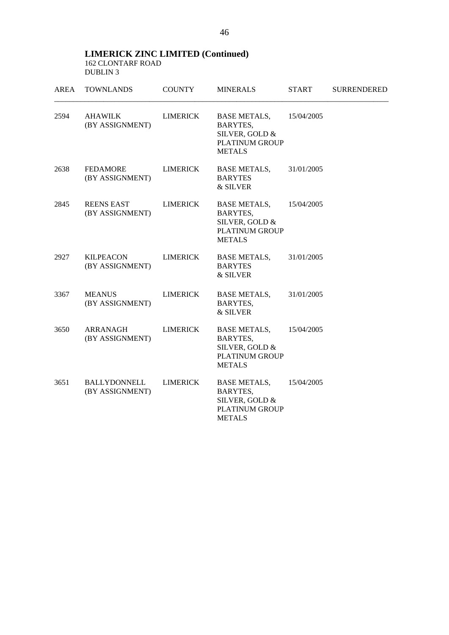**LIMERICK ZINC LIMITED (Continued)**  162 CLONTARF ROAD DUBLIN 3

| <b>AREA</b> | <b>TOWNLANDS</b>                       | <b>COUNTY</b>   | <b>MINERALS</b>                                                                                    | <b>START</b> | <b>SURRENDERED</b> |
|-------------|----------------------------------------|-----------------|----------------------------------------------------------------------------------------------------|--------------|--------------------|
| 2594        | <b>AHAWILK</b><br>(BY ASSIGNMENT)      | <b>LIMERICK</b> | <b>BASE METALS,</b><br>BARYTES,<br>SILVER, GOLD &<br><b>PLATINUM GROUP</b><br><b>METALS</b>        | 15/04/2005   |                    |
| 2638        | <b>FEDAMORE</b><br>(BY ASSIGNMENT)     | <b>LIMERICK</b> | <b>BASE METALS,</b><br><b>BARYTES</b><br>& SILVER                                                  | 31/01/2005   |                    |
| 2845        | <b>REENS EAST</b><br>(BY ASSIGNMENT)   | <b>LIMERICK</b> | <b>BASE METALS,</b><br><b>BARYTES,</b><br>SILVER, GOLD &<br><b>PLATINUM GROUP</b><br><b>METALS</b> | 15/04/2005   |                    |
| 2927        | <b>KILPEACON</b><br>(BY ASSIGNMENT)    | <b>LIMERICK</b> | <b>BASE METALS,</b><br><b>BARYTES</b><br>& SILVER                                                  | 31/01/2005   |                    |
| 3367        | <b>MEANUS</b><br>(BY ASSIGNMENT)       | <b>LIMERICK</b> | <b>BASE METALS,</b><br>BARYTES,<br>& SILVER                                                        | 31/01/2005   |                    |
| 3650        | ARRANAGH<br>(BY ASSIGNMENT)            | <b>LIMERICK</b> | <b>BASE METALS,</b><br><b>BARYTES,</b><br>SILVER, GOLD &<br><b>PLATINUM GROUP</b><br><b>METALS</b> | 15/04/2005   |                    |
| 3651        | <b>BALLYDONNELL</b><br>(BY ASSIGNMENT) | <b>LIMERICK</b> | <b>BASE METALS,</b><br><b>BARYTES,</b><br>SILVER, GOLD &<br>PLATINUM GROUP<br><b>METALS</b>        | 15/04/2005   |                    |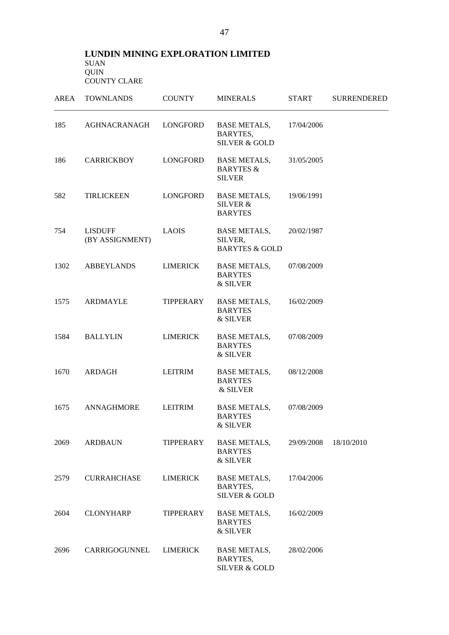#### **LUNDIN MINING EXPLORATION LIMITED**  SUAN QUIN COUNTY CLARE

| AREA | <b>TOWNLANDS</b>           | <b>COUNTY</b>    | <b>MINERALS</b>                                              | <b>START</b> | <b>SURRENDERED</b> |
|------|----------------------------|------------------|--------------------------------------------------------------|--------------|--------------------|
| 185  | AGHNACRANAGH               | LONGFORD         | <b>BASE METALS,</b><br>BARYTES,<br><b>SILVER &amp; GOLD</b>  | 17/04/2006   |                    |
| 186  | <b>CARRICKBOY</b>          | LONGFORD         | <b>BASE METALS,</b><br><b>BARYTES &amp;</b><br><b>SILVER</b> | 31/05/2005   |                    |
| 582  | <b>TIRLICKEEN</b>          | LONGFORD         | <b>BASE METALS,</b><br>SILVER &<br><b>BARYTES</b>            | 19/06/1991   |                    |
| 754  | LISDUFF<br>(BY ASSIGNMENT) | <b>LAOIS</b>     | <b>BASE METALS,</b><br>SILVER,<br><b>BARYTES &amp; GOLD</b>  | 20/02/1987   |                    |
| 1302 | ABBEYLANDS                 | <b>LIMERICK</b>  | <b>BASE METALS,</b><br><b>BARYTES</b><br>& SILVER            | 07/08/2009   |                    |
| 1575 | <b>ARDMAYLE</b>            | TIPPERARY        | BASE METALS,<br><b>BARYTES</b><br>& SILVER                   | 16/02/2009   |                    |
| 1584 | <b>BALLYLIN</b>            | <b>LIMERICK</b>  | <b>BASE METALS,</b><br><b>BARYTES</b><br>& SILVER            | 07/08/2009   |                    |
| 1670 | ARDAGH                     | <b>LEITRIM</b>   | BASE METALS,<br><b>BARYTES</b><br>& SILVER                   | 08/12/2008   |                    |
| 1675 | <b>ANNAGHMORE</b>          | <b>LEITRIM</b>   | <b>BASE METALS,</b><br><b>BARYTES</b><br>& SILVER            | 07/08/2009   |                    |
| 2069 | <b>ARDBAUN</b>             | <b>TIPPERARY</b> | <b>BASE METALS,</b><br><b>BARYTES</b><br>& SILVER            | 29/09/2008   | 18/10/2010         |
| 2579 | <b>CURRAHCHASE</b>         | <b>LIMERICK</b>  | <b>BASE METALS,</b><br>BARYTES,<br><b>SILVER &amp; GOLD</b>  | 17/04/2006   |                    |
| 2604 | <b>CLONYHARP</b>           | TIPPERARY        | <b>BASE METALS,</b><br><b>BARYTES</b><br>& SILVER            | 16/02/2009   |                    |
| 2696 | CARRIGOGUNNEL              | LIMERICK         | <b>BASE METALS,</b><br>BARYTES,<br><b>SILVER &amp; GOLD</b>  | 28/02/2006   |                    |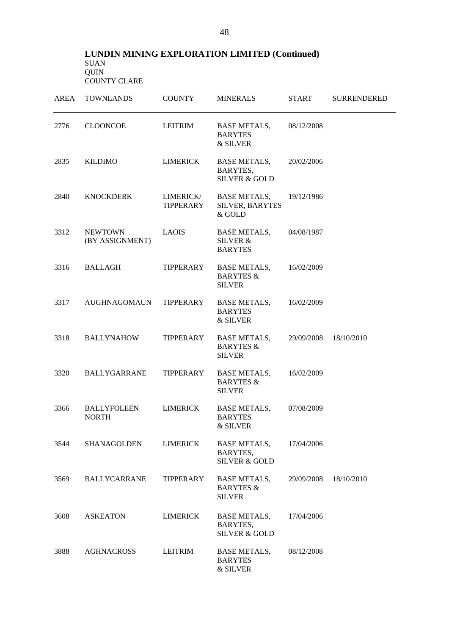## **LUNDIN MINING EXPLORATION LIMITED (Continued)**  SUAN QUIN COUNTY CLARE

| <b>AREA</b> | <b>TOWNLANDS</b>                   | <b>COUNTY</b>                 | <b>MINERALS</b>                                              | <b>START</b> | <b>SURRENDERED</b> |
|-------------|------------------------------------|-------------------------------|--------------------------------------------------------------|--------------|--------------------|
| 2776        | <b>CLOONCOE</b>                    | <b>LEITRIM</b>                | <b>BASE METALS,</b><br><b>BARYTES</b><br>& SILVER            | 08/12/2008   |                    |
| 2835        | <b>KILDIMO</b>                     | <b>LIMERICK</b>               | <b>BASE METALS,</b><br>BARYTES,<br><b>SILVER &amp; GOLD</b>  | 20/02/2006   |                    |
| 2840        | <b>KNOCKDERK</b>                   | LIMERICK/<br><b>TIPPERARY</b> | <b>BASE METALS,</b><br>SILVER, BARYTES<br>& GOLD             | 19/12/1986   |                    |
| 3312        | <b>NEWTOWN</b><br>(BY ASSIGNMENT)  | <b>LAOIS</b>                  | <b>BASE METALS,</b><br><b>SILVER &amp;</b><br><b>BARYTES</b> | 04/08/1987   |                    |
| 3316        | <b>BALLAGH</b>                     | TIPPERARY                     | <b>BASE METALS,</b><br><b>BARYTES &amp;</b><br><b>SILVER</b> | 16/02/2009   |                    |
| 3317        | <b>AUGHNAGOMAUN</b>                | TIPPERARY                     | <b>BASE METALS,</b><br><b>BARYTES</b><br>& SILVER            | 16/02/2009   |                    |
| 3318        | <b>BALLYNAHOW</b>                  | TIPPERARY                     | <b>BASE METALS,</b><br><b>BARYTES &amp;</b><br><b>SILVER</b> | 29/09/2008   | 18/10/2010         |
| 3320        | <b>BALLYGARRANE</b>                | TIPPERARY                     | <b>BASE METALS,</b><br><b>BARYTES &amp;</b><br><b>SILVER</b> | 16/02/2009   |                    |
| 3366        | <b>BALLYFOLEEN</b><br><b>NORTH</b> | <b>LIMERICK</b>               | <b>BASE METALS,</b><br><b>BARYTES</b><br>& SILVER            | 07/08/2009   |                    |
| 3544        | <b>SHANAGOLDEN</b>                 | <b>LIMERICK</b>               | <b>BASE METALS,</b><br>BARYTES,<br><b>SILVER &amp; GOLD</b>  | 17/04/2006   |                    |
| 3569        | <b>BALLYCARRANE</b>                | <b>TIPPERARY</b>              | <b>BASE METALS,</b><br><b>BARYTES &amp;</b><br><b>SILVER</b> | 29/09/2008   | 18/10/2010         |
| 3608        | <b>ASKEATON</b>                    | <b>LIMERICK</b>               | <b>BASE METALS,</b><br>BARYTES,<br><b>SILVER &amp; GOLD</b>  | 17/04/2006   |                    |
| 3888        | <b>AGHNACROSS</b>                  | <b>LEITRIM</b>                | <b>BASE METALS,</b><br><b>BARYTES</b><br>& SILVER            | 08/12/2008   |                    |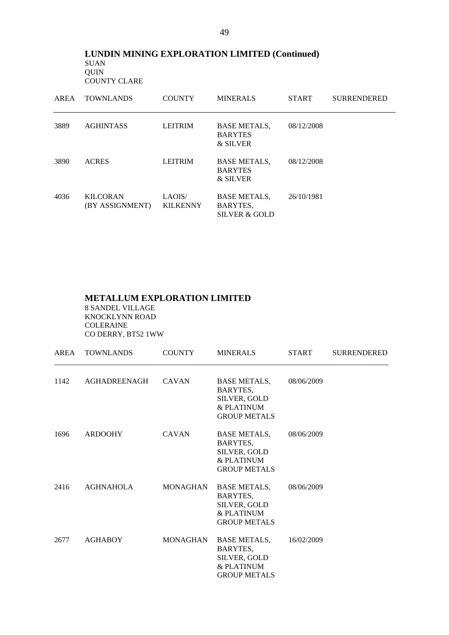**LUNDIN MINING EXPLORATION LIMITED (Continued)**  SUAN QUIN COUNTY CLARE

| AREA | <b>TOWNLANDS</b>                   | <b>COUNTY</b>             | <b>MINERALS</b>                                             | <b>START</b> | <b>SURRENDERED</b> |
|------|------------------------------------|---------------------------|-------------------------------------------------------------|--------------|--------------------|
| 3889 | <b>AGHINTASS</b>                   | <b>LEITRIM</b>            | <b>BASE METALS,</b><br><b>BARYTES</b><br>& SILVER           | 08/12/2008   |                    |
| 3890 | <b>ACRES</b>                       | <b>LEITRIM</b>            | <b>BASE METALS,</b><br><b>BARYTES</b><br>& SILVER           | 08/12/2008   |                    |
| 4036 | <b>KILCORAN</b><br>(BY ASSIGNMENT) | LAOIS/<br><b>KILKENNY</b> | <b>BASE METALS,</b><br>BARYTES,<br><b>SILVER &amp; GOLD</b> | 26/10/1981   |                    |

## **METALLUM EXPLORATION LIMITED**

8 SANDEL VILLAGE KNOCKLYNN ROAD COLERAINE CO DERRY, BT52 1WW

| AREA | <b>TOWNLANDS</b> | <b>COUNTY</b> | <b>MINERALS</b>                                                                        | <b>START</b> | <b>SURRENDERED</b> |
|------|------------------|---------------|----------------------------------------------------------------------------------------|--------------|--------------------|
| 1142 | AGHADREENAGH     | <b>CAVAN</b>  | BASE METALS,<br>BARYTES,<br>SILVER, GOLD<br>& PLATINUM<br><b>GROUP METALS</b>          | 08/06/2009   |                    |
| 1696 | ARDOOHY          | <b>CAVAN</b>  | BASE METALS,<br>BARYTES,<br>SILVER, GOLD<br>& PLATINUM<br><b>GROUP METALS</b>          | 08/06/2009   |                    |
|      | 2416 AGHNAHOLA   |               | MONAGHAN BASE METALS,<br>BARYTES,<br>SILVER, GOLD<br>& PLATINUM<br><b>GROUP METALS</b> | 08/06/2009   |                    |
| 2677 | AGHABOY          |               | MONAGHAN BASE METALS,<br>BARYTES,<br>SILVER, GOLD<br>& PLATINUM<br><b>GROUP METALS</b> | 16/02/2009   |                    |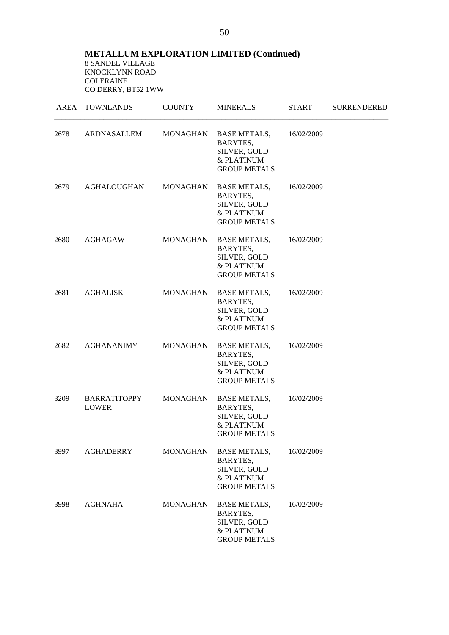**METALLUM EXPLORATION LIMITED (Continued)**  8 SANDEL VILLAGE KNOCKLYNN ROAD COLERAINE CO DERRY, BT52 1WW

|      | AREA TOWNLANDS               | <b>COUNTY</b>   | <b>MINERALS</b>                                                                      | <b>START</b> | <b>SURRENDERED</b> |
|------|------------------------------|-----------------|--------------------------------------------------------------------------------------|--------------|--------------------|
| 2678 | ARDNASALLEM                  | MONAGHAN        | BASE METALS,<br>BARYTES,<br>SILVER, GOLD<br>& PLATINUM<br><b>GROUP METALS</b>        | 16/02/2009   |                    |
| 2679 | <b>AGHALOUGHAN</b>           | MONAGHAN        | <b>BASE METALS,</b><br>BARYTES,<br>SILVER, GOLD<br>& PLATINUM<br><b>GROUP METALS</b> | 16/02/2009   |                    |
| 2680 | AGHAGAW                      | MONAGHAN        | <b>BASE METALS,</b><br>BARYTES,<br>SILVER, GOLD<br>& PLATINUM<br><b>GROUP METALS</b> | 16/02/2009   |                    |
| 2681 | AGHALISK                     | MONAGHAN        | <b>BASE METALS,</b><br>BARYTES,<br>SILVER, GOLD<br>& PLATINUM<br><b>GROUP METALS</b> | 16/02/2009   |                    |
| 2682 | <b>AGHANANIMY</b>            | MONAGHAN        | <b>BASE METALS,</b><br>BARYTES,<br>SILVER, GOLD<br>& PLATINUM<br><b>GROUP METALS</b> | 16/02/2009   |                    |
| 3209 | BARRATITOPPY<br><b>LOWER</b> | MONAGHAN        | BASE METALS,<br>BARYTES,<br>SILVER, GOLD<br>& PLATINUM<br><b>GROUP METALS</b>        | 16/02/2009   |                    |
| 3997 | <b>AGHADERRY</b>             | <b>MONAGHAN</b> | <b>BASE METALS,</b><br>BARYTES,<br>SILVER, GOLD<br>& PLATINUM<br><b>GROUP METALS</b> | 16/02/2009   |                    |
| 3998 | <b>AGHNAHA</b>               | <b>MONAGHAN</b> | <b>BASE METALS,</b><br>BARYTES,<br>SILVER, GOLD<br>& PLATINUM<br><b>GROUP METALS</b> | 16/02/2009   |                    |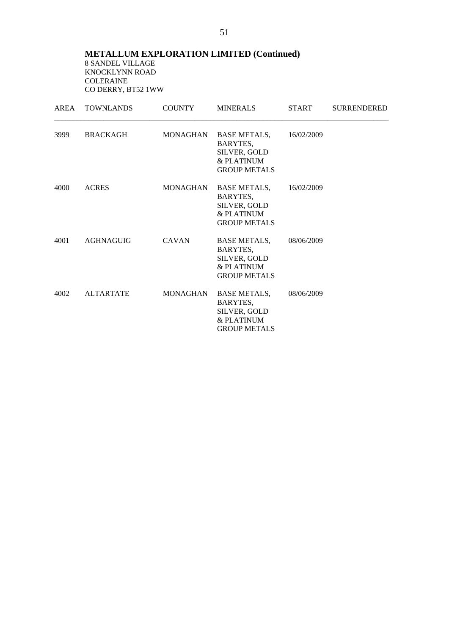**METALLUM EXPLORATION LIMITED (Continued)**  8 SANDEL VILLAGE KNOCKLYNN ROAD COLERAINE CO DERRY, BT52 1WW

| AREA | <b>TOWNLANDS</b> | <b>COUNTY</b> | <b>MINERALS</b>                                                                        | <b>START</b> | <b>SURRENDERED</b> |
|------|------------------|---------------|----------------------------------------------------------------------------------------|--------------|--------------------|
| 3999 | BRACKAGH         |               | MONAGHAN BASE METALS,<br>BARYTES,<br>SILVER, GOLD<br>& PLATINUM<br><b>GROUP METALS</b> | 16/02/2009   |                    |
| 4000 | <b>ACRES</b>     | MONAGHAN      | BASE METALS,<br>BARYTES,<br>SILVER, GOLD<br>& PLATINUM<br><b>GROUP METALS</b>          | 16/02/2009   |                    |
| 4001 | AGHNAGUIG        | <b>CAVAN</b>  | <b>BASE METALS,</b><br>BARYTES,<br>SILVER, GOLD<br>& PLATINUM<br><b>GROUP METALS</b>   | 08/06/2009   |                    |
| 4002 | <b>ALTARTATE</b> | MONAGHAN      | <b>BASE METALS,</b><br>BARYTES,<br>SILVER, GOLD<br>& PLATINUM<br><b>GROUP METALS</b>   | 08/06/2009   |                    |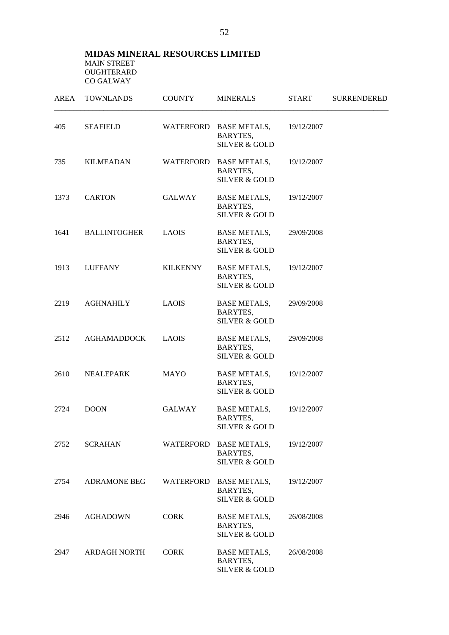## **MIDAS MINERAL RESOURCES LIMITED**  MAIN STREET OUGHTERARD CO GALWAY

| AREA | <b>TOWNLANDS</b>    | <b>COUNTY</b>    | <b>MINERALS</b>                                                | <b>START</b> | <b>SURRENDERED</b> |
|------|---------------------|------------------|----------------------------------------------------------------|--------------|--------------------|
| 405  | <b>SEAFIELD</b>     |                  | WATERFORD BASE METALS,<br>BARYTES,<br><b>SILVER &amp; GOLD</b> | 19/12/2007   |                    |
| 735  | <b>KILMEADAN</b>    | WATERFORD        | <b>BASE METALS,</b><br>BARYTES,<br><b>SILVER &amp; GOLD</b>    | 19/12/2007   |                    |
| 1373 | <b>CARTON</b>       | <b>GALWAY</b>    | <b>BASE METALS,</b><br>BARYTES,<br><b>SILVER &amp; GOLD</b>    | 19/12/2007   |                    |
| 1641 | <b>BALLINTOGHER</b> | <b>LAOIS</b>     | <b>BASE METALS,</b><br>BARYTES,<br><b>SILVER &amp; GOLD</b>    | 29/09/2008   |                    |
| 1913 | <b>LUFFANY</b>      | <b>KILKENNY</b>  | <b>BASE METALS,</b><br>BARYTES,<br><b>SILVER &amp; GOLD</b>    | 19/12/2007   |                    |
| 2219 | <b>AGHNAHILY</b>    | <b>LAOIS</b>     | <b>BASE METALS,</b><br>BARYTES,<br><b>SILVER &amp; GOLD</b>    | 29/09/2008   |                    |
| 2512 | <b>AGHAMADDOCK</b>  | <b>LAOIS</b>     | <b>BASE METALS,</b><br>BARYTES,<br><b>SILVER &amp; GOLD</b>    | 29/09/2008   |                    |
| 2610 | <b>NEALEPARK</b>    | <b>MAYO</b>      | <b>BASE METALS,</b><br>BARYTES,<br><b>SILVER &amp; GOLD</b>    | 19/12/2007   |                    |
| 2724 | <b>DOON</b>         | <b>GALWAY</b>    | <b>BASE METALS,</b><br>BARYTES,<br><b>SILVER &amp; GOLD</b>    | 19/12/2007   |                    |
| 2752 | <b>SCRAHAN</b>      |                  | WATERFORD BASE METALS,<br>BARYTES,<br><b>SILVER &amp; GOLD</b> | 19/12/2007   |                    |
| 2754 | <b>ADRAMONE BEG</b> | <b>WATERFORD</b> | <b>BASE METALS,</b><br>BARYTES,<br><b>SILVER &amp; GOLD</b>    | 19/12/2007   |                    |
| 2946 | <b>AGHADOWN</b>     | <b>CORK</b>      | <b>BASE METALS,</b><br>BARYTES,<br><b>SILVER &amp; GOLD</b>    | 26/08/2008   |                    |
| 2947 | <b>ARDAGH NORTH</b> | <b>CORK</b>      | <b>BASE METALS,</b><br>BARYTES,<br><b>SILVER &amp; GOLD</b>    | 26/08/2008   |                    |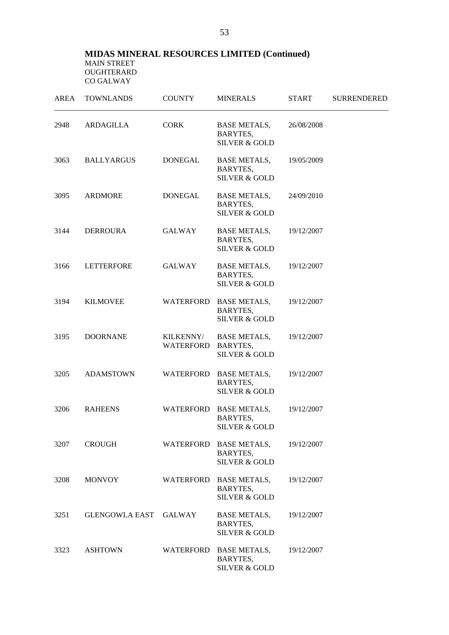## **MIDAS MINERAL RESOURCES LIMITED (Continued)**  MAIN STREET OUGHTERARD CO GALWAY

| <b>AREA</b> | <b>TOWNLANDS</b>  | <b>COUNTY</b>                 | <b>MINERALS</b>                                                | <b>START</b> | <b>SURRENDERED</b> |
|-------------|-------------------|-------------------------------|----------------------------------------------------------------|--------------|--------------------|
| 2948        | ARDAGILLA         | <b>CORK</b>                   | <b>BASE METALS,</b><br>BARYTES,<br><b>SILVER &amp; GOLD</b>    | 26/08/2008   |                    |
| 3063        | <b>BALLYARGUS</b> | <b>DONEGAL</b>                | <b>BASE METALS,</b><br>BARYTES,<br><b>SILVER &amp; GOLD</b>    | 19/05/2009   |                    |
| 3095        | <b>ARDMORE</b>    | <b>DONEGAL</b>                | <b>BASE METALS,</b><br>BARYTES,<br><b>SILVER &amp; GOLD</b>    | 24/09/2010   |                    |
| 3144        | <b>DERROURA</b>   | <b>GALWAY</b>                 | <b>BASE METALS,</b><br>BARYTES,<br><b>SILVER &amp; GOLD</b>    | 19/12/2007   |                    |
| 3166        | <b>LETTERFORE</b> | <b>GALWAY</b>                 | <b>BASE METALS,</b><br>BARYTES,<br><b>SILVER &amp; GOLD</b>    | 19/12/2007   |                    |
| 3194        | <b>KILMOVEE</b>   | <b>WATERFORD</b>              | <b>BASE METALS,</b><br>BARYTES,<br><b>SILVER &amp; GOLD</b>    | 19/12/2007   |                    |
| 3195        | <b>DOORNANE</b>   | KILKENNY/<br><b>WATERFORD</b> | <b>BASE METALS,</b><br>BARYTES,<br><b>SILVER &amp; GOLD</b>    | 19/12/2007   |                    |
| 3205        | <b>ADAMSTOWN</b>  | <b>WATERFORD</b>              | <b>BASE METALS,</b><br>BARYTES,<br><b>SILVER &amp; GOLD</b>    | 19/12/2007   |                    |
| 3206        | <b>RAHEENS</b>    | WATERFORD                     | <b>BASE METALS,</b><br>BARYTES,<br><b>SILVER &amp; GOLD</b>    | 19/12/2007   |                    |
| 3207        | <b>CROUGH</b>     |                               | WATERFORD BASE METALS,<br>BARYTES,<br><b>SILVER &amp; GOLD</b> | 19/12/2007   |                    |
| 3208        | <b>MONVOY</b>     |                               | WATERFORD BASE METALS,<br>BARYTES,<br><b>SILVER &amp; GOLD</b> | 19/12/2007   |                    |
| 3251        | GLENGOWLA EAST    | <b>GALWAY</b>                 | <b>BASE METALS,</b><br>BARYTES,<br><b>SILVER &amp; GOLD</b>    | 19/12/2007   |                    |
| 3323        | <b>ASHTOWN</b>    | WATERFORD                     | <b>BASE METALS,</b><br>BARYTES,<br><b>SILVER &amp; GOLD</b>    | 19/12/2007   |                    |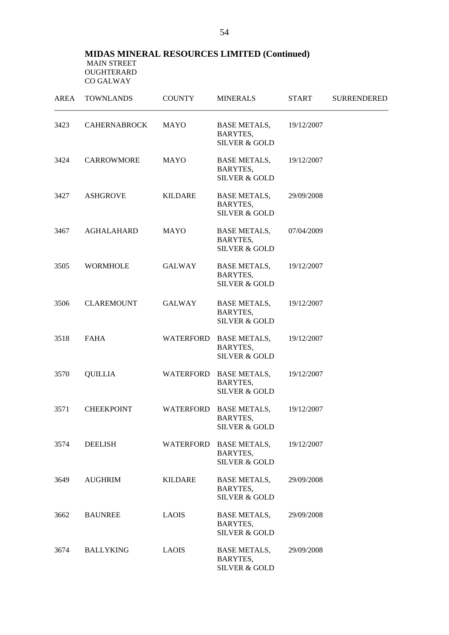## **MIDAS MINERAL RESOURCES LIMITED (Continued)**  MAIN STREET OUGHTERARD CO GALWAY

| AREA | <b>TOWNLANDS</b>    | <b>COUNTY</b>  | <b>MINERALS</b>                                                | <b>START</b> | <b>SURRENDERED</b> |
|------|---------------------|----------------|----------------------------------------------------------------|--------------|--------------------|
| 3423 | <b>CAHERNABROCK</b> | <b>MAYO</b>    | <b>BASE METALS,</b><br>BARYTES,<br><b>SILVER &amp; GOLD</b>    | 19/12/2007   |                    |
| 3424 | CARROWMORE          | <b>MAYO</b>    | <b>BASE METALS,</b><br>BARYTES,<br><b>SILVER &amp; GOLD</b>    | 19/12/2007   |                    |
| 3427 | <b>ASHGROVE</b>     | <b>KILDARE</b> | <b>BASE METALS,</b><br>BARYTES,<br><b>SILVER &amp; GOLD</b>    | 29/09/2008   |                    |
| 3467 | <b>AGHALAHARD</b>   | <b>MAYO</b>    | <b>BASE METALS,</b><br>BARYTES,<br><b>SILVER &amp; GOLD</b>    | 07/04/2009   |                    |
| 3505 | <b>WORMHOLE</b>     | GALWAY         | <b>BASE METALS,</b><br>BARYTES,<br><b>SILVER &amp; GOLD</b>    | 19/12/2007   |                    |
| 3506 | <b>CLAREMOUNT</b>   | <b>GALWAY</b>  | <b>BASE METALS,</b><br>BARYTES,<br><b>SILVER &amp; GOLD</b>    | 19/12/2007   |                    |
| 3518 | <b>FAHA</b>         |                | WATERFORD BASE METALS,<br>BARYTES,<br><b>SILVER &amp; GOLD</b> | 19/12/2007   |                    |
| 3570 | <b>QUILLIA</b>      |                | WATERFORD BASE METALS,<br>BARYTES,<br><b>SILVER &amp; GOLD</b> | 19/12/2007   |                    |
| 3571 | <b>CHEEKPOINT</b>   | WATERFORD      | <b>BASE METALS,</b><br>BARYTES,<br><b>SILVER &amp; GOLD</b>    | 19/12/2007   |                    |
| 3574 | <b>DEELISH</b>      |                | WATERFORD BASE METALS,<br>BARYTES,<br><b>SILVER &amp; GOLD</b> | 19/12/2007   |                    |
| 3649 | <b>AUGHRIM</b>      | KILDARE        | <b>BASE METALS,</b><br>BARYTES,<br><b>SILVER &amp; GOLD</b>    | 29/09/2008   |                    |
| 3662 | <b>BAUNREE</b>      | <b>LAOIS</b>   | <b>BASE METALS,</b><br>BARYTES,<br><b>SILVER &amp; GOLD</b>    | 29/09/2008   |                    |
| 3674 | <b>BALLYKING</b>    | <b>LAOIS</b>   | <b>BASE METALS,</b><br>BARYTES,<br><b>SILVER &amp; GOLD</b>    | 29/09/2008   |                    |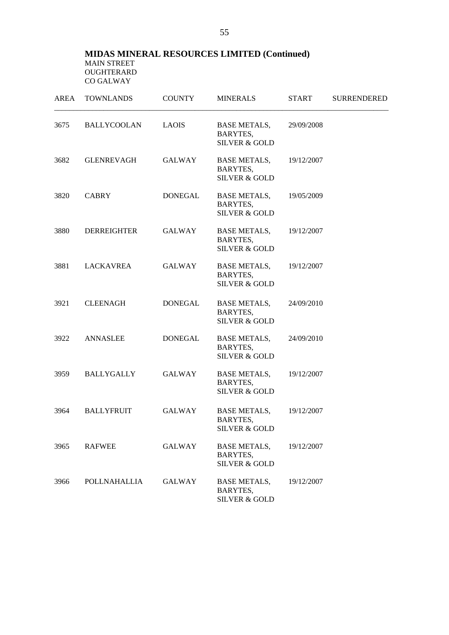## **MIDAS MINERAL RESOURCES LIMITED (Continued)**  MAIN STREET OUGHTERARD CO GALWAY

| AREA | <b>TOWNLANDS</b>    | <b>COUNTY</b>  | <b>MINERALS</b>                                             | <b>START</b> | <b>SURRENDERED</b> |
|------|---------------------|----------------|-------------------------------------------------------------|--------------|--------------------|
| 3675 | <b>BALLYCOOLAN</b>  | <b>LAOIS</b>   | <b>BASE METALS,</b><br>BARYTES,<br><b>SILVER &amp; GOLD</b> | 29/09/2008   |                    |
| 3682 | <b>GLENREVAGH</b>   | GALWAY         | <b>BASE METALS,</b><br>BARYTES,<br><b>SILVER &amp; GOLD</b> | 19/12/2007   |                    |
| 3820 | <b>CABRY</b>        | DONEGAL        | <b>BASE METALS,</b><br>BARYTES,<br><b>SILVER &amp; GOLD</b> | 19/05/2009   |                    |
| 3880 | <b>DERREIGHTER</b>  | GALWAY         | <b>BASE METALS,</b><br>BARYTES,<br><b>SILVER &amp; GOLD</b> | 19/12/2007   |                    |
| 3881 | LACKAVREA           | GALWAY         | <b>BASE METALS,</b><br>BARYTES,<br><b>SILVER &amp; GOLD</b> | 19/12/2007   |                    |
| 3921 | <b>CLEENAGH</b>     | <b>DONEGAL</b> | <b>BASE METALS,</b><br>BARYTES,<br><b>SILVER &amp; GOLD</b> | 24/09/2010   |                    |
| 3922 | ANNASLEE            | DONEGAL        | <b>BASE METALS,</b><br>BARYTES,<br><b>SILVER &amp; GOLD</b> | 24/09/2010   |                    |
| 3959 | BALLYGALLY          | GALWAY         | <b>BASE METALS,</b><br>BARYTES,<br><b>SILVER &amp; GOLD</b> | 19/12/2007   |                    |
| 3964 | <b>BALLYFRUIT</b>   | GALWAY         | <b>BASE METALS,</b><br>BARYTES,<br><b>SILVER &amp; GOLD</b> | 19/12/2007   |                    |
| 3965 | <b>RAFWEE</b>       | <b>GALWAY</b>  | <b>BASE METALS,</b><br>BARYTES,<br><b>SILVER &amp; GOLD</b> | 19/12/2007   |                    |
| 3966 | <b>POLLNAHALLIA</b> | <b>GALWAY</b>  | <b>BASE METALS,</b><br>BARYTES,<br>SILVER & GOLD            | 19/12/2007   |                    |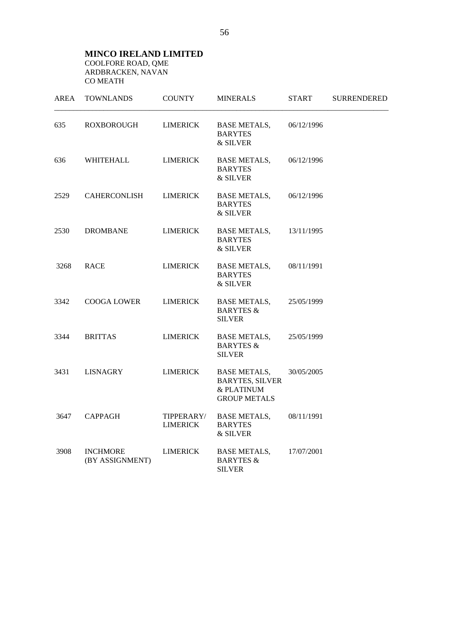#### **MINCO IRELAND LIMITED**  COOLFORE ROAD, QME ARDBRACKEN, NAVAN CO MEATH

| <b>AREA</b> | <b>TOWNLANDS</b>                   | <b>COUNTY</b>                 | <b>MINERALS</b>                                                                    | START      | <b>SURRENDERED</b> |
|-------------|------------------------------------|-------------------------------|------------------------------------------------------------------------------------|------------|--------------------|
| 635         | <b>ROXBOROUGH</b>                  | <b>LIMERICK</b>               | <b>BASE METALS,</b><br><b>BARYTES</b><br>& SILVER                                  | 06/12/1996 |                    |
| 636         | WHITEHALL                          | <b>LIMERICK</b>               | <b>BASE METALS,</b><br><b>BARYTES</b><br>& SILVER                                  | 06/12/1996 |                    |
| 2529        | <b>CAHERCONLISH</b>                | <b>LIMERICK</b>               | <b>BASE METALS,</b><br><b>BARYTES</b><br>& SILVER                                  | 06/12/1996 |                    |
| 2530        | <b>DROMBANE</b>                    | <b>LIMERICK</b>               | <b>BASE METALS,</b><br><b>BARYTES</b><br>& SILVER                                  | 13/11/1995 |                    |
| 3268        | <b>RACE</b>                        | <b>LIMERICK</b>               | <b>BASE METALS,</b><br><b>BARYTES</b><br>& SILVER                                  | 08/11/1991 |                    |
| 3342        | <b>COOGA LOWER</b>                 | <b>LIMERICK</b>               | <b>BASE METALS,</b><br><b>BARYTES &amp;</b><br><b>SILVER</b>                       | 25/05/1999 |                    |
| 3344        | <b>BRITTAS</b>                     | <b>LIMERICK</b>               | <b>BASE METALS,</b><br><b>BARYTES &amp;</b><br><b>SILVER</b>                       | 25/05/1999 |                    |
| 3431        | <b>LISNAGRY</b>                    | <b>LIMERICK</b>               | <b>BASE METALS,</b><br><b>BARYTES, SILVER</b><br>& PLATINUM<br><b>GROUP METALS</b> | 30/05/2005 |                    |
| 3647        | <b>CAPPAGH</b>                     | TIPPERARY/<br><b>LIMERICK</b> | <b>BASE METALS,</b><br><b>BARYTES</b><br>& SILVER                                  | 08/11/1991 |                    |
| 3908        | <b>INCHMORE</b><br>(BY ASSIGNMENT) | <b>LIMERICK</b>               | <b>BASE METALS,</b><br><b>BARYTES &amp;</b><br><b>SILVER</b>                       | 17/07/2001 |                    |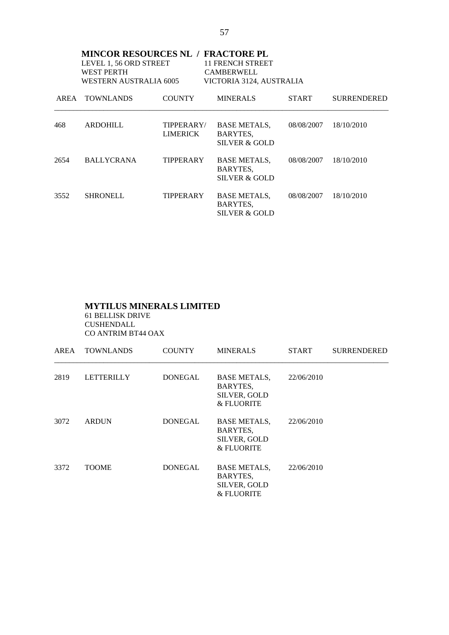| <b>MINCOR RESOURCES NL / FRACTORE PL</b><br>LEVEL 1, 56 ORD STREET<br>11 FRENCH STREET<br><b>WEST PERTH</b><br><b>CAMBERWELL</b><br>WESTERN AUSTRALIA 6005<br>VICTORIA 3124, AUSTRALIA |                   |                               |                                                             |              |                    |  |
|----------------------------------------------------------------------------------------------------------------------------------------------------------------------------------------|-------------------|-------------------------------|-------------------------------------------------------------|--------------|--------------------|--|
|                                                                                                                                                                                        | AREA TOWNLANDS    | <b>COUNTY</b>                 | <b>MINERALS</b>                                             | <b>START</b> | <b>SURRENDERED</b> |  |
| 468                                                                                                                                                                                    | <b>ARDOHILL</b>   | TIPPERARY/<br><b>LIMERICK</b> | <b>BASE METALS,</b><br>BARYTES,<br>SILVER & GOLD            | 08/08/2007   | 18/10/2010         |  |
| 2654                                                                                                                                                                                   | <b>BALLYCRANA</b> | TIPPERARY                     | <b>BASE METALS,</b><br>BARYTES,<br><b>SILVER &amp; GOLD</b> | 08/08/2007   | 18/10/2010         |  |
| 3552                                                                                                                                                                                   | <b>SHRONELL</b>   | TIPPERARY                     | <b>BASE METALS,</b><br>BARYTES,<br><b>SILVER &amp; GOLD</b> | 08/08/2007   | 18/10/2010         |  |

## **MYTILUS MINERALS LIMITED** 61 BELLISK DRIVE

 CUSHENDALL CO ANTRIM BT44 OAX

| AREA | <b>TOWNLANDS</b>  | <b>COUNTY</b>  | <b>MINERALS</b>                                                      | <b>START</b> | <b>SURRENDERED</b> |
|------|-------------------|----------------|----------------------------------------------------------------------|--------------|--------------------|
| 2819 | <b>LETTERILLY</b> | <b>DONEGAL</b> | <b>BASE METALS,</b><br>BARYTES,<br><b>SILVER, GOLD</b><br>& FLUORITE | 22/06/2010   |                    |
| 3072 | <b>ARDUN</b>      | <b>DONEGAL</b> | <b>BASE METALS,</b><br>BARYTES,<br>SILVER, GOLD<br>& FLUORITE        | 22/06/2010   |                    |
| 3372 | <b>TOOME</b>      | <b>DONEGAL</b> | <b>BASE METALS,</b><br>BARYTES,<br><b>SILVER, GOLD</b><br>& FLUORITE | 22/06/2010   |                    |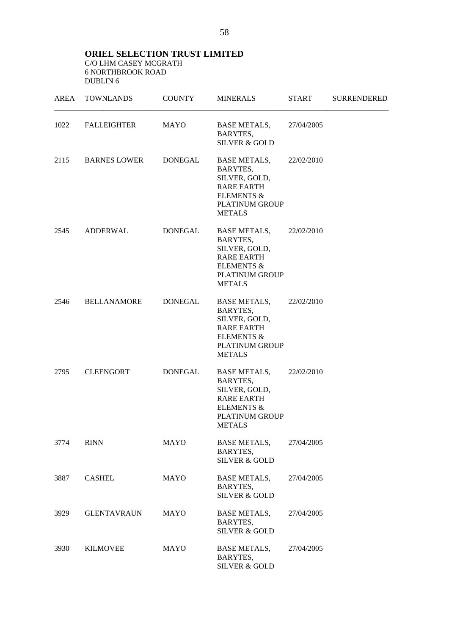**ORIEL SELECTION TRUST LIMITED**  C/O LHM CASEY MCGRATH 6 NORTHBROOK ROAD DUBLIN 6

| AREA | <b>TOWNLANDS</b>    | <b>COUNTY</b>  | <b>MINERALS</b>                                                                                                                          | <b>START</b> | <b>SURRENDERED</b> |
|------|---------------------|----------------|------------------------------------------------------------------------------------------------------------------------------------------|--------------|--------------------|
| 1022 | <b>FALLEIGHTER</b>  | MAYO           | <b>BASE METALS,</b><br>BARYTES,<br><b>SILVER &amp; GOLD</b>                                                                              | 27/04/2005   |                    |
| 2115 | <b>BARNES LOWER</b> | DONEGAL        | BASE METALS,<br>BARYTES,<br>SILVER, GOLD,<br><b>RARE EARTH</b><br><b>ELEMENTS &amp;</b><br>PLATINUM GROUP<br><b>METALS</b>               | 22/02/2010   |                    |
| 2545 | <b>ADDERWAL</b>     | <b>DONEGAL</b> | <b>BASE METALS,</b><br>BARYTES,<br>SILVER, GOLD,<br><b>RARE EARTH</b><br><b>ELEMENTS &amp;</b><br><b>PLATINUM GROUP</b><br><b>METALS</b> | 22/02/2010   |                    |
| 2546 | <b>BELLANAMORE</b>  | DONEGAL        | BASE METALS,<br>BARYTES,<br>SILVER, GOLD,<br><b>RARE EARTH</b><br><b>ELEMENTS &amp;</b><br>PLATINUM GROUP<br><b>METALS</b>               | 22/02/2010   |                    |
| 2795 | <b>CLEENGORT</b>    | DONEGAL        | <b>BASE METALS,</b><br>BARYTES,<br>SILVER, GOLD,<br><b>RARE EARTH</b><br><b>ELEMENTS &amp;</b><br>PLATINUM GROUP<br><b>METALS</b>        | 22/02/2010   |                    |
| 3774 | <b>RINN</b>         | <b>MAYO</b>    | <b>BASE METALS,</b><br>BARYTES,<br><b>SILVER &amp; GOLD</b>                                                                              | 27/04/2005   |                    |
| 3887 | <b>CASHEL</b>       | MAYO           | <b>BASE METALS,</b><br>BARYTES,<br><b>SILVER &amp; GOLD</b>                                                                              | 27/04/2005   |                    |
| 3929 | <b>GLENTAVRAUN</b>  | MAYO           | <b>BASE METALS,</b><br>BARYTES,<br><b>SILVER &amp; GOLD</b>                                                                              | 27/04/2005   |                    |
| 3930 | <b>KILMOVEE</b>     | MAYO           | <b>BASE METALS,</b><br>BARYTES,<br><b>SILVER &amp; GOLD</b>                                                                              | 27/04/2005   |                    |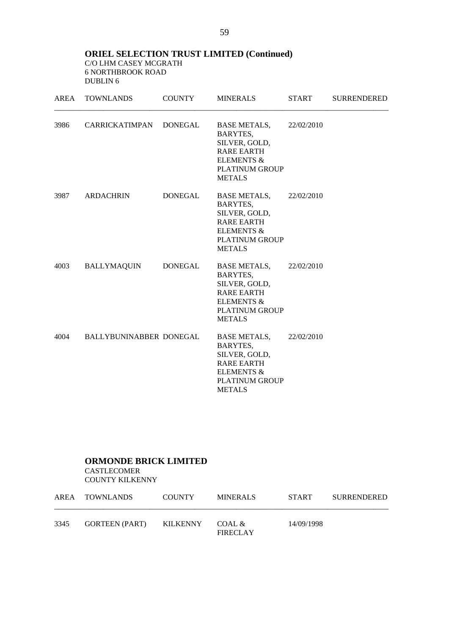**ORIEL SELECTION TRUST LIMITED (Continued)** C/O LHM CASEY MCGRATH 6 NORTHBROOK ROAD DUBLIN 6

| AREA | <b>TOWNLANDS</b>        | <b>COUNTY</b> | <b>MINERALS</b>                                                                                                                              | <b>START</b> | <b>SURRENDERED</b> |
|------|-------------------------|---------------|----------------------------------------------------------------------------------------------------------------------------------------------|--------------|--------------------|
| 3986 | CARRICKATIMPAN DONEGAL  |               | BASE METALS, 22/02/2010<br>BARYTES,<br>SILVER, GOLD,<br><b>RARE EARTH</b><br><b>ELEMENTS &amp;</b><br>PLATINUM GROUP<br><b>METALS</b>        |              |                    |
| 3987 | <b>ARDACHRIN</b>        | DONEGAL       | BASE METALS, 22/02/2010<br>BARYTES,<br>SILVER, GOLD,<br><b>RARE EARTH</b><br><b>ELEMENTS &amp;</b><br><b>PLATINUM GROUP</b><br><b>METALS</b> |              |                    |
| 4003 | <b>BALLYMAQUIN</b>      | DONEGAL       | <b>BASE METALS,</b><br>BARYTES,<br>SILVER, GOLD,<br><b>RARE EARTH</b><br><b>ELEMENTS &amp;</b><br><b>PLATINUM GROUP</b><br><b>METALS</b>     | 22/02/2010   |                    |
| 4004 | BALLYBUNINABBER DONEGAL |               | <b>BASE METALS,</b><br>BARYTES,<br>SILVER, GOLD,<br><b>RARE EARTH</b><br><b>ELEMENTS &amp;</b><br>PLATINUM GROUP<br><b>METALS</b>            | 22/02/2010   |                    |

# **ORMONDE BRICK LIMITED**

 CASTLECOMER COUNTY KILKENNY

|      | AREA TOWNLANDS        | <b>COUNTY</b>   | MINERALS                  | <b>START</b> | SURRENDERED |
|------|-----------------------|-----------------|---------------------------|--------------|-------------|
| 3345 | <b>GORTEEN (PART)</b> | <b>KILKENNY</b> | COAL &<br><b>FIRECLAY</b> | 14/09/1998   |             |

59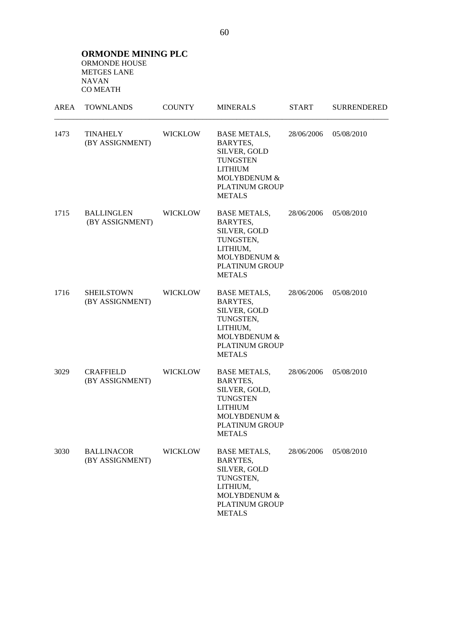**ORMONDE MINING PLC**  ORMONDE HOUSE METGES LANE NAVAN CO MEATH

| <b>AREA</b> | <b>TOWNLANDS</b>                     | <b>COUNTY</b>  | <b>MINERALS</b>                                                                                                                                 | <b>START</b> | <b>SURRENDERED</b> |
|-------------|--------------------------------------|----------------|-------------------------------------------------------------------------------------------------------------------------------------------------|--------------|--------------------|
| 1473        | <b>TINAHELY</b><br>(BY ASSIGNMENT)   | <b>WICKLOW</b> | <b>BASE METALS,</b><br>BARYTES,<br>SILVER, GOLD<br><b>TUNGSTEN</b><br><b>LITHIUM</b><br>MOLYBDENUM &<br><b>PLATINUM GROUP</b><br><b>METALS</b>  | 28/06/2006   | 05/08/2010         |
| 1715        | <b>BALLINGLEN</b><br>(BY ASSIGNMENT) | <b>WICKLOW</b> | <b>BASE METALS,</b><br>BARYTES,<br>SILVER, GOLD<br>TUNGSTEN,<br>LITHIUM,<br>MOLYBDENUM &<br>PLATINUM GROUP<br><b>METALS</b>                     | 28/06/2006   | 05/08/2010         |
| 1716        | <b>SHEILSTOWN</b><br>(BY ASSIGNMENT) | <b>WICKLOW</b> | <b>BASE METALS,</b><br><b>BARYTES,</b><br>SILVER, GOLD<br>TUNGSTEN,<br>LITHIUM,<br>MOLYBDENUM &<br><b>PLATINUM GROUP</b><br><b>METALS</b>       | 28/06/2006   | 05/08/2010         |
| 3029        | <b>CRAFFIELD</b><br>(BY ASSIGNMENT)  | <b>WICKLOW</b> | <b>BASE METALS,</b><br>BARYTES,<br>SILVER, GOLD,<br><b>TUNGSTEN</b><br><b>LITHIUM</b><br>MOLYBDENUM &<br><b>PLATINUM GROUP</b><br><b>METALS</b> | 28/06/2006   | 05/08/2010         |
| 3030        | <b>BALLINACOR</b><br>(BY ASSIGNMENT) | <b>WICKLOW</b> | <b>BASE METALS,</b><br><b>BARYTES,</b><br>SILVER, GOLD<br>TUNGSTEN,<br>LITHIUM,<br>MOLYBDENUM &<br>PLATINUM GROUP<br><b>METALS</b>              | 28/06/2006   | 05/08/2010         |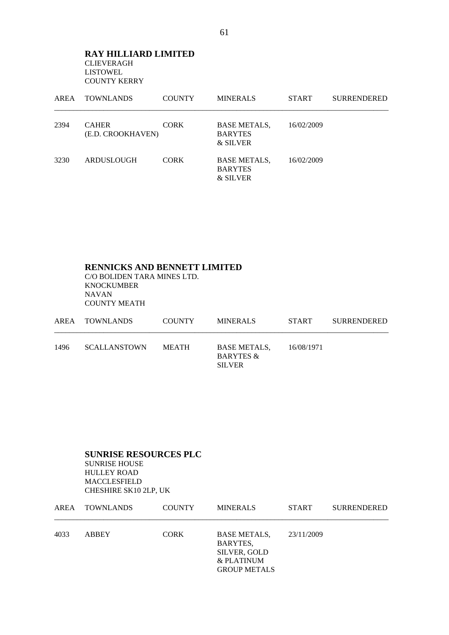#### **RAY HILLIARD LIMITED** CLIEVERAGH LISTOWEL COUNTY KERRY

| AREA | <b>TOWNLANDS</b>                  | <b>COUNTY</b> | <b>MINERALS</b>                                   | <b>START</b> | <b>SURRENDERED</b> |
|------|-----------------------------------|---------------|---------------------------------------------------|--------------|--------------------|
| 2394 | <b>CAHER</b><br>(E.D. CROOKHAVEN) | <b>CORK</b>   | <b>BASE METALS,</b><br><b>BARYTES</b><br>& SILVER | 16/02/2009   |                    |
| 3230 | ARDUSLOUGH                        | <b>CORK</b>   | <b>BASE METALS,</b><br><b>BARYTES</b><br>& SILVER | 16/02/2009   |                    |

## **RENNICKS AND BENNETT LIMITED** C/O BOLIDEN TARA MINES LTD. KNOCKUMBER NAVAN COUNTY MEATH

|      | AREA TOWNLANDS      | <b>COUNTY</b> | <b>MINERALS</b>                                              | <b>START</b> | <b>SURRENDERED</b> |
|------|---------------------|---------------|--------------------------------------------------------------|--------------|--------------------|
| 1496 | <b>SCALLANSTOWN</b> | MEATH         | <b>BASE METALS.</b><br><b>BARYTES &amp;</b><br><b>SILVER</b> | 16/08/1971   |                    |

#### **SUNRISE RESOURCES PLC**  SUNRISE HOUSE HULLEY ROAD MACCLESFIELD CHESHIRE SK10 2LP, UK

|      | AREA TOWNLANDS | <b>COUNTY</b> | <b>MINERALS</b>                                                                      | <b>START</b> | <b>SURRENDERED</b> |
|------|----------------|---------------|--------------------------------------------------------------------------------------|--------------|--------------------|
| 4033 | <b>ABBEY</b>   | <b>CORK</b>   | <b>BASE METALS,</b><br>BARYTES,<br>SILVER, GOLD<br>& PLATINUM<br><b>GROUP METALS</b> | 23/11/2009   |                    |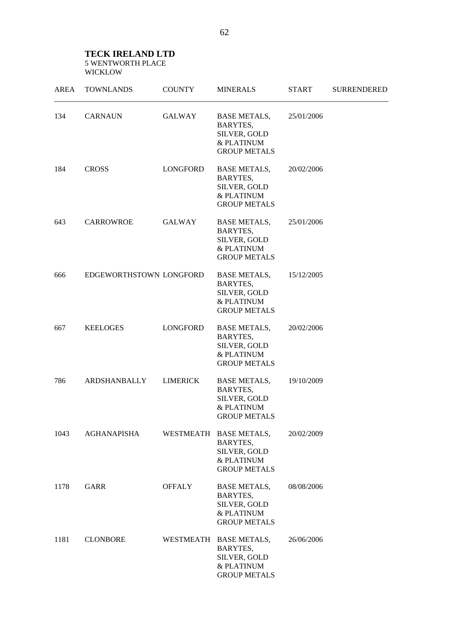#### **TECK IRELAND LTD**  5 WENTWORTH PLACE WICKLOW

| <b>AREA</b> | <b>TOWNLANDS</b>        | <b>COUNTY</b>   | <b>MINERALS</b>                                                                         | <b>START</b> | <b>SURRENDERED</b> |
|-------------|-------------------------|-----------------|-----------------------------------------------------------------------------------------|--------------|--------------------|
| 134         | <b>CARNAUN</b>          | GALWAY          | <b>BASE METALS,</b><br>BARYTES,<br>SILVER, GOLD<br>& PLATINUM<br><b>GROUP METALS</b>    | 25/01/2006   |                    |
| 184         | <b>CROSS</b>            | LONGFORD        | <b>BASE METALS,</b><br>BARYTES,<br>SILVER, GOLD<br>& PLATINUM<br><b>GROUP METALS</b>    | 20/02/2006   |                    |
| 643         | CARROWROE               | GALWAY          | <b>BASE METALS,</b><br>BARYTES,<br>SILVER, GOLD<br>& PLATINUM<br><b>GROUP METALS</b>    | 25/01/2006   |                    |
| 666         | EDGEWORTHSTOWN LONGFORD |                 | <b>BASE METALS,</b><br>BARYTES,<br>SILVER, GOLD<br>& PLATINUM<br><b>GROUP METALS</b>    | 15/12/2005   |                    |
| 667         | <b>KEELOGES</b>         | LONGFORD        | BASE METALS,<br>BARYTES,<br>SILVER, GOLD<br>& PLATINUM<br><b>GROUP METALS</b>           | 20/02/2006   |                    |
| 786         | ARDSHANBALLY            | <b>LIMERICK</b> | <b>BASE METALS,</b><br>BARYTES,<br>SILVER, GOLD<br>& PLATINUM<br><b>GROUP METALS</b>    | 19/10/2009   |                    |
| 1043        | <b>AGHANAPISHA</b>      |                 | WESTMEATH BASE METALS,<br>BARYTES,<br>SILVER, GOLD<br>& PLATINUM<br><b>GROUP METALS</b> | 20/02/2009   |                    |
| 1178        | GARR                    | <b>OFFALY</b>   | <b>BASE METALS,</b><br>BARYTES,<br>SILVER, GOLD<br>& PLATINUM<br><b>GROUP METALS</b>    | 08/08/2006   |                    |
| 1181        | <b>CLONBORE</b>         |                 | WESTMEATH BASE METALS,<br>BARYTES,<br>SILVER, GOLD<br>& PLATINUM<br><b>GROUP METALS</b> | 26/06/2006   |                    |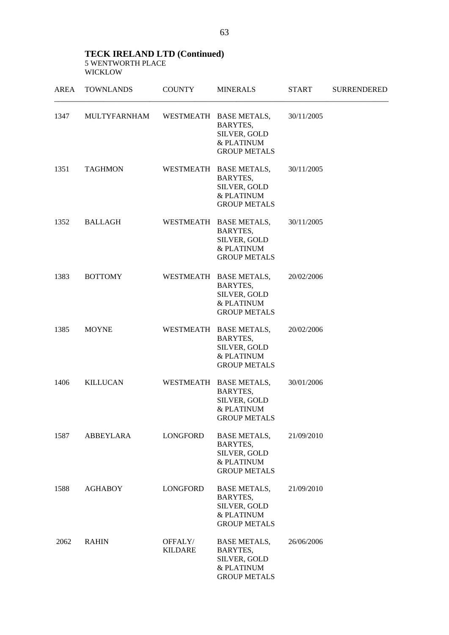#### **TECK IRELAND LTD (Continued)**  5 WENTWORTH PLACE WICKLOW

| AREA | <b>TOWNLANDS</b> | <b>COUNTY</b>             | <b>MINERALS</b>                                                                         | <b>START</b> | <b>SURRENDERED</b> |
|------|------------------|---------------------------|-----------------------------------------------------------------------------------------|--------------|--------------------|
| 1347 | MULTYFARNHAM     |                           | WESTMEATH BASE METALS,<br>BARYTES,<br>SILVER, GOLD<br>& PLATINUM<br><b>GROUP METALS</b> | 30/11/2005   |                    |
| 1351 | <b>TAGHMON</b>   |                           | WESTMEATH BASE METALS,<br>BARYTES,<br>SILVER, GOLD<br>& PLATINUM<br><b>GROUP METALS</b> | 30/11/2005   |                    |
| 1352 | BALLAGH          |                           | WESTMEATH BASE METALS,<br>BARYTES,<br>SILVER, GOLD<br>& PLATINUM<br><b>GROUP METALS</b> | 30/11/2005   |                    |
| 1383 | <b>BOTTOMY</b>   |                           | WESTMEATH BASE METALS,<br>BARYTES,<br>SILVER, GOLD<br>& PLATINUM<br><b>GROUP METALS</b> | 20/02/2006   |                    |
| 1385 | <b>MOYNE</b>     |                           | WESTMEATH BASE METALS,<br>BARYTES,<br>SILVER, GOLD<br>& PLATINUM<br><b>GROUP METALS</b> | 20/02/2006   |                    |
| 1406 | KILLUCAN         |                           | WESTMEATH BASE METALS,<br>BARYTES,<br>SILVER, GOLD<br>& PLATINUM<br><b>GROUP METALS</b> | 30/01/2006   |                    |
| 1587 | ABBEYLARA        | LONGFORD                  | <b>BASE METALS,</b><br>BARYTES,<br>SILVER, GOLD<br>& PLATINUM<br><b>GROUP METALS</b>    | 21/09/2010   |                    |
| 1588 | <b>AGHABOY</b>   | LONGFORD                  | <b>BASE METALS,</b><br>BARYTES,<br>SILVER, GOLD<br>& PLATINUM<br><b>GROUP METALS</b>    | 21/09/2010   |                    |
| 2062 | <b>RAHIN</b>     | OFFALY/<br><b>KILDARE</b> | <b>BASE METALS,</b><br>BARYTES,<br>SILVER, GOLD<br>& PLATINUM<br><b>GROUP METALS</b>    | 26/06/2006   |                    |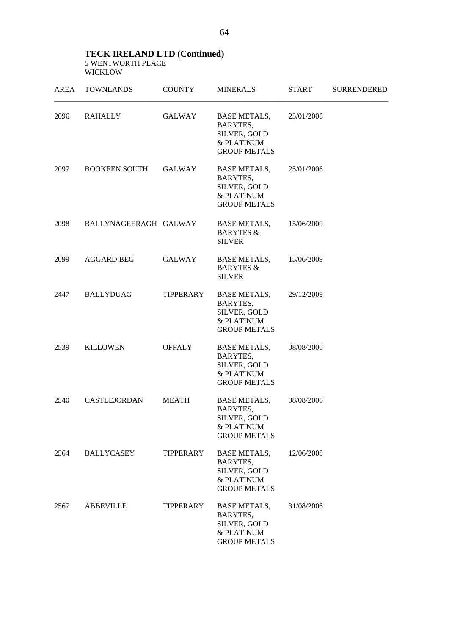#### **TECK IRELAND LTD (Continued)**  5 WENTWORTH PLACE WICKLOW

| AREA | <b>TOWNLANDS</b>      | <b>COUNTY</b>    | <b>MINERALS</b>                                                                      | <b>START</b> | <b>SURRENDERED</b> |
|------|-----------------------|------------------|--------------------------------------------------------------------------------------|--------------|--------------------|
| 2096 | RAHALLY               | GALWAY           | BASE METALS,<br>BARYTES,<br>SILVER, GOLD<br>& PLATINUM<br><b>GROUP METALS</b>        | 25/01/2006   |                    |
| 2097 | <b>BOOKEEN SOUTH</b>  | GALWAY           | <b>BASE METALS,</b><br>BARYTES,<br>SILVER, GOLD<br>& PLATINUM<br><b>GROUP METALS</b> | 25/01/2006   |                    |
| 2098 | BALLYNAGEERAGH GALWAY |                  | <b>BASE METALS,</b><br><b>BARYTES &amp;</b><br><b>SILVER</b>                         | 15/06/2009   |                    |
| 2099 | AGGARD BEG            | GALWAY           | <b>BASE METALS,</b><br><b>BARYTES &amp;</b><br><b>SILVER</b>                         | 15/06/2009   |                    |
| 2447 | <b>BALLYDUAG</b>      | TIPPERARY        | <b>BASE METALS,</b><br>BARYTES,<br>SILVER, GOLD<br>& PLATINUM<br><b>GROUP METALS</b> | 29/12/2009   |                    |
| 2539 | <b>KILLOWEN</b>       | <b>OFFALY</b>    | <b>BASE METALS,</b><br>BARYTES,<br>SILVER, GOLD<br>& PLATINUM<br><b>GROUP METALS</b> | 08/08/2006   |                    |
| 2540 | <b>CASTLEJORDAN</b>   | <b>MEATH</b>     | <b>BASE METALS,</b><br>BARYTES,<br>SILVER, GOLD<br>& PLATINUM<br><b>GROUP METALS</b> | 08/08/2006   |                    |
| 2564 | <b>BALLYCASEY</b>     | <b>TIPPERARY</b> | <b>BASE METALS,</b><br>BARYTES,<br>SILVER, GOLD<br>& PLATINUM<br><b>GROUP METALS</b> | 12/06/2008   |                    |
| 2567 | <b>ABBEVILLE</b>      | <b>TIPPERARY</b> | <b>BASE METALS,</b><br>BARYTES,<br>SILVER, GOLD<br>& PLATINUM<br><b>GROUP METALS</b> | 31/08/2006   |                    |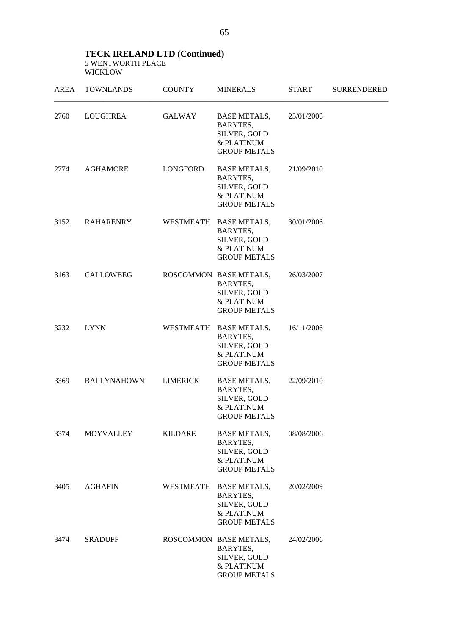## **TECK IRELAND LTD (Continued)**  5 WENTWORTH PLACE WICKLOW

| AREA | <b>TOWNLANDS</b>   | <b>COUNTY</b>   | <b>MINERALS</b>                                                                                | <b>START</b> | <b>SURRENDERED</b> |
|------|--------------------|-----------------|------------------------------------------------------------------------------------------------|--------------|--------------------|
| 2760 | LOUGHREA           | GALWAY          | BASE METALS,<br>BARYTES,<br>SILVER, GOLD<br>& PLATINUM<br><b>GROUP METALS</b>                  | 25/01/2006   |                    |
| 2774 | AGHAMORE           | LONGFORD        | BASE METALS,<br>BARYTES,<br>SILVER, GOLD<br>& PLATINUM<br><b>GROUP METALS</b>                  | 21/09/2010   |                    |
| 3152 | RAHARENRY          |                 | WESTMEATH BASE METALS,<br>BARYTES,<br>SILVER, GOLD<br>& PLATINUM<br><b>GROUP METALS</b>        | 30/01/2006   |                    |
| 3163 | <b>CALLOWBEG</b>   |                 | ROSCOMMON BASE METALS,<br><b>BARYTES,</b><br>SILVER, GOLD<br>& PLATINUM<br><b>GROUP METALS</b> | 26/03/2007   |                    |
| 3232 | <b>LYNN</b>        |                 | WESTMEATH BASE METALS,<br>BARYTES,<br>SILVER, GOLD<br>& PLATINUM<br><b>GROUP METALS</b>        | 16/11/2006   |                    |
| 3369 | <b>BALLYNAHOWN</b> | <b>LIMERICK</b> | <b>BASE METALS,</b><br>BARYTES,<br>SILVER, GOLD<br>& PLATINUM<br><b>GROUP METALS</b>           | 22/09/2010   |                    |
| 3374 | <b>MOYVALLEY</b>   | <b>KILDARE</b>  | <b>BASE METALS,</b><br>BARYTES,<br>SILVER, GOLD<br>& PLATINUM<br><b>GROUP METALS</b>           | 08/08/2006   |                    |
| 3405 | <b>AGHAFIN</b>     |                 | WESTMEATH BASE METALS,<br>BARYTES,<br>SILVER, GOLD<br>& PLATINUM<br><b>GROUP METALS</b>        | 20/02/2009   |                    |
| 3474 | <b>SRADUFF</b>     |                 | ROSCOMMON BASE METALS,<br>BARYTES,<br>SILVER, GOLD<br>& PLATINUM<br><b>GROUP METALS</b>        | 24/02/2006   |                    |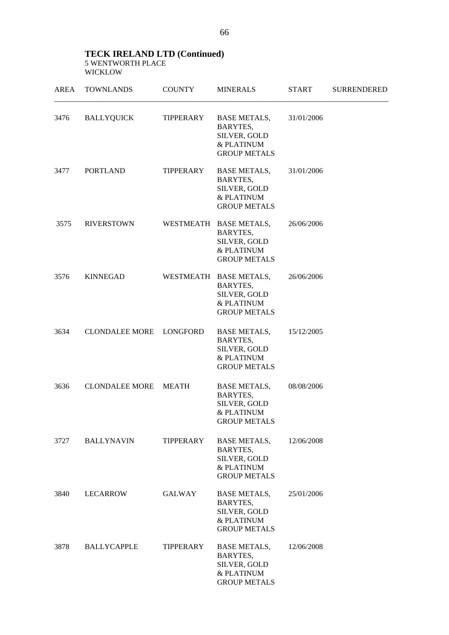### **TECK IRELAND LTD (Continued)**  5 WENTWORTH PLACE WICKLOW

| <b>AREA</b> | <b>TOWNLANDS</b>      | <b>COUNTY</b>    | <b>MINERALS</b>                                                                             | <b>START</b> | <b>SURRENDERED</b> |
|-------------|-----------------------|------------------|---------------------------------------------------------------------------------------------|--------------|--------------------|
| 3476        | <b>BALLYQUICK</b>     | TIPPERARY        | <b>BASE METALS,</b><br>BARYTES,<br>SILVER, GOLD<br>& PLATINUM<br><b>GROUP METALS</b>        | 31/01/2006   |                    |
| 3477        | <b>PORTLAND</b>       | TIPPERARY        | <b>BASE METALS,</b><br><b>BARYTES,</b><br>SILVER, GOLD<br>& PLATINUM<br><b>GROUP METALS</b> | 31/01/2006   |                    |
| 3575        | <b>RIVERSTOWN</b>     |                  | WESTMEATH BASE METALS,<br>BARYTES,<br>SILVER, GOLD<br>& PLATINUM<br><b>GROUP METALS</b>     | 26/06/2006   |                    |
| 3576        | <b>KINNEGAD</b>       |                  | WESTMEATH BASE METALS,<br>BARYTES,<br>SILVER, GOLD<br>& PLATINUM<br><b>GROUP METALS</b>     | 26/06/2006   |                    |
| 3634        | <b>CLONDALEE MORE</b> | LONGFORD         | <b>BASE METALS,</b><br>BARYTES,<br>SILVER, GOLD<br>& PLATINUM<br><b>GROUP METALS</b>        | 15/12/2005   |                    |
| 3636        | <b>CLONDALEE MORE</b> | <b>MEATH</b>     | <b>BASE METALS,</b><br>BARYTES,<br>SILVER, GOLD<br>& PLATINUM<br><b>GROUP METALS</b>        | 08/08/2006   |                    |
| 3727        | <b>BALLYNAVIN</b>     | TIPPERARY        | <b>BASE METALS,</b><br>BARYTES,<br>SILVER, GOLD<br>& PLATINUM<br><b>GROUP METALS</b>        | 12/06/2008   |                    |
| 3840        | LECARROW              | <b>GALWAY</b>    | <b>BASE METALS,</b><br>BARYTES,<br>SILVER, GOLD<br>& PLATINUM<br><b>GROUP METALS</b>        | 25/01/2006   |                    |
| 3878        | <b>BALLYCAPPLE</b>    | <b>TIPPERARY</b> | <b>BASE METALS,</b><br>BARYTES,<br>SILVER, GOLD<br>& PLATINUM<br><b>GROUP METALS</b>        | 12/06/2008   |                    |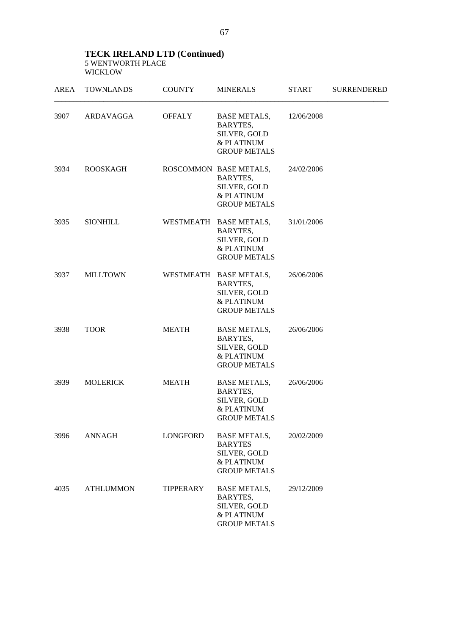### **TECK IRELAND LTD (Continued)**  5 WENTWORTH PLACE WICKLOW

| AREA | <b>TOWNLANDS</b> | <b>COUNTY</b> | <b>MINERALS</b>                                                                            | <b>START</b> | <b>SURRENDERED</b> |
|------|------------------|---------------|--------------------------------------------------------------------------------------------|--------------|--------------------|
| 3907 | ARDAVAGGA        | <b>OFFALY</b> | <b>BASE METALS,</b><br>BARYTES,<br>SILVER, GOLD<br>& PLATINUM<br><b>GROUP METALS</b>       | 12/06/2008   |                    |
| 3934 | <b>ROOSKAGH</b>  |               | ROSCOMMON BASE METALS,<br>BARYTES,<br>SILVER, GOLD<br>& PLATINUM<br><b>GROUP METALS</b>    | 24/02/2006   |                    |
| 3935 | SIONHILL         |               | WESTMEATH BASE METALS,<br>BARYTES,<br>SILVER, GOLD<br>& PLATINUM<br><b>GROUP METALS</b>    | 31/01/2006   |                    |
| 3937 | <b>MILLTOWN</b>  |               | WESTMEATH BASE METALS,<br>BARYTES,<br>SILVER, GOLD<br>& PLATINUM<br><b>GROUP METALS</b>    | 26/06/2006   |                    |
| 3938 | <b>TOOR</b>      | <b>MEATH</b>  | <b>BASE METALS,</b><br>BARYTES,<br>SILVER, GOLD<br>& PLATINUM<br><b>GROUP METALS</b>       | 26/06/2006   |                    |
| 3939 | <b>MOLERICK</b>  | <b>MEATH</b>  | <b>BASE METALS,</b><br>BARYTES,<br>SILVER, GOLD<br>& PLATINUM<br><b>GROUP METALS</b>       | 26/06/2006   |                    |
| 3996 | ANNAGH           | LONGFORD      | <b>BASE METALS,</b><br><b>BARYTES</b><br>SILVER, GOLD<br>& PLATINUM<br><b>GROUP METALS</b> | 20/02/2009   |                    |
| 4035 | <b>ATHLUMMON</b> | TIPPERARY     | <b>BASE METALS,</b><br>BARYTES,<br>SILVER, GOLD<br>& PLATINUM<br><b>GROUP METALS</b>       | 29/12/2009   |                    |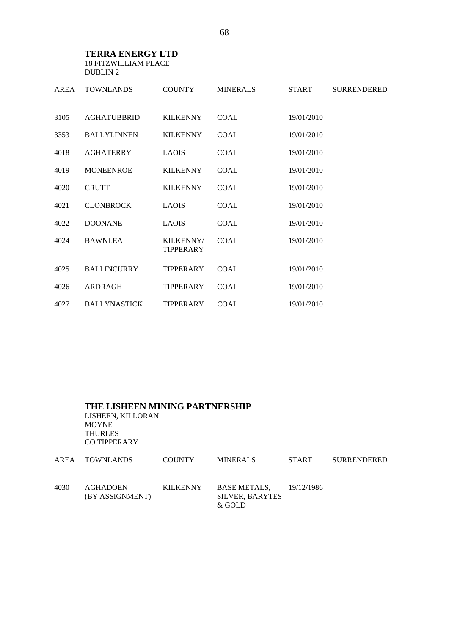### **TERRA ENERGY LTD**  18 FITZWILLIAM PLACE DUBLIN 2

| AREA | <b>TOWNLANDS</b>    | <b>COUNTY</b>                 | <b>MINERALS</b> | <b>START</b> | <b>SURRENDERED</b> |
|------|---------------------|-------------------------------|-----------------|--------------|--------------------|
| 3105 | <b>AGHATUBBRID</b>  | <b>KILKENNY</b>               | <b>COAL</b>     | 19/01/2010   |                    |
| 3353 | <b>BALLYLINNEN</b>  | <b>KILKENNY</b>               | <b>COAL</b>     | 19/01/2010   |                    |
| 4018 | <b>AGHATERRY</b>    | <b>LAOIS</b>                  | <b>COAL</b>     | 19/01/2010   |                    |
| 4019 | <b>MONEENROE</b>    | <b>KILKENNY</b>               | <b>COAL</b>     | 19/01/2010   |                    |
| 4020 | <b>CRUTT</b>        | <b>KILKENNY</b>               | <b>COAL</b>     | 19/01/2010   |                    |
| 4021 | <b>CLONBROCK</b>    | <b>LAOIS</b>                  | <b>COAL</b>     | 19/01/2010   |                    |
| 4022 | <b>DOONANE</b>      | <b>LAOIS</b>                  | COAL            | 19/01/2010   |                    |
| 4024 | <b>BAWNLEA</b>      | KILKENNY/<br><b>TIPPERARY</b> | <b>COAL</b>     | 19/01/2010   |                    |
| 4025 | <b>BALLINCURRY</b>  | <b>TIPPERARY</b>              | <b>COAL</b>     | 19/01/2010   |                    |
| 4026 | ARDRAGH             | <b>TIPPERARY</b>              | <b>COAL</b>     | 19/01/2010   |                    |
| 4027 | <b>BALLYNASTICK</b> | <b>TIPPERARY</b>              | <b>COAL</b>     | 19/01/2010   |                    |

 **THE LISHEEN MINING PARTNERSHIP**  LISHEEN, KILLORAN MOYNE THURLES CO TIPPERARY AREA TOWNILANDS COUNTY MINERALS START SURRENDERED

|      | AREA IOWNLANDS              | <b>COUNTY</b> | <b>MINERALS</b>                                  | START        | SURRENDERED |
|------|-----------------------------|---------------|--------------------------------------------------|--------------|-------------|
| 4030 | AGHADOEN<br>(BY ASSIGNMENT) | KILKENNY      | BASE METALS.<br><b>SILVER, BARYTES</b><br>& GOLD | - 19/12/1986 |             |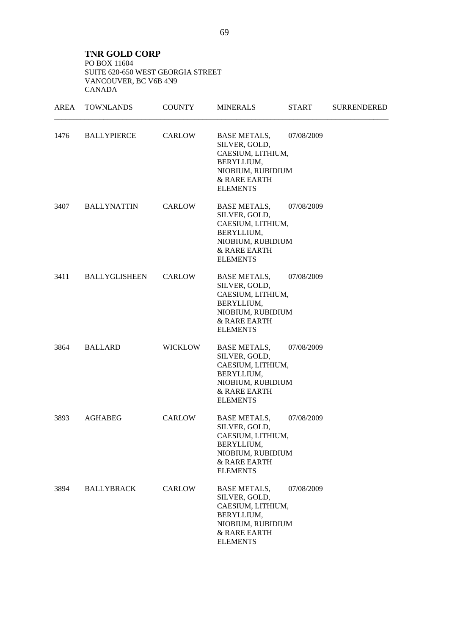**TNR GOLD CORP**  PO BOX 11604 SUITE 620-650 WEST GEORGIA STREET VANCOUVER, BC V6B 4N9 CANADA

| AREA | <b>TOWNLANDS</b>     | <b>COUNTY</b>  | <b>MINERALS</b>                                                                                                                 | <b>START</b> | <b>SURRENDERED</b> |
|------|----------------------|----------------|---------------------------------------------------------------------------------------------------------------------------------|--------------|--------------------|
| 1476 | <b>BALLYPIERCE</b>   | CARLOW         | <b>BASE METALS,</b><br>SILVER, GOLD,<br>CAESIUM, LITHIUM,<br>BERYLLIUM,<br>NIOBIUM, RUBIDIUM<br>& RARE EARTH<br><b>ELEMENTS</b> | 07/08/2009   |                    |
| 3407 | <b>BALLYNATTIN</b>   | CARLOW         | BASE METALS,<br>SILVER, GOLD,<br>CAESIUM, LITHIUM,<br>BERYLLIUM,<br>NIOBIUM, RUBIDIUM<br>& RARE EARTH<br><b>ELEMENTS</b>        | 07/08/2009   |                    |
| 3411 | <b>BALLYGLISHEEN</b> | <b>CARLOW</b>  | <b>BASE METALS,</b><br>SILVER, GOLD,<br>CAESIUM, LITHIUM,<br>BERYLLIUM,<br>NIOBIUM, RUBIDIUM<br>& RARE EARTH<br><b>ELEMENTS</b> | 07/08/2009   |                    |
| 3864 | <b>BALLARD</b>       | <b>WICKLOW</b> | <b>BASE METALS,</b><br>SILVER, GOLD,<br>CAESIUM, LITHIUM,<br>BERYLLIUM,<br>NIOBIUM, RUBIDIUM<br>& RARE EARTH<br><b>ELEMENTS</b> | 07/08/2009   |                    |
| 3893 | <b>AGHABEG</b>       | CARLOW         | <b>BASE METALS,</b><br>SILVER, GOLD,<br>CAESIUM, LITHIUM,<br>BERYLLIUM,<br>NIOBIUM, RUBIDIUM<br>& RARE EARTH<br><b>ELEMENTS</b> | 07/08/2009   |                    |
| 3894 | <b>BALLYBRACK</b>    | <b>CARLOW</b>  | <b>BASE METALS,</b><br>SILVER, GOLD,<br>CAESIUM, LITHIUM,<br>BERYLLIUM,<br>NIOBIUM, RUBIDIUM<br>& RARE EARTH<br><b>ELEMENTS</b> | 07/08/2009   |                    |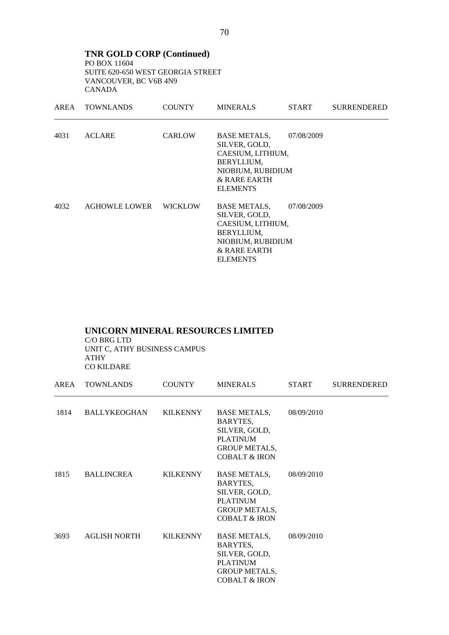**TNR GOLD CORP (Continued)**  PO BOX 11604 SUITE 620-650 WEST GEORGIA STREET VANCOUVER, BC V6B 4N9 CANADA

|      | AREA TOWNLANDS | <b>COUNTY</b>  | <b>MINERALS</b>                                                                                                          | <b>START</b> | <b>SURRENDERED</b> |
|------|----------------|----------------|--------------------------------------------------------------------------------------------------------------------------|--------------|--------------------|
| 4031 | <b>ACLARE</b>  | <b>CARLOW</b>  | BASE METALS,<br>SILVER, GOLD,<br>CAESIUM, LITHIUM,<br>BERYLLIUM,<br>NIOBIUM, RUBIDIUM<br>& RARE EARTH<br><b>ELEMENTS</b> | 07/08/2009   |                    |
| 4032 | AGHOWLE LOWER  | <b>WICKLOW</b> | BASE METALS,<br>SILVER, GOLD,<br>CAESIUM, LITHIUM,<br>BERYLLIUM,<br>NIOBIUM, RUBIDIUM<br>& RARE EARTH<br><b>ELEMENTS</b> | 07/08/2009   |                    |

### **UNICORN MINERAL RESOURCES LIMITED**

 C/O BRG LTD UNIT C, ATHY BUSINESS CAMPUS ATHY CO KILDARE

| AREA | <b>TOWNLANDS</b>    | <b>COUNTY</b>   | <b>MINERALS</b>                                                                                                         | <b>START</b> | <b>SURRENDERED</b> |
|------|---------------------|-----------------|-------------------------------------------------------------------------------------------------------------------------|--------------|--------------------|
| 1814 | BALLYKEOGHAN        | KILKENNY        | BASE METALS,<br>BARYTES,<br>SILVER, GOLD,<br><b>PLATINUM</b><br><b>GROUP METALS,</b><br><b>COBALT &amp; IRON</b>        | 08/09/2010   |                    |
| 1815 | BALLINCREA          | KILKENNY        | BASE METALS,<br>BARYTES,<br>SILVER, GOLD,<br><b>PLATINUM</b><br><b>GROUP METALS,</b><br><b>COBALT &amp; IRON</b>        | 08/09/2010   |                    |
| 3693 | <b>AGLISH NORTH</b> | <b>KILKENNY</b> | <b>BASE METALS,</b><br>BARYTES,<br>SILVER, GOLD,<br><b>PLATINUM</b><br><b>GROUP METALS,</b><br><b>COBALT &amp; IRON</b> | 08/09/2010   |                    |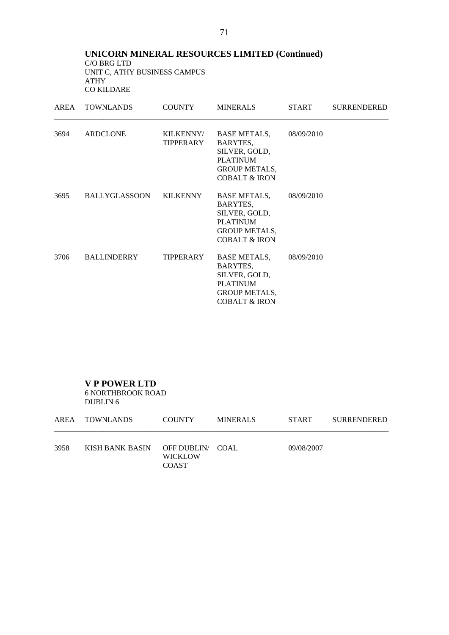### **UNICORN MINERAL RESOURCES LIMITED (Continued)**  C/O BRG LTD UNIT C, ATHY BUSINESS CAMPUS ATHY CO KILDARE

| AREA | <b>TOWNLANDS</b>   | <b>COUNTY</b>          | <b>MINERALS</b>                                                                                                         | <b>START</b> | <b>SURRENDERED</b> |
|------|--------------------|------------------------|-------------------------------------------------------------------------------------------------------------------------|--------------|--------------------|
| 3694 | ARDCLONE           | KILKENNY/<br>TIPPERARY | <b>BASE METALS,</b><br>BARYTES,<br>SILVER, GOLD,<br><b>PLATINUM</b><br><b>GROUP METALS,</b><br><b>COBALT &amp; IRON</b> | 08/09/2010   |                    |
| 3695 | BALLYGLASSOON      | KILKENNY               | BASE METALS,<br>BARYTES,<br>SILVER, GOLD,<br><b>PLATINUM</b><br><b>GROUP METALS,</b><br><b>COBALT &amp; IRON</b>        | 08/09/2010   |                    |
| 3706 | <b>BALLINDERRY</b> | <b>TIPPERARY</b>       | <b>BASE METALS,</b><br>BARYTES,<br>SILVER, GOLD,<br><b>PLATINUM</b><br><b>GROUP METALS,</b><br><b>COBALT &amp; IRON</b> | 08/09/2010   |                    |

 **V P POWER LTD** 

6 NORTHBROOK ROAD DUBLIN 6

|      | AREA TOWNLANDS                   | <b>COUNTY</b>                  | <b>MINERALS</b> | <b>START</b> | <b>SURRENDERED</b> |
|------|----------------------------------|--------------------------------|-----------------|--------------|--------------------|
| 3958 | KISH BANK BASIN OFF DUBLIN/ COAL | <b>WICKLOW</b><br><b>COAST</b> |                 | 09/08/2007   |                    |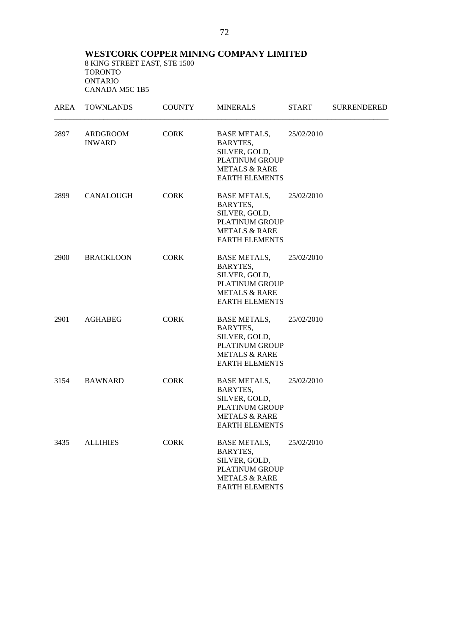**WESTCORK COPPER MINING COMPANY LIMITED**  8 KING STREET EAST, STE 1500 TORONTO ONTARIO CANADA M5C 1B5

| AREA | <b>TOWNLANDS</b>          | <b>COUNTY</b> | <b>MINERALS</b>                                                                                                                | <b>START</b> | <b>SURRENDERED</b> |
|------|---------------------------|---------------|--------------------------------------------------------------------------------------------------------------------------------|--------------|--------------------|
| 2897 | ARDGROOM<br><b>INWARD</b> | <b>CORK</b>   | <b>BASE METALS,</b><br>BARYTES,<br>SILVER, GOLD,<br><b>PLATINUM GROUP</b><br><b>METALS &amp; RARE</b><br><b>EARTH ELEMENTS</b> | 25/02/2010   |                    |
| 2899 | CANALOUGH                 | <b>CORK</b>   | <b>BASE METALS,</b><br>BARYTES,<br>SILVER, GOLD,<br>PLATINUM GROUP<br><b>METALS &amp; RARE</b><br><b>EARTH ELEMENTS</b>        | 25/02/2010   |                    |
| 2900 | <b>BRACKLOON</b>          | <b>CORK</b>   | BASE METALS,<br>BARYTES,<br>SILVER, GOLD,<br><b>PLATINUM GROUP</b><br><b>METALS &amp; RARE</b><br><b>EARTH ELEMENTS</b>        | 25/02/2010   |                    |
| 2901 | AGHABEG                   | <b>CORK</b>   | <b>BASE METALS,</b><br>BARYTES,<br>SILVER, GOLD,<br><b>PLATINUM GROUP</b><br><b>METALS &amp; RARE</b><br><b>EARTH ELEMENTS</b> | 25/02/2010   |                    |
| 3154 | <b>BAWNARD</b>            | <b>CORK</b>   | <b>BASE METALS,</b><br>BARYTES,<br>SILVER, GOLD,<br><b>PLATINUM GROUP</b><br><b>METALS &amp; RARE</b><br><b>EARTH ELEMENTS</b> | 25/02/2010   |                    |
| 3435 | <b>ALLIHIES</b>           | <b>CORK</b>   | <b>BASE METALS,</b><br>BARYTES,<br>SILVER, GOLD,<br><b>PLATINUM GROUP</b><br><b>METALS &amp; RARE</b><br><b>EARTH ELEMENTS</b> | 25/02/2010   |                    |

72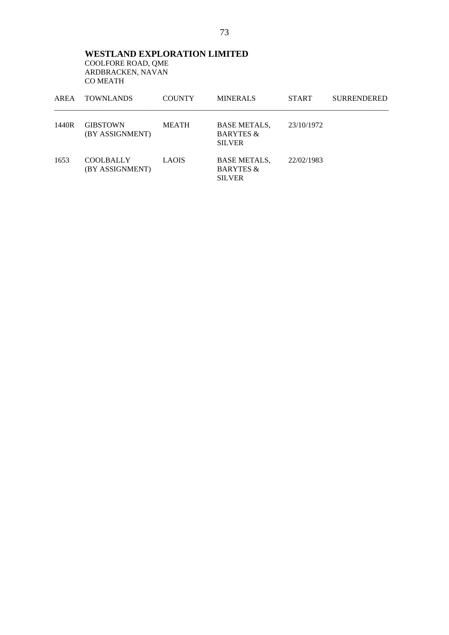**WESTLAND EXPLORATION LIMITED**  COOLFORE ROAD, QME ARDBRACKEN, NAVAN CO MEATH

| AREA  | <b>TOWNLANDS</b>                    | <b>COUNTY</b> | <b>MINERALS</b>                                              | <b>START</b> | <b>SURRENDERED</b> |
|-------|-------------------------------------|---------------|--------------------------------------------------------------|--------------|--------------------|
| 1440R | <b>GIBSTOWN</b><br>(BY ASSIGNMENT)  | <b>MEATH</b>  | <b>BASE METALS.</b><br><b>BARYTES &amp;</b><br><b>SILVER</b> | 23/10/1972   |                    |
| 1653  | <b>COOLBALLY</b><br>(BY ASSIGNMENT) | <b>LAOIS</b>  | <b>BASE METALS,</b><br><b>BARYTES &amp;</b><br><b>SILVER</b> | 22/02/1983   |                    |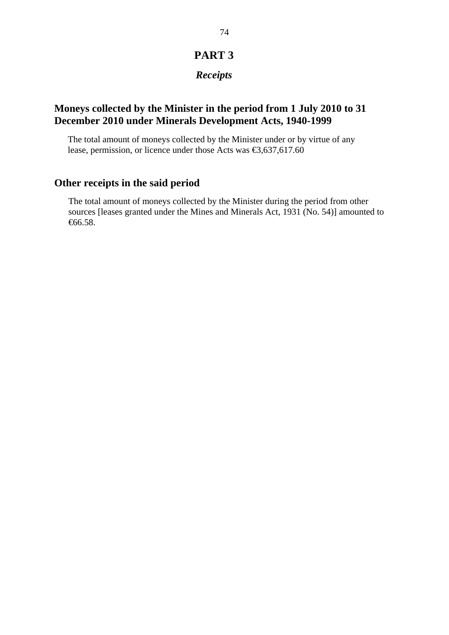# **PART 3**

# *Receipts*

## **Moneys collected by the Minister in the period from 1 July 2010 to 31 December 2010 under Minerals Development Acts, 1940-1999**

The total amount of moneys collected by the Minister under or by virtue of any lease, permission, or licence under those Acts was €3,637,617.60

# **Other receipts in the said period**

The total amount of moneys collected by the Minister during the period from other sources [leases granted under the Mines and Minerals Act, 1931 (No. 54)] amounted to €66.58.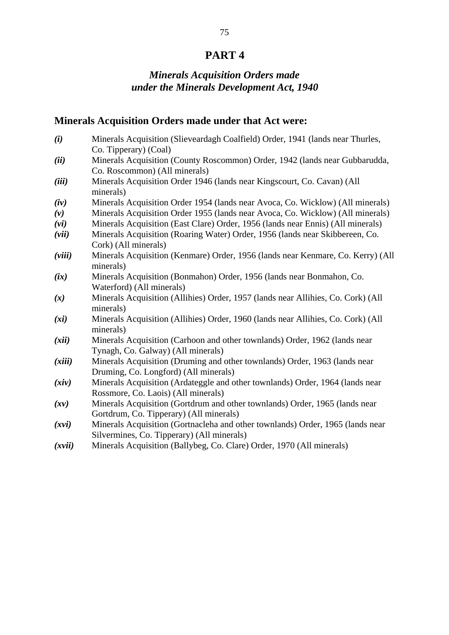# **PART 4**

# *Minerals Acquisition Orders made under the Minerals Development Act, 1940*

### **Minerals Acquisition Orders made under that Act were:**

- *(i)* Minerals Acquisition (Slieveardagh Coalfield) Order, 1941 (lands near Thurles, Co. Tipperary) (Coal)
- *(ii)* Minerals Acquisition (County Roscommon) Order, 1942 (lands near Gubbarudda, Co. Roscommon) (All minerals)
- *(iii)* Minerals Acquisition Order 1946 (lands near Kingscourt, Co. Cavan) (All minerals)
- *(iv)* Minerals Acquisition Order 1954 (lands near Avoca, Co. Wicklow) (All minerals)
- *(v)* Minerals Acquisition Order 1955 (lands near Avoca, Co. Wicklow) (All minerals)
- *(vi)* Minerals Acquisition (East Clare) Order, 1956 (lands near Ennis) (All minerals)
- *(vii)* Minerals Acquisition (Roaring Water) Order, 1956 (lands near Skibbereen, Co. Cork) (All minerals)
- *(viii)* Minerals Acquisition (Kenmare) Order, 1956 (lands near Kenmare, Co. Kerry) (All minerals)
- *(ix)* Minerals Acquisition (Bonmahon) Order, 1956 (lands near Bonmahon, Co. Waterford) (All minerals)
- *(x)* Minerals Acquisition (Allihies) Order, 1957 (lands near Allihies, Co. Cork) (All minerals)
- *(xi)* Minerals Acquisition (Allihies) Order, 1960 (lands near Allihies, Co. Cork) (All minerals)
- *(xii)* Minerals Acquisition (Carhoon and other townlands) Order, 1962 (lands near Tynagh, Co. Galway) (All minerals)
- *(xiii)* Minerals Acquisition (Druming and other townlands) Order, 1963 (lands near Druming, Co. Longford) (All minerals)
- *(xiv)* Minerals Acquisition (Ardateggle and other townlands) Order, 1964 (lands near Rossmore, Co. Laois) (All minerals)
- *(xv)* Minerals Acquisition (Gortdrum and other townlands) Order, 1965 (lands near Gortdrum, Co. Tipperary) (All minerals)
- *(xvi)* Minerals Acquisition (Gortnacleha and other townlands) Order, 1965 (lands near Silvermines, Co. Tipperary) (All minerals)
- *(xvii)* Minerals Acquisition (Ballybeg, Co. Clare) Order, 1970 (All minerals)